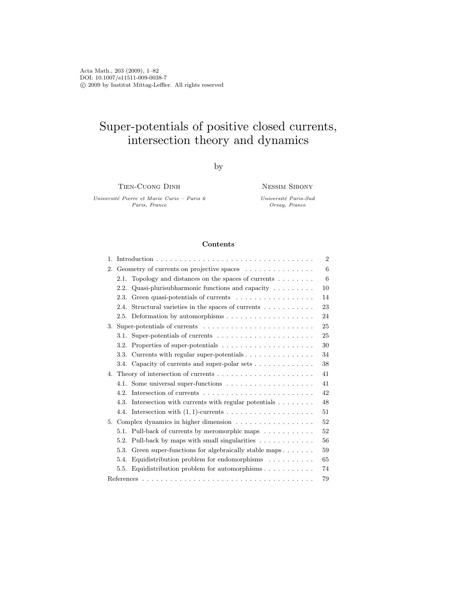Acta Math., 203 (2009), 1–82 DOI: 10.1007/s11511-009-0038-7 c 2009 by Institut Mittag-Leffler. All rights reserved

# Super-potentials of positive closed currents, intersection theory and dynamics

by

Tien-Cuong Dinh

Universit´e Pierre et Marie Curie – Paris 6 Paris, France

Nessim Sibony

Université Paris-Sud Orsay, France

# Contents

|                                                                                    | $\overline{2}$ |
|------------------------------------------------------------------------------------|----------------|
| 2. Geometry of currents on projective spaces                                       | 6              |
| Topology and distances on the spaces of currents $\dots \dots$<br>2.1.             | 6              |
| Quasi-plurisubharmonic functions and capacity $\dots \dots$<br>2.2.                | 10             |
| Green quasi-potentials of currents<br>2.3.                                         | 14             |
| Structural varieties in the spaces of currents $\dots \dots \dots$<br>2.4.         | 23             |
| Deformation by automorphisms $\dots \dots \dots \dots \dots \dots$<br>2.5.         | 24             |
|                                                                                    | 25             |
| 3.1.                                                                               | 25             |
| Properties of super-potentials $\dots \dots \dots \dots \dots \dots \dots$<br>3.2. | 30             |
| Currents with regular super-potentials $\dots \dots \dots \dots \dots$<br>3.3.     | 34             |
| 3.4. Capacity of currents and super-polar sets                                     | 38             |
|                                                                                    | 41             |
| 4.1. Some universal super-functions                                                | 41             |
| 4.2.                                                                               | 42             |
| Intersection with currents with regular potentials $\ldots \ldots$<br>4.3.         | 48             |
|                                                                                    | 51             |
| 5. Complex dynamics in higher dimension                                            | 52             |
| 5.1. Pull-back of currents by meromorphic maps $\dots \dots \dots$                 | 52             |
| Pull-back by maps with small singularities<br>5.2.                                 | 56             |
| Green super-functions for algebraically stable maps<br>5.3.                        | 59             |
| Equidistribution problem for endomorphisms $\ldots \ldots \ldots$<br>5.4.          | 65             |
| Equidistribution problem for automorphisms $\ldots \ldots \ldots$<br>5.5.          | 74             |
|                                                                                    | 79             |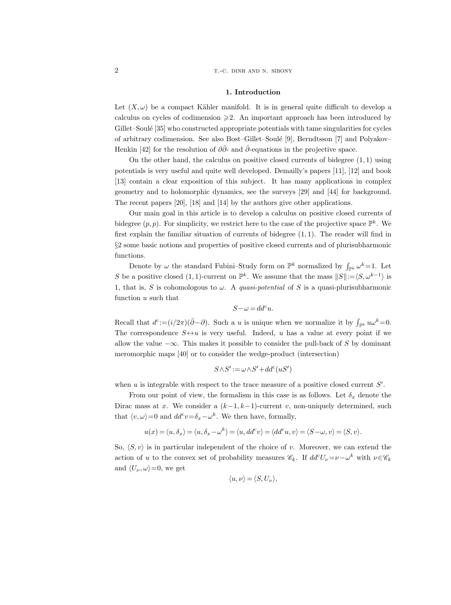#### 1. Introduction

Let  $(X, \omega)$  be a compact Kähler manifold. It is in general quite difficult to develop a calculus on cycles of codimension  $\geq 2$ . An important approach has been introduced by Gillet–Soulé [35] who constructed appropriate potentials with tame singularities for cycles of arbitrary codimension. See also Bost–Gillet–Soul´e [9], Berndtsson [7] and Polyakov– Henkin [42] for the resolution of  $\partial \bar{\partial}$ - and  $\bar{\partial}$ -equations in the projective space.

On the other hand, the calculus on positive closed currents of bidegree  $(1, 1)$  using potentials is very useful and quite well developed. Demailly's papers [11], [12] and book [13] contain a clear exposition of this subject. It has many applications in complex geometry and to holomorphic dynamics, see the surveys [29] and [44] for background. The recent papers [20], [18] and [14] by the authors give other applications.

Our main goal in this article is to develop a calculus on positive closed currents of bidegree  $(p, p)$ . For simplicity, we restrict here to the case of the projective space  $\mathbb{P}^k$ . We first explain the familiar situation of currents of bidegree  $(1, 1)$ . The reader will find in §2 some basic notions and properties of positive closed currents and of plurisubharmonic functions.

Denote by  $\omega$  the standard Fubini–Study form on  $\mathbb{P}^k$  normalized by  $\int_{\mathbb{P}^k} \omega^k = 1$ . Let S be a positive closed (1, 1)-current on  $\mathbb{P}^k$ . We assume that the mass  $||S|| := \langle S, \omega^{k-1} \rangle$  is 1, that is, S is cohomologous to  $\omega$ . A quasi-potential of S is a quasi-plurisubharmonic function u such that

$$
S-\omega=dd^cu.
$$

Recall that  $d^c := (i/2\pi)(\bar{\partial} - \partial)$ . Such a u is unique when we normalize it by  $\int_{\mathbb{P}^k} u \omega^k = 0$ . The correspondence  $S \leftrightarrow u$  is very useful. Indeed, u has a value at every point if we allow the value  $-\infty$ . This makes it possible to consider the pull-back of S by dominant meromorphic maps [40] or to consider the wedge-product (intersection)

$$
S \wedge S' := \omega \wedge S' + dd^c(uS')
$$

when  $u$  is integrable with respect to the trace measure of a positive closed current  $S'$ .

From our point of view, the formalism in this case is as follows. Let  $\delta_x$  denote the Dirac mass at x. We consider a  $(k-1, k-1)$ -current v, non-uniquely determined, such that  $\langle v, \omega \rangle = 0$  and  $dd^c v = \delta_x - \omega^k$ . We then have, formally,

$$
u(x) = \langle u, \delta_x \rangle = \langle u, \delta_x - \omega^k \rangle = \langle u, dd^c v \rangle = \langle dd^c u, v \rangle = \langle S - \omega, v \rangle = \langle S, v \rangle.
$$

So,  $\langle S, v \rangle$  is in particular independent of the choice of v. Moreover, we can extend the action of u to the convex set of probability measures  $\mathscr{C}_k$ . If  $dd^c U_{\nu}=\nu-\omega^k$  with  $\nu \in \mathscr{C}_k$ and  $\langle U_{\nu}, \omega \rangle = 0$ , we get

$$
\langle u, \nu \rangle = \langle S, U_{\nu} \rangle,
$$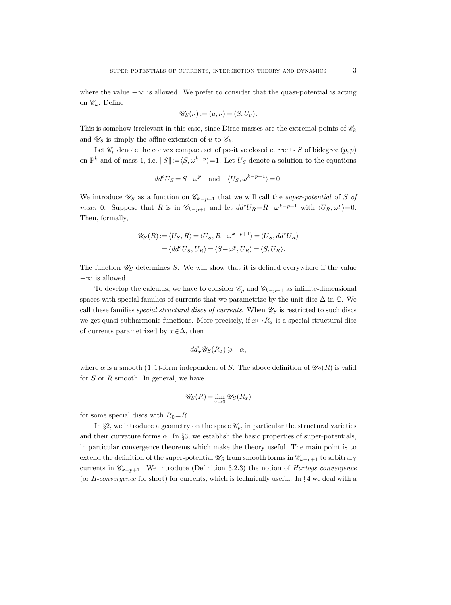where the value  $-\infty$  is allowed. We prefer to consider that the quasi-potential is acting on  $\mathscr{C}_k$ . Define

$$
\mathscr{U}_S(\nu) := \langle u, \nu \rangle = \langle S, U_{\nu} \rangle.
$$

This is somehow irrelevant in this case, since Dirac masses are the extremal points of  $\mathscr{C}_k$ and  $\mathscr{U}_S$  is simply the affine extension of u to  $\mathscr{C}_k$ .

Let  $\mathscr{C}_p$  denote the convex compact set of positive closed currents  $S$  of bidegree  $(p,p)$ on  $\mathbb{P}^k$  and of mass 1, i.e.  $||S|| := \langle S, \omega^{k-p} \rangle = 1$ . Let  $U_S$  denote a solution to the equations

$$
dd^c U_S = S - \omega^p \quad \text{and} \quad \langle U_S, \omega^{k-p+1} \rangle = 0.
$$

We introduce  $\mathscr{U}_S$  as a function on  $\mathscr{C}_{k-p+1}$  that we will call the super-potential of S of mean 0. Suppose that R is in  $\mathscr{C}_{k-p+1}$  and let  $dd^cU_R = R - \omega^{k-p+1}$  with  $\langle U_R, \omega^p \rangle = 0$ . Then, formally,

$$
\mathscr{U}_S(R) := \langle U_S, R \rangle = \langle U_S, R - \omega^{k-p+1} \rangle = \langle U_S, dd^c U_R \rangle
$$
  
=  $\langle dd^c U_S, U_R \rangle = \langle S - \omega^p, U_R \rangle = \langle S, U_R \rangle.$ 

The function  $\mathscr{U}_S$  determines S. We will show that it is defined everywhere if the value  $-\infty$  is allowed.

To develop the calculus, we have to consider  $\mathscr{C}_p$  and  $\mathscr{C}_{k-p+1}$  as infinite-dimensional spaces with special families of currents that we parametrize by the unit disc  $\Delta$  in  $\mathbb{C}$ . We call these families special structural discs of currents. When  $\mathscr{U}_S$  is restricted to such discs we get quasi-subharmonic functions. More precisely, if  $x \mapsto R_x$  is a special structural disc of currents parametrized by  $x \in \Delta$ , then

$$
dd_x^c \mathscr{U}_S(R_x) \geqslant -\alpha,
$$

where  $\alpha$  is a smooth (1, 1)-form independent of S. The above definition of  $\mathscr{U}_{S}(R)$  is valid for  $S$  or  $R$  smooth. In general, we have

$$
\mathscr{U}_S(R) = \lim_{x \to 0} \mathscr{U}_S(R_x)
$$

for some special discs with  $R_0=R$ .

In §2, we introduce a geometry on the space  $\mathscr{C}_p$ , in particular the structural varieties and their curvature forms  $\alpha$ . In §3, we establish the basic properties of super-potentials, in particular convergence theorems which make the theory useful. The main point is to extend the definition of the super-potential  $\mathscr{U}_S$  from smooth forms in  $\mathscr{C}_{k-p+1}$  to arbitrary currents in  $\mathscr{C}_{k-p+1}$ . We introduce (Definition 3.2.3) the notion of *Hartogs convergence* (or H-convergence for short) for currents, which is technically useful. In §4 we deal with a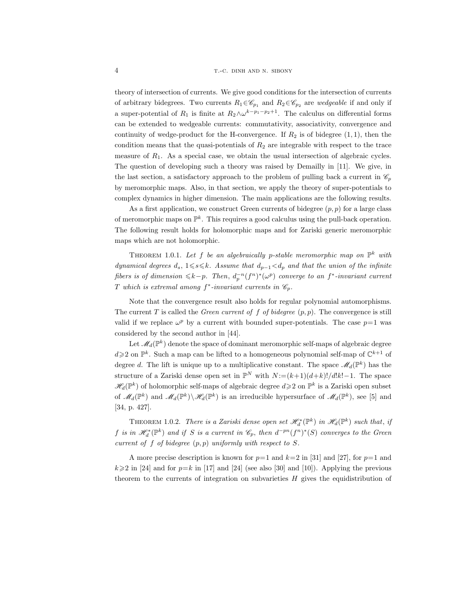theory of intersection of currents. We give good conditions for the intersection of currents of arbitrary bidegrees. Two currents  $R_1 \in \mathscr{C}_{p_1}$  and  $R_2 \in \mathscr{C}_{p_2}$  are *wedgeable* if and only if a super-potential of  $R_1$  is finite at  $R_2 \wedge \omega^{k-p_1-p_2+1}$ . The calculus on differential forms can be extended to wedgeable currents: commutativity, associativity, convergence and continuity of wedge-product for the H-convergence. If  $R_2$  is of bidegree  $(1, 1)$ , then the condition means that the quasi-potentials of  $R_2$  are integrable with respect to the trace measure of  $R_1$ . As a special case, we obtain the usual intersection of algebraic cycles. The question of developing such a theory was raised by Demailly in [11]. We give, in the last section, a satisfactory approach to the problem of pulling back a current in  $\mathscr{C}_p$ by meromorphic maps. Also, in that section, we apply the theory of super-potentials to complex dynamics in higher dimension. The main applications are the following results.

As a first application, we construct Green currents of bidegree  $(p, p)$  for a large class of meromorphic maps on  $\mathbb{P}^k$ . This requires a good calculus using the pull-back operation. The following result holds for holomorphic maps and for Zariski generic meromorphic maps which are not holomorphic.

THEOREM 1.0.1. Let f be an algebraically p-stable meromorphic map on  $\mathbb{P}^k$  with dynamical degrees  $d_s$ ,  $1 \leq s \leq k$ . Assume that  $d_{p-1} < d_p$  and that the union of the infinite fibers is of dimension  $\leq k-p$ . Then,  $d_p^{-n}(f^n)^*(\omega^p)$  converge to an f<sup>\*</sup>-invariant current T which is extremal among  $f^*$ -invariant currents in  $\mathscr{C}_p$ .

Note that the convergence result also holds for regular polynomial automorphisms. The current T is called the *Green current of f of bidegree*  $(p, p)$ . The convergence is still valid if we replace  $\omega^p$  by a current with bounded super-potentials. The case  $p=1$  was considered by the second author in [44].

Let  $\mathscr{M}_d(\mathbb{P}^k)$  denote the space of dominant meromorphic self-maps of algebraic degree  $d \geq 2$  on  $\mathbb{P}^k$ . Such a map can be lifted to a homogeneous polynomial self-map of  $\mathbb{C}^{k+1}$  of degree d. The lift is unique up to a multiplicative constant. The space  $\mathscr{M}_d(\mathbb{P}^k)$  has the structure of a Zariski dense open set in  $\mathbb{P}^N$  with  $N := (k+1)(d+k)!/d!k!-1$ . The space  $\mathscr{H}_d(\mathbb{P}^k)$  of holomorphic self-maps of algebraic degree  $d \geq 2$  on  $\mathbb{P}^k$  is a Zariski open subset of  $\mathcal{M}_d(\mathbb{P}^k)$  and  $\mathcal{M}_d(\mathbb{P}^k)\setminus\mathcal{H}_d(\mathbb{P}^k)$  is an irreducible hypersurface of  $\mathcal{M}_d(\mathbb{P}^k)$ , see [5] and [34, p. 427].

THEOREM 1.0.2. There is a Zariski dense open set  $\mathscr{H}_d^*(\mathbb{P}^k)$  in  $\mathscr{H}_d(\mathbb{P}^k)$  such that, if f is in  $\mathscr{H}_d^*(\mathbb{P}^k)$  and if S is a current in  $\mathscr{C}_p$ , then  $d^{-pn}(f^n)^*(S)$  converges to the Green current of f of bidegree  $(p, p)$  uniformly with respect to S.

A more precise description is known for  $p=1$  and  $k=2$  in [31] and [27], for  $p=1$  and  $k\geqslant 2$  in [24] and for  $p=k$  in [17] and [24] (see also [30] and [10]). Applying the previous theorem to the currents of integration on subvarieties  $H$  gives the equidistribution of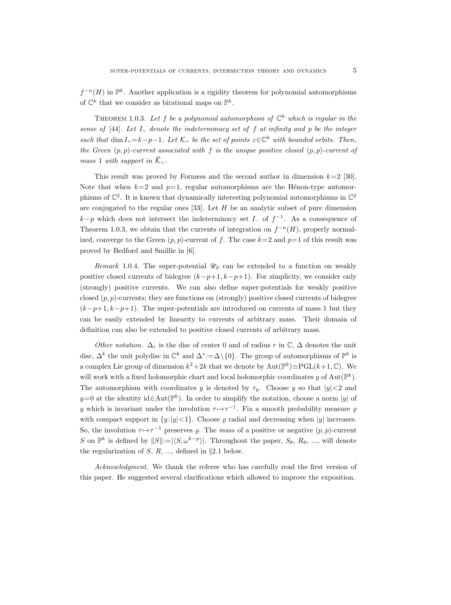$f^{-n}(H)$  in  $\mathbb{P}^k$ . Another application is a rigidity theorem for polynomial automorphisms of  $\mathbb{C}^k$  that we consider as birational maps on  $\mathbb{P}^k$ .

THEOREM 1.0.3. Let f be a polynomial automorphism of  $\mathbb{C}^k$  which is regular in the sense of [44]. Let  $I_+$  denote the indeterminacy set of f at infinity and p be the integer such that  $\dim I_+ = k-p-1$ . Let  $\mathcal{K}_+$  be the set of points  $z \in \mathbb{C}^k$  with bounded orbits. Then, the Green  $(p, p)$ -current associated with f is the unique positive closed  $(p, p)$ -current of mass 1 with support in  $\overline{\mathcal{K}}_+$ .

This result was proved by Fornæss and the second author in dimension  $k=2$  [30]. Note that when  $k=2$  and  $p=1$ , regular automorphisms are the Hénon-type automorphisms of  $\mathbb{C}^2$ . It is known that dynamically interesting polynomial automorphisms in  $\mathbb{C}^2$ are conjugated to the regular ones  $[33]$ . Let H be an analytic subset of pure dimension  $k-p$  which does not intersect the indeterminacy set  $I_$  of  $f^{-1}$ . As a consequence of Theorem 1.0.3, we obtain that the currents of integration on  $f^{-n}(H)$ , properly normalized, converge to the Green  $(p, p)$ -current of f. The case  $k=2$  and  $p=1$  of this result was proved by Bedford and Smillie in [6].

Remark 1.0.4. The super-potential  $\mathscr{U}_S$  can be extended to a function on weakly positive closed currents of bidegree  $(k-p+1, k-p+1)$ . For simplicity, we consider only (strongly) positive currents. We can also define super-potentials for weakly positive closed  $(p, p)$ -currents; they are functions on (strongly) positive closed currents of bidegree  $(k-p+1, k-p+1)$ . The super-potentials are introduced on currents of mass 1 but they can be easily extended by linearity to currents of arbitrary mass. Their domain of definition can also be extended to positive closed currents of arbitrary mass.

Other notation.  $\Delta_r$  is the disc of center 0 and of radius r in  $\mathbb{C}, \Delta$  denotes the unit disc,  $\Delta^k$  the unit polydisc in  $\mathbb{C}^k$  and  $\Delta^* := \Delta \setminus \{0\}$ . The group of automorphisms of  $\mathbb{P}^k$  is a complex Lie group of dimension  $k^2 + 2k$  that we denote by  $\text{Aut}(\mathbb{P}^k) \simeq \text{PGL}(k+1,\mathbb{C})$ . We will work with a fixed holomorphic chart and local holomorphic coordinates y of  $\text{Aut}(\mathbb{P}^k)$ . The automorphism with coordinates y is denoted by  $\tau_y$ . Choose y so that  $|y| < 2$  and  $y=0$  at the identity id∈Aut( $\mathbb{P}^k$ ). In order to simplify the notation, choose a norm |y| of y which is invariant under the involution  $\tau \mapsto \tau^{-1}$ . Fix a smooth probability measure  $\varrho$ with compact support in  $\{y:|y|<1\}$ . Choose  $\rho$  radial and decreasing when  $|y|$  increases. So, the involution  $\tau \mapsto \tau^{-1}$  preserves  $\varrho$ . The mass of a positive or negative  $(p, p)$ -current S on  $\mathbb{P}^k$  is defined by  $||S||:=|\langle S, \omega^{k-p}\rangle|$ . Throughout the paper,  $S_{\theta}$ ,  $R_{\theta}$ , ..., will denote the regularization of  $S, R, \dots$ , defined in §2.1 below.

Acknowledgment. We thank the referee who has carefully read the first version of this paper. He suggested several clarifications which allowed to improve the exposition.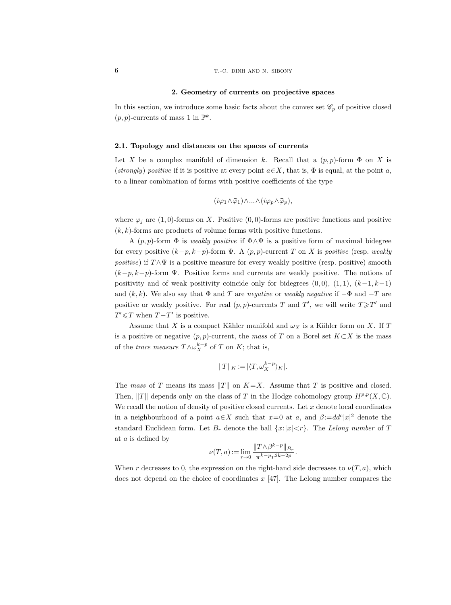## 2. Geometry of currents on projective spaces

In this section, we introduce some basic facts about the convex set  $\mathscr{C}_p$  of positive closed  $(p, p)$ -currents of mass 1 in  $\mathbb{P}^k$ .

## 2.1. Topology and distances on the spaces of currents

Let X be a complex manifold of dimension k. Recall that a  $(p, p)$ -form  $\Phi$  on X is (strongly) positive if it is positive at every point  $a \in X$ , that is,  $\Phi$  is equal, at the point a, to a linear combination of forms with positive coefficients of the type

$$
(i\varphi_1 \wedge \bar{\varphi}_1) \wedge \ldots \wedge (i\varphi_p \wedge \bar{\varphi}_p),
$$

where  $\varphi_i$  are (1,0)-forms on X. Positive (0,0)-forms are positive functions and positive  $(k, k)$ -forms are products of volume forms with positive functions.

A  $(p, p)$ -form  $\Phi$  is *weakly positive* if  $\Phi \wedge \Psi$  is a positive form of maximal bidegree for every positive  $(k-p, k-p)$ -form  $\Psi$ . A  $(p, p)$ -current T on X is positive (resp. weakly positive) if  $T \wedge \Psi$  is a positive measure for every weakly positive (resp. positive) smooth  $(k-p, k-p)$ -form Ψ. Positive forms and currents are weakly positive. The notions of positivity and of weak positivity coincide only for bidegrees  $(0, 0)$ ,  $(1, 1)$ ,  $(k-1, k-1)$ and  $(k, k)$ . We also say that  $\Phi$  and T are negative or weakly negative if  $-\Phi$  and  $-T$  are positive or weakly positive. For real  $(p, p)$ -currents T and T', we will write  $T \geq T'$  and  $T' \leq T$  when  $T - T'$  is positive.

Assume that X is a compact Kähler manifold and  $\omega_X$  is a Kähler form on X. If T is a positive or negative  $(p, p)$ -current, the mass of T on a Borel set  $K \subset X$  is the mass of the *trace measure*  $T \wedge \omega_X^{k-p}$  of T on K; that is,

$$
||T||_K := |\langle T, \omega_X^{k-p} \rangle_K|.
$$

The mass of T means its mass  $||T||$  on  $K=X$ . Assume that T is positive and closed. Then,  $||T||$  depends only on the class of T in the Hodge cohomology group  $H^{p,p}(X, \mathbb{C})$ . We recall the notion of density of positive closed currents. Let  $x$  denote local coordinates in a neighbourhood of a point  $a \in X$  such that  $x=0$  at a, and  $\beta := dd^c|x|^2$  denote the standard Euclidean form. Let  $B_r$  denote the ball  $\{x:|x|< r\}$ . The Lelong number of T at a is defined by

$$
\nu(T, a) := \lim_{r \to 0} \frac{\|T \wedge \beta^{k-p}\|_{B_r}}{\pi^{k-p} r^{2k-2p}}.
$$

When r decreases to 0, the expression on the right-hand side decreases to  $\nu(T, a)$ , which does not depend on the choice of coordinates  $x$  [47]. The Lelong number compares the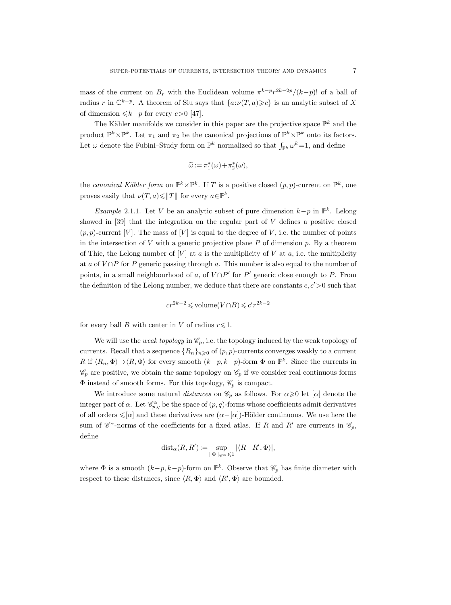mass of the current on  $B_r$  with the Euclidean volume  $\pi^{k-p}r^{2k-2p}/(k-p)!$  of a ball of radius r in  $\mathbb{C}^{k-p}$ . A theorem of Siu says that  $\{a:\nu(T,a)\geq c\}$  is an analytic subset of X of dimension  $\leq k-p$  for every c>0 [47].

The Kähler manifolds we consider in this paper are the projective space  $\mathbb{P}^k$  and the product  $\mathbb{P}^k \times \mathbb{P}^k$ . Let  $\pi_1$  and  $\pi_2$  be the canonical projections of  $\mathbb{P}^k \times \mathbb{P}^k$  onto its factors. Let  $\omega$  denote the Fubini–Study form on  $\mathbb{P}^k$  normalized so that  $\int_{\mathbb{P}^k} \omega^k = 1$ , and define

$$
\widetilde{\omega} := \pi_1^*(\omega) + \pi_2^*(\omega),
$$

the canonical Kähler form on  $\mathbb{P}^k \times \mathbb{P}^k$ . If T is a positive closed  $(p, p)$ -current on  $\mathbb{P}^k$ , one proves easily that  $\nu(T, a) \leq ||T||$  for every  $a \in \mathbb{P}^k$ .

*Example* 2.1.1. Let V be an analytic subset of pure dimension  $k-p$  in  $\mathbb{P}^k$ . Lelong showed in  $[39]$  that the integration on the regular part of V defines a positive closed  $(p, p)$ -current [V]. The mass of [V] is equal to the degree of V, i.e. the number of points in the intersection of  $V$  with a generic projective plane  $P$  of dimension  $p$ . By a theorem of Thie, the Lelong number of  $[V]$  at a is the multiplicity of V at a, i.e. the multiplicity at a of  $V \cap P$  for P generic passing through a. This number is also equal to the number of points, in a small neighbourhood of a, of  $V \cap P'$  for P' generic close enough to P. From the definition of the Lelong number, we deduce that there are constants  $c, c' > 0$  such that

$$
cr^{2k-2} \leqslant \text{volume}(V \cap B) \leqslant c'r^{2k-2}
$$

for every ball B with center in V of radius  $r \leq 1$ .

We will use the *weak topology* in  $\mathcal{C}_p$ , i.e. the topology induced by the weak topology of currents. Recall that a sequence  $\{R_n\}_{n\geqslant 0}$  of  $(p, p)$ -currents converges weakly to a current R if  $\langle R_n, \Phi \rangle \to \langle R, \Phi \rangle$  for every smooth  $(k-p, k-p)$ -form  $\Phi$  on  $\mathbb{P}^k$ . Since the currents in  $\mathscr{C}_p$  are positive, we obtain the same topology on  $\mathscr{C}_p$  if we consider real continuous forms  $\Phi$  instead of smooth forms. For this topology,  $\mathscr{C}_p$  is compact.

We introduce some natural distances on  $\mathcal{C}_p$  as follows. For  $\alpha \geq 0$  let [ $\alpha$ ] denote the integer part of  $\alpha$ . Let  $\mathscr{C}_{p,q}^{\alpha}$  be the space of  $(p,q)$ -forms whose coefficients admit derivatives of all orders  $\leq \lbrack \alpha \rbrack$  and these derivatives are  $(\alpha - \lbrack \alpha \rbrack)$ -Hölder continuous. We use here the sum of  $\mathscr{C}^{\alpha}$ -norms of the coefficients for a fixed atlas. If R and R' are currents in  $\mathscr{C}_p$ , define

$$
\mathrm{dist}_{\alpha}(R,R')\mathbin{:=}\sup_{\|\Phi\|_{\mathscr{C}^{\alpha}}\leqslant 1}|\langle R\!-\!R',\Phi\rangle|,
$$

where  $\Phi$  is a smooth  $(k-p, k-p)$ -form on  $\mathbb{P}^k$ . Observe that  $\mathscr{C}_p$  has finite diameter with respect to these distances, since  $\langle R, \Phi \rangle$  and  $\langle R', \Phi \rangle$  are bounded.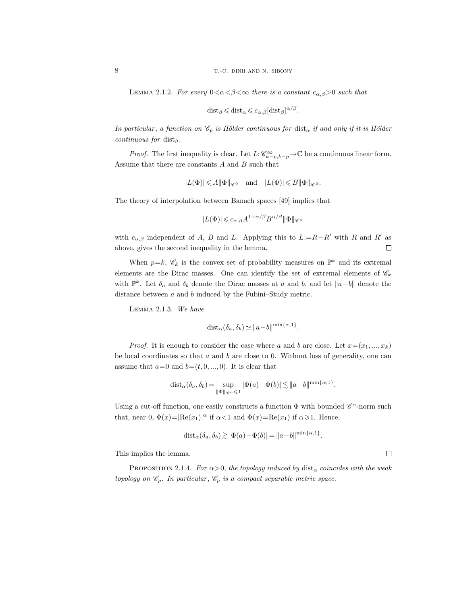LEMMA 2.1.2. For every  $0 < \alpha < \beta < \infty$  there is a constant  $c_{\alpha,\beta} > 0$  such that

$$
dist_{\beta} \leqslant dist_{\alpha} \leqslant c_{\alpha,\beta} [dist_{\beta}]^{\alpha/\beta}.
$$

In particular, a function on  $\mathscr{C}_p$  is Hölder continuous for  $dist_{\alpha}$  if and only if it is Hölder continuous for dist $_\beta$ .

*Proof.* The first inequality is clear. Let  $L: \mathcal{C}_{k-p,k-p}^{\infty} \to \mathbb{C}$  be a continuous linear form. Assume that there are constants  $A$  and  $B$  such that

$$
|L(\Phi)|\leqslant A\|\Phi\|_{{\mathscr{C}^0}}\quad\text{and}\quad |L(\Phi)|\leqslant B\|\Phi\|_{{\mathscr{C}^\beta}}.
$$

The theory of interpolation between Banach spaces [49] implies that

$$
|L(\Phi)| \leqslant c_{\alpha,\beta} A^{1-\alpha/\beta} B^{\alpha/\beta} ||\Phi||_{\mathscr{C}^{\alpha}}
$$

with  $c_{\alpha,\beta}$  independent of A, B and L. Applying this to  $L:=R-R'$  with R and R' as above, gives the second inequality in the lemma.  $\Box$ 

When  $p=k$ ,  $\mathscr{C}_k$  is the convex set of probability measures on  $\mathbb{P}^k$  and its extremal elements are the Dirac masses. One can identify the set of extremal elements of  $\mathscr{C}_k$ with  $\mathbb{P}^k$ . Let  $\delta_a$  and  $\delta_b$  denote the Dirac masses at a and b, and let  $||a-b||$  denote the distance between a and b induced by the Fubini–Study metric.

Lemma 2.1.3. We have

$$
dist_{\alpha}(\delta_a, \delta_b) \simeq ||a - b||^{\min\{\alpha, 1\}}.
$$

*Proof.* It is enough to consider the case where a and b are close. Let  $x=(x_1, ..., x_k)$ be local coordinates so that  $a$  and  $b$  are close to 0. Without loss of generality, one can assume that  $a=0$  and  $b=(t, 0, ..., 0)$ . It is clear that

$$
dist_{\alpha}(\delta_a, \delta_b) = \sup_{\|\Phi\|_{\mathscr{C}^{\alpha}} \leq 1} |\Phi(a) - \Phi(b)| \lesssim \|a - b\|^{\min\{\alpha, 1\}}.
$$

Using a cut-off function, one easily constructs a function  $\Phi$  with bounded  $\mathscr{C}^{\alpha}$ -norm such that, near 0,  $\Phi(x) = |\text{Re}(x_1)|^{\alpha}$  if  $\alpha < 1$  and  $\Phi(x) = \text{Re}(x_1)$  if  $\alpha \geq 1$ . Hence,

$$
dist_{\alpha}(\delta_a, \delta_b) \gtrsim |\Phi(a) - \Phi(b)| = ||a - b||^{\min\{\alpha, 1\}}.
$$

This implies the lemma.

PROPOSITION 2.1.4. For  $\alpha > 0$ , the topology induced by dist<sub> $\alpha$ </sub> coincides with the weak topology on  $\mathscr{C}_p$ . In particular,  $\mathscr{C}_p$  is a compact separable metric space.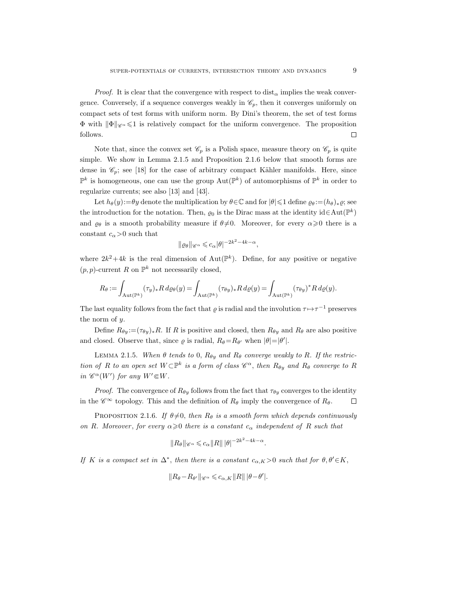*Proof.* It is clear that the convergence with respect to  $dist_{\alpha}$  implies the weak convergence. Conversely, if a sequence converges weakly in  $\mathcal{C}_p$ , then it converges uniformly on compact sets of test forms with uniform norm. By Dini's theorem, the set of test forms  $\Phi$  with  $\|\Phi\|_{\mathscr{C}^{\alpha}} \leq 1$  is relatively compact for the uniform convergence. The proposition follows.  $\Box$ 

Note that, since the convex set  $\mathscr{C}_p$  is a Polish space, measure theory on  $\mathscr{C}_p$  is quite simple. We show in Lemma 2.1.5 and Proposition 2.1.6 below that smooth forms are dense in  $\mathcal{C}_p$ ; see [18] for the case of arbitrary compact Kähler manifolds. Here, since  $\mathbb{P}^k$  is homogeneous, one can use the group  $\mathrm{Aut}(\mathbb{P}^k)$  of automorphisms of  $\mathbb{P}^k$  in order to regularize currents; see also [13] and [43].

Let  $h_{\theta}(y) := \theta y$  denote the multiplication by  $\theta \in \mathbb{C}$  and for  $|\theta| \leq 1$  define  $\varrho_{\theta} := (h_{\theta})_{*} \varrho$ ; see the introduction for the notation. Then,  $\varrho_0$  is the Dirac mass at the identity  $id \in Aut(\mathbb{P}^k)$ and  $\varrho_{\theta}$  is a smooth probability measure if  $\theta \neq 0$ . Moreover, for every  $\alpha \geq 0$  there is a constant  $c_{\alpha}$ >0 such that

$$
\|\varrho_\theta\|_{\mathscr{C}^\alpha}\leqslant c_\alpha|\theta|^{-2k^2-4k-\alpha},
$$

where  $2k^2+4k$  is the real dimension of  $Aut(\mathbb{P}^k)$ . Define, for any positive or negative  $(p, p)$ -current R on  $\mathbb{P}^k$  not necessarily closed,

$$
R_{\theta} := \int_{\mathrm{Aut}(\mathbb{P}^k)} (\tau_y)_* R \, d\varrho_{\theta}(y) = \int_{\mathrm{Aut}(\mathbb{P}^k)} (\tau_{\theta y})_* R \, d\varrho(y) = \int_{\mathrm{Aut}(\mathbb{P}^k)} (\tau_{\theta y})^* R \, d\varrho(y).
$$

The last equality follows from the fact that  $\varrho$  is radial and the involution  $\tau \mapsto \tau^{-1}$  preserves the norm of y.

Define  $R_{\theta y} := (\tau_{\theta y})_*R$ . If R is positive and closed, then  $R_{\theta y}$  and  $R_{\theta}$  are also positive and closed. Observe that, since  $\varrho$  is radial,  $R_{\theta} = R_{\theta'}$  when  $|\theta| = |\theta'|$ .

LEMMA 2.1.5. When  $\theta$  tends to 0,  $R_{\theta y}$  and  $R_{\theta}$  converge weakly to R. If the restriction of R to an open set  $W\subset \mathbb{P}^k$  is a form of class  $\mathscr{C}^{\alpha}$ , then  $R_{\theta y}$  and  $R_{\theta}$  converge to R in  $\mathscr{C}^{\alpha}(W')$  for any  $W' \in W$ .

*Proof.* The convergence of  $R_{\theta y}$  follows from the fact that  $\tau_{\theta y}$  converges to the identity in the  $\mathscr{C}^{\infty}$  topology. This and the definition of  $R_{\theta}$  imply the convergence of  $R_{\theta}$ .  $\Box$ 

PROPOSITION 2.1.6. If  $\theta \neq 0$ , then  $R_{\theta}$  is a smooth form which depends continuously on R. Moreover, for every  $\alpha \geq 0$  there is a constant  $c_{\alpha}$  independent of R such that

$$
||R_{\theta}||_{\mathscr{C}^{\alpha}} \leqslant c_{\alpha}||R|| |\theta|^{-2k^2 - 4k - \alpha}.
$$

If K is a compact set in  $\Delta^*$ , then there is a constant  $c_{\alpha,K} > 0$  such that for  $\theta, \theta' \in K$ ,

$$
||R_{\theta}-R_{\theta'}||_{\mathscr{C}^{\alpha}} \leqslant c_{\alpha,K}||R|| \, |\theta-\theta'|.
$$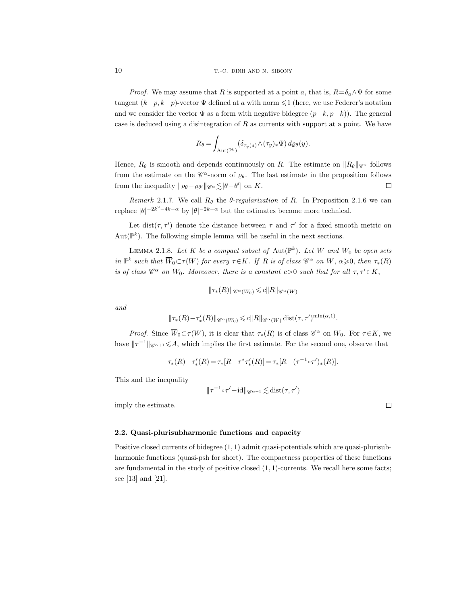*Proof.* We may assume that R is supported at a point a, that is,  $R = \delta_a \wedge \Psi$  for some tangent  $(k-p, k-p)$ -vector  $\Psi$  defined at a with norm  $\leq 1$  (here, we use Federer's notation and we consider the vector  $\Psi$  as a form with negative bidegree  $(p-k, p-k)$ ). The general case is deduced using a disintegration of  $R$  as currents with support at a point. We have

$$
R_{\theta} = \int_{\mathrm{Aut}(\mathbb{P}^k)} (\delta_{\tau_y(a)} \wedge (\tau_y)_* \Psi) \, d\varrho_{\theta}(y).
$$

Hence,  $R_{\theta}$  is smooth and depends continuously on R. The estimate on  $||R_{\theta}||_{\mathscr{C}_{\alpha}}$  follows from the estimate on the  $\mathscr{C}^{\alpha}$ -norm of  $\varrho_{\theta}$ . The last estimate in the proposition follows from the inequality  $\|\varrho_{\theta}-\varrho_{\theta'}\|_{\mathscr{C}^{\alpha}} \lesssim |\theta-\theta'|$  on K.  $\Box$ 

Remark 2.1.7. We call  $R_\theta$  the  $\theta$ -regularization of R. In Proposition 2.1.6 we can replace  $|\theta|^{-2k^2-4k-\alpha}$  by  $|\theta|^{-2k-\alpha}$  but the estimates become more technical.

Let dist( $\tau$ ,  $\tau'$ ) denote the distance between  $\tau$  and  $\tau'$  for a fixed smooth metric on  $Aut(\mathbb{P}^k)$ . The following simple lemma will be useful in the next sections.

LEMMA 2.1.8. Let K be a compact subset of  $\text{Aut}(\mathbb{P}^k)$ . Let W and  $W_0$  be open sets in  $\mathbb{P}^k$  such that  $\overline{W}_0 \subset \tau(W)$  for every  $\tau \in K$ . If R is of class  $\mathscr{C}^{\alpha}$  on W,  $\alpha \geqslant 0$ , then  $\tau_*(R)$ is of class  $\mathscr{C}^{\alpha}$  on  $W_0$ . Moreover, there is a constant  $c>0$  such that for all  $\tau, \tau' \in K$ ,

$$
\|\tau_*(R)\|_{\mathscr{C}^\alpha(W_0)} \leqslant c \|R\|_{\mathscr{C}^\alpha(W)}
$$

and

$$
\|\tau_*(R)-\tau'_*(R)\|_{\mathscr{C}^{\alpha}(W_0)} \leq c \|R\|_{\mathscr{C}^{\alpha}(W)} \operatorname{dist}(\tau, \tau')^{\min(\alpha, 1)}.
$$

Proof. Since  $\overline{W}_0 \subset \tau(W)$ , it is clear that  $\tau_*(R)$  is of class  $\mathscr{C}^{\alpha}$  on  $W_0$ . For  $\tau \in K$ , we have  $||\tau^{-1}||_{\mathscr{C}^{\alpha+1}} \leq A$ , which implies the first estimate. For the second one, observe that

$$
\tau_*(R) - \tau'_*(R) = \tau_*[R - \tau^* \tau'_*(R)] = \tau_*[R - (\tau^{-1} \circ \tau')_*(R)].
$$

This and the inequality

$$
\|\tau^{-1}\circ\tau'-\mathrm{id}\|_{\mathscr{C}^{\alpha+1}}\lesssim\mathrm{dist}(\tau,\tau')
$$

imply the estimate.

 $\Box$ 

# 2.2. Quasi-plurisubharmonic functions and capacity

Positive closed currents of bidegree (1, 1) admit quasi-potentials which are quasi-plurisubharmonic functions (quasi-psh for short). The compactness properties of these functions are fundamental in the study of positive closed  $(1, 1)$ -currents. We recall here some facts; see [13] and [21].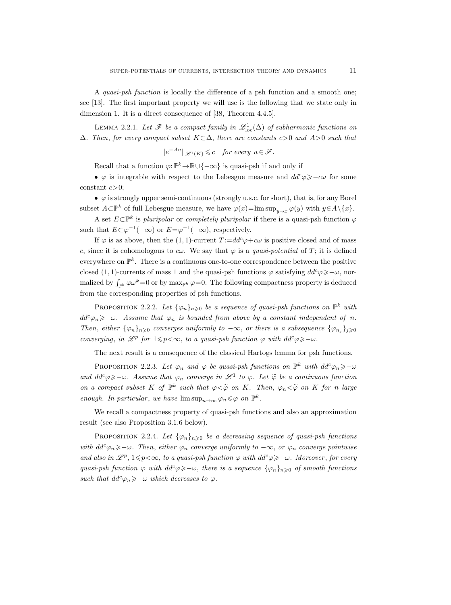A quasi-psh function is locally the difference of a psh function and a smooth one; see [13]. The first important property we will use is the following that we state only in dimension 1. It is a direct consequence of [38, Theorem 4.4.5].

LEMMA 2.2.1. Let  $\mathscr F$  be a compact family in  $\mathscr L^1_{\text{loc}}(\Delta)$  of subharmonic functions on  $\Delta$ . Then, for every compact subset  $K \subset \Delta$ , there are constants c>0 and A>0 such that

$$
||e^{-Au}||_{\mathscr{L}^1(K)} \leq c \quad \text{for every } u \in \mathscr{F}.
$$

Recall that a function  $\varphi: \mathbb{P}^k \to \mathbb{R} \cup \{-\infty\}$  is quasi-psh if and only if

•  $\varphi$  is integrable with respect to the Lebesgue measure and  $dd^c \varphi \geq -c\omega$  for some constant  $c>0$ ;

•  $\varphi$  is strongly upper semi-continuous (strongly u.s.c. for short), that is, for any Borel subset  $A\subset \mathbb{P}^k$  of full Lebesgue measure, we have  $\varphi(x)=\limsup_{y\to x}\varphi(y)$  with  $y\in A\setminus\{x\}.$ 

A set  $E \subset \mathbb{P}^k$  is pluripolar or completely pluripolar if there is a quasi-psh function  $\varphi$ such that  $E \subset \varphi^{-1}(-\infty)$  or  $E = \varphi^{-1}(-\infty)$ , respectively.

If  $\varphi$  is as above, then the (1, 1)-current  $T := dd^c \varphi + c\omega$  is positive closed and of mass c, since it is cohomologous to  $c\omega$ . We say that  $\varphi$  is a quasi-potential of T; it is defined everywhere on  $\mathbb{P}^k$ . There is a continuous one-to-one correspondence between the positive closed (1, 1)-currents of mass 1 and the quasi-psh functions  $\varphi$  satisfying  $dd^c \varphi \geq -\omega$ , normalized by  $\int_{\mathbb{P}^k} \varphi \omega^k = 0$  or by  $\max_{\mathbb{P}^k} \varphi = 0$ . The following compactness property is deduced from the corresponding properties of psh functions.

PROPOSITION 2.2.2. Let  $\{\varphi_n\}_{n\geqslant 0}$  be a sequence of quasi-psh functions on  $\mathbb{P}^k$  with  $dd^c\varphi_n\geq-\omega$ . Assume that  $\varphi_n$  is bounded from above by a constant independent of n. Then, either  $\{\varphi_n\}_{n\geqslant0}$  converges uniformly to  $-\infty$ , or there is a subsequence  $\{\varphi_{n_i}\}_{i\geqslant0}$ converging, in  $\mathscr{L}^p$  for  $1\leqslant p<\infty$ , to a quasi-psh function  $\varphi$  with  $dd^c\varphi\geqslant-\omega$ .

The next result is a consequence of the classical Hartogs lemma for psh functions.

PROPOSITION 2.2.3. Let  $\varphi_n$  and  $\varphi$  be quasi-psh functions on  $\mathbb{P}^k$  with  $dd^c\varphi_n \geqslant -\omega$ and  $dd^c \varphi \geq -\omega$ . Assume that  $\varphi_n$  converge in  $\mathscr{L}^1$  to  $\varphi$ . Let  $\widetilde{\varphi}$  be a continuous function on a compact subset K of  $\mathbb{P}^k$  such that  $\varphi < \widetilde{\varphi}$  on K. Then,  $\varphi_n < \widetilde{\varphi}$  on K for n large enough. In particular, we have  $\limsup_{n\to\infty} \varphi_n \leq \varphi$  on  $\mathbb{P}^k$ .

We recall a compactness property of quasi-psh functions and also an approximation result (see also Proposition 3.1.6 below).

**PROPOSITION** 2.2.4. Let  $\{\varphi_n\}_{n\geqslant 0}$  be a decreasing sequence of quasi-psh functions with  $dd^c \varphi_n \geq -\omega$ . Then, either  $\varphi_n$  converge uniformly to  $-\infty$ , or  $\varphi_n$  converge pointwise and also in  $\mathscr{L}^p$ ,  $1\leqslant p<\infty$ , to a quasi-psh function  $\varphi$  with  $dd^c\varphi \geqslant -\omega$ . Moreover, for every quasi-psh function  $\varphi$  with  $dd^c \varphi \geq -\omega$ , there is a sequence  $\{\varphi_n\}_{n\geq 0}$  of smooth functions such that  $dd^c\varphi_n\geq-\omega$  which decreases to  $\varphi$ .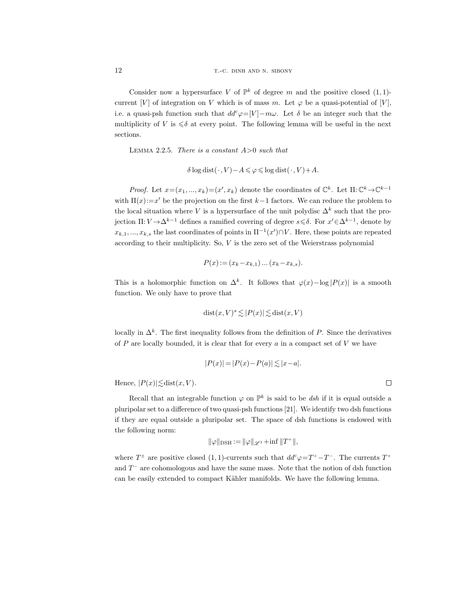Consider now a hypersurface V of  $\mathbb{P}^k$  of degree m and the positive closed  $(1,1)$ current [V] of integration on V which is of mass m. Let  $\varphi$  be a quasi-potential of [V], i.e. a quasi-psh function such that  $dd^c \varphi = [V] - m\omega$ . Let  $\delta$  be an integer such that the multiplicity of V is  $\leq \delta$  at every point. The following lemma will be useful in the next sections.

LEMMA 2.2.5. There is a constant  $A>0$  such that

$$
\delta \log \text{dist}(\cdot, V) - A \leqslant \varphi \leqslant \log \text{dist}(\cdot, V) + A.
$$

Proof. Let  $x=(x_1,...,x_k)=(x',x_k)$  denote the coordinates of  $\mathbb{C}^k$ . Let  $\Pi:\mathbb{C}^k\to\mathbb{C}^{k-1}$ with  $\Pi(x) := x'$  be the projection on the first  $k-1$  factors. We can reduce the problem to the local situation where V is a hypersurface of the unit polydisc  $\Delta^k$  such that the projection  $\Pi: V \to \Delta^{k-1}$  defines a ramified covering of degree  $s \leq \delta$ . For  $x' \in \Delta^{k-1}$ , denote by  $x_{k,1},...,x_{k,s}$  the last coordinates of points in  $\Pi^{-1}(x') \cap V$ . Here, these points are repeated according to their multiplicity. So,  $V$  is the zero set of the Weierstrass polynomial

$$
P(x) := (x_k - x_{k,1}) \dots (x_k - x_{k,s}).
$$

This is a holomorphic function on  $\Delta^k$ . It follows that  $\varphi(x) - \log |P(x)|$  is a smooth function. We only have to prove that

$$
dist(x, V)^s \lesssim |P(x)| \lesssim dist(x, V)
$$

locally in  $\Delta^k$ . The first inequality follows from the definition of P. Since the derivatives of  $P$  are locally bounded, it is clear that for every  $a$  in a compact set of  $V$  we have

$$
|P(x)| = |P(x) - P(a)| \lesssim |x - a|.
$$

Hence,  $|P(x)| \lesssim \text{dist}(x, V)$ .

Recall that an integrable function  $\varphi$  on  $\mathbb{P}^k$  is said to be dsh if it is equal outside a pluripolar set to a difference of two quasi-psh functions [21]. We identify two dsh functions if they are equal outside a pluripolar set. The space of dsh functions is endowed with the following norm:

$$
\|\varphi\|_{\text{DSH}} := \|\varphi\|_{\mathscr{L}^1} + \inf \|T^+\|,
$$

where  $T^{\pm}$  are positive closed (1, 1)-currents such that  $dd^c \varphi = T^+ - T^-$ . The currents  $T^+$ and  $T^-$  are cohomologous and have the same mass. Note that the notion of dsh function can be easily extended to compact Kähler manifolds. We have the following lemma.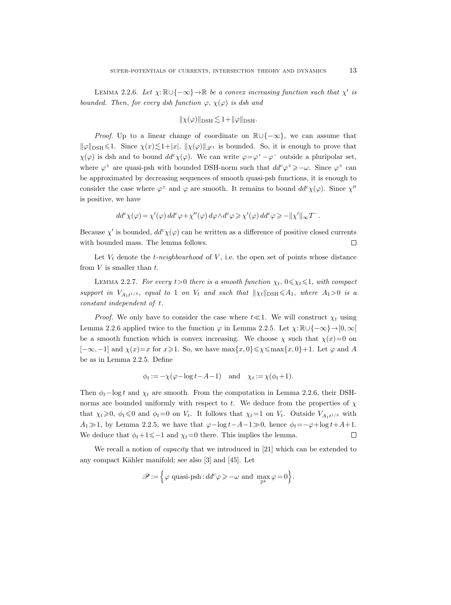LEMMA 2.2.6. Let  $\chi: \mathbb{R} \cup \{-\infty\} \to \mathbb{R}$  be a convex increasing function such that  $\chi'$  is bounded. Then, for every dsh function  $\varphi$ ,  $\chi(\varphi)$  is dsh and

$$
\|\chi(\varphi)\|_{\rm DSH}\lesssim 1+\|\varphi\|_{\rm DSH}.
$$

*Proof.* Up to a linear change of coordinate on  $\mathbb{R}\cup\{-\infty\}$ , we can assume that  $\|\varphi\|_{\text{DSH}} \leq 1$ . Since  $\chi(x) \leq 1 + |x|, \|\chi(\varphi)\|_{\mathscr{L}^1}$  is bounded. So, it is enough to prove that  $\chi(\varphi)$  is dsh and to bound  $dd^c \chi(\varphi)$ . We can write  $\varphi = \varphi^+ - \varphi^-$  outside a pluripolar set, where  $\varphi^{\pm}$  are quasi-psh with bounded DSH-norm such that  $dd^c \varphi^{\pm} \geq -\omega$ . Since  $\varphi^{\pm}$  can be approximated by decreasing sequences of smooth quasi-psh functions, it is enough to consider the case where  $\varphi^{\pm}$  and  $\varphi$  are smooth. It remains to bound  $dd^{c}\chi(\varphi)$ . Since  $\chi''$ is positive, we have

$$
dd^c \chi(\varphi) = \chi'(\varphi) dd^c \varphi + \chi''(\varphi) d\varphi \wedge d^c \varphi \geqslant \chi'(\varphi) dd^c \varphi \geqslant -\|\chi'\|_{\infty} T^-.
$$

Because  $\chi'$  is bounded,  $dd^c \chi(\varphi)$  can be written as a difference of positive closed currents with bounded mass. The lemma follows.  $\Box$ 

Let  $V_t$  denote the *t*-neighbourhood of  $V$ , i.e. the open set of points whose distance from  $V$  is smaller than  $t$ .

LEMMA 2.2.7. For every  $t>0$  there is a smooth function  $\chi_t$ ,  $0 \leq \chi_t \leq 1$ , with compact support in  $V_{A_1t^{1/\delta}}$ , equal to 1 on  $V_t$  and such that  $\|\chi_t\|_{\text{DSH}} \leq A_1$ , where  $A_1>0$  is a constant independent of t.

*Proof.* We only have to consider the case where  $t \ll 1$ . We will construct  $\chi_t$  using Lemma 2.2.6 applied twice to the function  $\varphi$  in Lemma 2.2.5. Let  $\chi: \mathbb{R} \cup \{-\infty\} \to [0,\infty[$ be a smooth function which is convex increasing. We choose  $\chi$  such that  $\chi(x)=0$  on  $[-\infty, -1]$  and  $\chi(x)=x$  for  $x\geqslant 1$ . So, we have  $\max\{x, 0\}\leqslant \chi \leqslant \max\{x, 0\}+1$ . Let  $\varphi$  and A be as in Lemma 2.2.5. Define

$$
\phi_t := -\chi(\varphi - \log t - A - 1) \quad \text{and} \quad \chi_t := \chi(\phi_t + 1).
$$

Then  $\phi_t$ -log t and  $\chi_t$  are smooth. From the computation in Lemma 2.2.6, their DSHnorms are bounded uniformly with respect to t. We deduce from the properties of  $\chi$ that  $\chi_t \geq 0$ ,  $\phi_t \leq 0$  and  $\phi_t = 0$  on  $V_t$ . It follows that  $\chi_t = 1$  on  $V_t$ . Outside  $V_{A_1 t^{1/\delta}}$  with A<sub>1</sub> $\gg$ 1, by Lemma 2.2.5, we have that  $\varphi$ -log t−A−1 $\gg$ 0, hence  $\phi_t = -\varphi + \log t + A + 1$ . We deduce that  $\phi_t+1\leq -1$  and  $\chi_t=0$  there. This implies the lemma.  $\Box$ 

We recall a notion of *capacity* that we introduced in [21] which can be extended to any compact Kähler manifold; see also  $[3]$  and  $[45]$ . Let

$$
\mathscr{P}:=\Big\{\varphi\text{ quasi-psh}: dd^c \varphi \geqslant -\omega \text{ and } \max_{\mathbb{P}^k} \varphi=0 \Big\}.
$$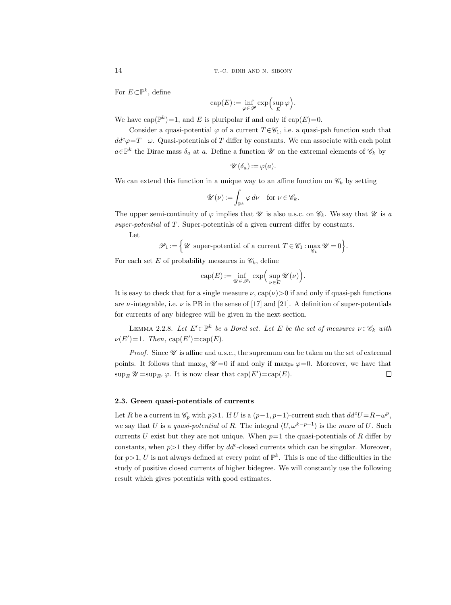For  $E \subset \mathbb{P}^k$ , define

$$
\operatorname{cap}(E) := \inf_{\varphi \in \mathscr{P}} \exp\left(\sup_{E} \varphi\right).
$$

We have  $cap(\mathbb{P}^k)=1$ , and E is pluripolar if and only if  $cap(E)=0$ .

Consider a quasi-potential  $\varphi$  of a current  $T \in \mathscr{C}_1$ , i.e. a quasi-psh function such that  $dd^c\varphi = T - \omega$ . Quasi-potentials of T differ by constants. We can associate with each point  $a \in \mathbb{P}^k$  the Dirac mass  $\delta_a$  at a. Define a function  $\mathscr U$  on the extremal elements of  $\mathscr C_k$  by

$$
\mathscr{U}(\delta_a) := \varphi(a).
$$

We can extend this function in a unique way to an affine function on  $\mathscr{C}_k$  by setting

$$
\mathscr{U}(\nu) := \int_{\mathbb{P}^k} \varphi \, d\nu \quad \text{for } \nu \in \mathscr{C}_k.
$$

The upper semi-continuity of  $\varphi$  implies that  $\mathscr U$  is also u.s.c. on  $\mathscr C_k$ . We say that  $\mathscr U$  is a super-potential of T. Super-potentials of a given current differ by constants.

Let

$$
\mathscr{P}_1 \mathrel{:=} \Big\{\mathscr{U} \text{ super-potential of a current } T \in \mathscr{C}_1: \max_{\mathscr{C}_k} \mathscr{U} = 0 \Big\}.
$$

For each set E of probability measures in  $\mathscr{C}_k$ , define

$$
\operatorname{cap}(E) := \inf_{\mathscr{U} \in \mathscr{P}_1} \exp\Big(\sup_{\nu \in E} \mathscr{U}(\nu)\Big).
$$

It is easy to check that for a single measure  $\nu$ , cap $(\nu) > 0$  if and only if quasi-psh functions are v-integrable, i.e.  $\nu$  is PB in the sense of [17] and [21]. A definition of super-potentials for currents of any bidegree will be given in the next section.

LEMMA 2.2.8. Let  $E' \subset \mathbb{P}^k$  be a Borel set. Let E be the set of measures  $\nu \in \mathscr{C}_k$  with  $\nu(E')=1$ . Then, cap(E')=cap(E).

*Proof.* Since  $\mathscr U$  is affine and u.s.c., the supremum can be taken on the set of extremal points. It follows that  $\max_{\mathscr{C}_k} \mathscr{U} = 0$  if and only if  $\max_{\mathbb{P}^k} \varphi = 0$ . Moreover, we have that  $\sup_E \mathscr{U} = \sup_{E} \varphi$ . It is now clear that  $\text{cap}(E') = \text{cap}(E)$ .  $\Box$ 

### 2.3. Green quasi-potentials of currents

Let R be a current in  $\mathcal{C}_p$  with  $p \geq 1$ . If U is a  $(p-1, p-1)$ -current such that  $dd^c U = R - \omega^p$ , we say that U is a quasi-potential of R. The integral  $\langle U, \omega^{k-p+1} \rangle$  is the mean of U. Such currents U exist but they are not unique. When  $p=1$  the quasi-potentials of R differ by constants, when  $p > 1$  they differ by  $dd^c$ -closed currents which can be singular. Moreover, for  $p > 1$ , U is not always defined at every point of  $\mathbb{P}^k$ . This is one of the difficulties in the study of positive closed currents of higher bidegree. We will constantly use the following result which gives potentials with good estimates.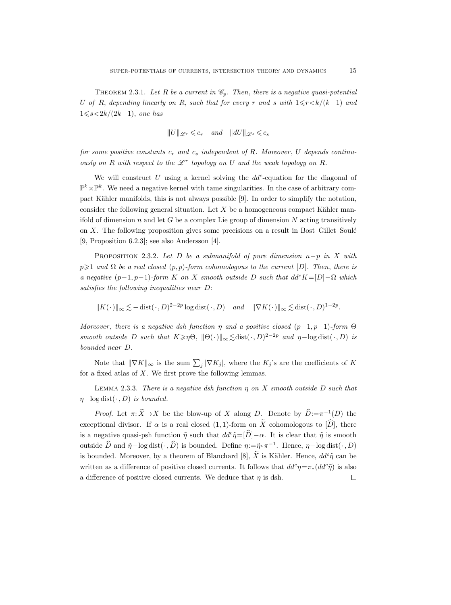THEOREM 2.3.1. Let R be a current in  $\mathcal{C}_p$ . Then, there is a negative quasi-potential U of R, depending linearly on R, such that for every r and s with  $1 \le r \le k/(k-1)$  and  $1\leq s<2k/(2k-1)$ , one has

$$
||U||_{\mathscr{L}^{r}} \leqslant c_{r} \quad \textit{ and } \quad ||dU||_{\mathscr{L}^{s}} \leqslant c_{s}
$$

for some positive constants  $c_r$  and  $c_s$  independent of R. Moreover, U depends continuously on  $R$  with respect to the  $\mathscr{L}^r$  topology on  $U$  and the weak topology on  $R$ .

We will construct  $U$  using a kernel solving the  $dd^c$ -equation for the diagonal of  $\mathbb{P}^k \times \mathbb{P}^k$ . We need a negative kernel with tame singularities. In the case of arbitrary compact Kähler manifolds, this is not always possible  $[9]$ . In order to simplify the notation, consider the following general situation. Let  $X$  be a homogeneous compact Kähler manifold of dimension n and let G be a complex Lie group of dimension  $N$  acting transitively on  $X$ . The following proposition gives some precisions on a result in Bost–Gillet–Soulé [9, Proposition 6.2.3]; see also Andersson [4].

PROPOSITION 2.3.2. Let D be a submanifold of pure dimension  $n-p$  in X with  $p\geq 1$  and  $\Omega$  be a real closed  $(p, p)$ -form cohomologous to the current  $[D]$ . Then, there is a negative  $(p-1, p-1)$ -form K on X smooth outside D such that  $dd^{c}K=[D]-\Omega$  which satisfies the following inequalities near D:

 $||K(\cdot)||_{\infty} \lesssim -\operatorname{dist}(\cdot, D)^{2-2p} \log \operatorname{dist}(\cdot, D) \quad \text{and} \quad ||\nabla K(\cdot)||_{\infty} \lesssim \operatorname{dist}(\cdot, D)^{1-2p}.$ 

Moreover, there is a negative dsh function  $\eta$  and a positive closed  $(p-1, p-1)$ -form  $\Theta$ smooth outside D such that  $K \geq \eta \Theta$ ,  $\|\Theta(\cdot)\|_{\infty} \leq \text{dist}(\cdot, D)^{2-2p}$  and  $\eta-\text{log dist}(\cdot, D)$  is bounded near D.

Note that  $\|\nabla K\|_{\infty}$  is the sum  $\sum_{j} |\nabla K_j|$ , where the  $K_j$ 's are the coefficients of K for a fixed atlas of  $X$ . We first prove the following lemmas.

LEMMA 2.3.3. There is a negative dsh function  $\eta$  on X smooth outside D such that  $\eta$ −log dist(·, D) is bounded.

*Proof.* Let  $\pi: X \to X$  be the blow-up of X along D. Denote by  $\hat{D} := \pi^{-1}(D)$  the exceptional divisor. If  $\alpha$  is a real closed (1, 1)-form on  $\widetilde{X}$  cohomologous to  $[\widehat{D}]$ , there is a negative quasi-psh function  $\tilde{\eta}$  such that  $dd^c \tilde{\eta} = [\tilde{D}]-\alpha$ . It is clear that  $\tilde{\eta}$  is smooth outside  $\widehat{D}$  and  $\tilde{\eta}$ -log dist $(\cdot, \widehat{D})$  is bounded. Define  $\eta := \tilde{\eta} \circ \pi^{-1}$ . Hence,  $\eta$ -log dist $(\cdot, D)$ is bounded. Moreover, by a theorem of Blanchard [8],  $\widetilde{X}$  is Kähler. Hence,  $dd^c\widetilde{\eta}$  can be written as a difference of positive closed currents. It follows that  $dd^c\eta = \pi_*(dd^c\tilde{\eta})$  is also a difference of positive closed currents. We deduce that  $\eta$  is dsh.  $\Box$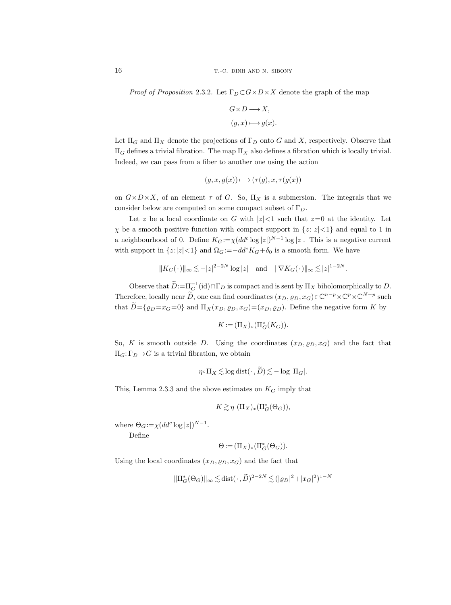*Proof of Proposition 2.3.2.* Let  $\Gamma_D \subset G \times D \times X$  denote the graph of the map

$$
\begin{aligned} G\!\times\! D &\longrightarrow\! X, \\ (g,x) &\longmapsto g(x). \end{aligned}
$$

Let  $\Pi_G$  and  $\Pi_X$  denote the projections of  $\Gamma_D$  onto G and X, respectively. Observe that  $\Pi_G$  defines a trivial fibration. The map  $\Pi_X$  also defines a fibration which is locally trivial. Indeed, we can pass from a fiber to another one using the action

$$
(g, x, g(x)) \longmapsto (\tau(g), x, \tau(g(x)))
$$

on  $G \times D \times X$ , of an element  $\tau$  of G. So,  $\Pi_X$  is a submersion. The integrals that we consider below are computed on some compact subset of  $\Gamma_D$ .

Let z be a local coordinate on G with  $|z|<1$  such that  $z=0$  at the identity. Let  $\chi$  be a smooth positive function with compact support in  $\{z:|z|<1\}$  and equal to 1 in a neighbourhood of 0. Define  $K_G := \chi (dd^c \log |z|)^{N-1} \log |z|$ . This is a negative current with support in  $\{z:|z|<1\}$  and  $\Omega_G:=-dd^c K_G+\delta_0$  is a smooth form. We have

$$
||K_G(\cdot)||_{\infty} \lesssim -|z|^{2-2N} \log|z| \quad \text{and} \quad ||\nabla K_G(\cdot)||_{\infty} \lesssim |z|^{1-2N}.
$$

Observe that  $\widetilde{D} := \prod_{\mathcal{G}}^{-1}(\text{id}) \cap \Gamma_D$  is compact and is sent by  $\Pi_X$  biholomorphically to  $D$ . Therefore, locally near  $\widetilde{D}$ , one can find coordinates  $(x_D, \varrho_D, x_G) \in \mathbb{C}^{n-p} \times \mathbb{C}^p \times \mathbb{C}^{N-p}$  such that  $\tilde{D} = \{ \varrho_D = x_G = 0 \}$  and  $\Pi_X(x_D, \varrho_D, x_G) = (x_D, \varrho_D)$ . Define the negative form K by

$$
K\mathop{{:}{=}} (\Pi_X)_*(\Pi_G^*(K_G)).
$$

So, K is smooth outside D. Using the coordinates  $(x_D, \varrho_D, x_G)$  and the fact that  $\Pi_G: \Gamma_D \rightarrow G$  is a trivial fibration, we obtain

$$
\eta \circ \Pi_X \lesssim \log \text{dist}(\cdot, \widetilde{D}) \lesssim -\log |\Pi_G|.
$$

This, Lemma 2.3.3 and the above estimates on  $K_G$  imply that

$$
K \gtrsim \eta \ (\Pi_X)_* (\Pi^*_G(\Theta_G)),
$$

where  $\Theta_G := \chi(dd^c \log|z|)^{N-1}$ .

Define

$$
\Theta := (\Pi_X)_* (\Pi_G^*(\Theta_G)).
$$

Using the local coordinates  $(x_D, \varrho_D, x_G)$  and the fact that

$$
\|\Pi_G^*(\Theta_G)\|_{\infty} \lesssim \text{dist}(\cdot,\widetilde{D})^{2-2N} \lesssim (|\varrho_D|^2 + |x_G|^2)^{1-N}
$$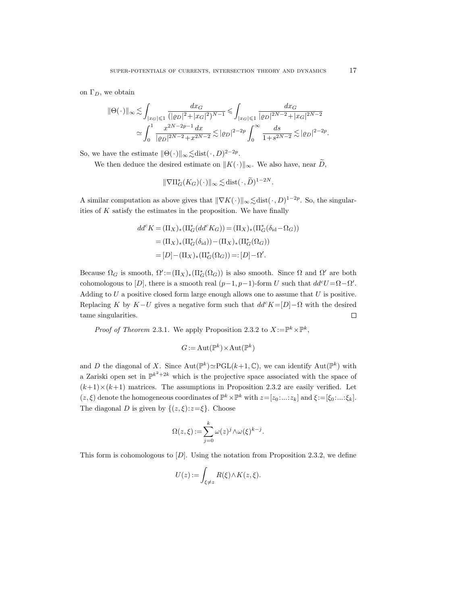on  $\Gamma_D$ , we obtain

$$
\|\Theta(\,\cdot\,)\|_{\infty} \lesssim \int_{|x_G| \leqslant 1} \frac{dx_G}{(|\varrho_D|^2 + |x_G|^2)^{N-1}} \leqslant \int_{|x_G| \leqslant 1} \frac{dx_G}{|\varrho_D|^{2N-2} + |x_G|^{2N-2}} \lesssim \int_0^1 \frac{x^{2N-2p-1} dx}{|\varrho_D|^{2N-2} + x^{2N-2}} \lesssim |\varrho_D|^{2-2p} \int_0^\infty \frac{ds}{1 + s^{2N-2}} \lesssim |\varrho_D|^{2-2p}.
$$

So, we have the estimate  $\|\Theta(\cdot)\|_{\infty} \lesssim \text{dist}(\cdot, D)^{2-2p}$ .

We then deduce the desired estimate on  $||K(\cdot)||_{\infty}$ . We also have, near D,

$$
\|\nabla\Pi_G^*(K_G)(\cdot)\|_\infty \lesssim \text{dist}(\cdot,\widetilde{D})^{1-2N}.
$$

A similar computation as above gives that  $\|\nabla K(\cdot)\|_{\infty} \lesssim \text{dist}(\cdot, D)^{1-2p}$ . So, the singularities of  $K$  satisfy the estimates in the proposition. We have finally

$$
dd^{c} K = (\Pi_{X})_{*} (\Pi_{G}^{*} (dd^{c} K_{G})) = (\Pi_{X})_{*} (\Pi_{G}^{*} (\delta_{\text{id}} - \Omega_{G}))
$$
  
= (\Pi\_{X})\_{\*} (\Pi\_{G}^{\*} (\delta\_{\text{id}})) - (\Pi\_{X})\_{\*} (\Pi\_{G}^{\*} (\Omega\_{G}))  
= [D] - (\Pi\_{X})\_{\*} (\Pi\_{G}^{\*} (\Omega\_{G})) =: [D] - \Omega'.

Because  $\Omega_G$  is smooth,  $\Omega' := (\Pi_X)_*(\Pi_G^*(\Omega_G))$  is also smooth. Since  $\Omega$  and  $\Omega'$  are both cohomologous to [D], there is a smooth real  $(p-1, p-1)$ -form U such that  $dd^cU = \Omega - \Omega'$ . Adding to  $U$  a positive closed form large enough allows one to assume that  $U$  is positive. Replacing K by  $K-U$  gives a negative form such that  $dd^cK=[D]-\Omega$  with the desired tame singularities.  $\Box$ 

*Proof of Theorem* 2.3.1. We apply Proposition 2.3.2 to  $X := \mathbb{P}^k \times \mathbb{P}^k$ ,

$$
G := \text{Aut}(\mathbb{P}^k) \times \text{Aut}(\mathbb{P}^k)
$$

and D the diagonal of X. Since  $Aut(\mathbb{P}^k) \simeq \mathrm{PGL}(k+1,\mathbb{C})$ , we can identify  $Aut(\mathbb{P}^k)$  with a Zariski open set in  $\mathbb{P}^{k^2+2k}$  which is the projective space associated with the space of  $(k+1)\times(k+1)$  matrices. The assumptions in Proposition 2.3.2 are easily verified. Let  $(z, \xi)$  denote the homogeneous coordinates of  $\mathbb{P}^k \times \mathbb{P}^k$  with  $z = [z_0 : ... : z_k]$  and  $\xi := [\xi_0 : ... : \xi_k]$ . The diagonal D is given by  $\{(z,\xi):z=\xi\}$ . Choose

$$
\Omega(z,\xi) := \sum_{j=0}^{k} \omega(z)^j \wedge \omega(\xi)^{k-j}.
$$

This form is cohomologous to  $[D]$ . Using the notation from Proposition 2.3.2, we define

$$
U(z) := \int_{\xi \neq z} R(\xi) \wedge K(z, \xi).
$$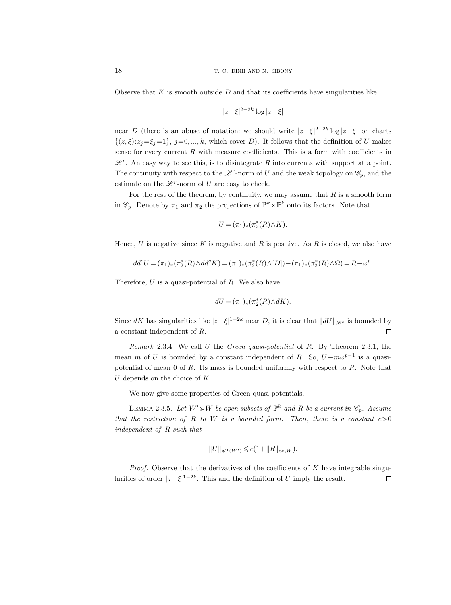Observe that  $K$  is smooth outside  $D$  and that its coefficients have singularities like

$$
|z-\xi|^{2-2k}\log|z-\xi|
$$

near D (there is an abuse of notation: we should write  $|z-\xi|^{2-2k} \log |z-\xi|$  on charts  $\{(z,\xi):z_j=\xi_j=1\},\ j=0,\ldots,k,$  which cover D). It follows that the definition of U makes sense for every current  $R$  with measure coefficients. This is a form with coefficients in  $\mathscr{L}^r$ . An easy way to see this, is to disintegrate R into currents with support at a point. The continuity with respect to the  $\mathscr{L}^r$ -norm of U and the weak topology on  $\mathscr{C}_p$ , and the estimate on the  $\mathscr{L}^r$ -norm of U are easy to check.

For the rest of the theorem, by continuity, we may assume that  $R$  is a smooth form in  $\mathscr{C}_p$ . Denote by  $\pi_1$  and  $\pi_2$  the projections of  $\mathbb{P}^k \times \mathbb{P}^k$  onto its factors. Note that

$$
U=(\pi_1)_*(\pi_2^*(R)\wedge K).
$$

Hence,  $U$  is negative since  $K$  is negative and  $R$  is positive. As  $R$  is closed, we also have

$$
dd^c U = (\pi_1)_*(\pi_2^*(R) \wedge dd^c K) = (\pi_1)_*(\pi_2^*(R) \wedge [D]) - (\pi_1)_*(\pi_2^*(R) \wedge \Omega) = R - \omega^p.
$$

Therefore,  $U$  is a quasi-potential of  $R$ . We also have

$$
dU=(\pi_1)_*(\pi_2^*(R)\wedge dK).
$$

Since dK has singularities like  $|z-\xi|^{1-2k}$  near D, it is clear that  $||dU||_{\mathscr{L}^s}$  is bounded by a constant independent of R.  $\Box$ 

Remark 2.3.4. We call U the Green quasi-potential of R. By Theorem 2.3.1, the mean m of U is bounded by a constant independent of R. So,  $U - m\omega^{p-1}$  is a quasipotential of mean  $0$  of  $R$ . Its mass is bounded uniformly with respect to  $R$ . Note that  $U$  depends on the choice of  $K$ .

We now give some properties of Green quasi-potentials.

LEMMA 2.3.5. Let  $W' \in W$  be open subsets of  $\mathbb{P}^k$  and R be a current in  $\mathscr{C}_p$ . Assume that the restriction of R to W is a bounded form. Then, there is a constant  $c>0$ independent of R such that

$$
||U||_{\mathscr{C}^1(W')} \leqslant c(1+||R||_{\infty,W}).
$$

*Proof.* Observe that the derivatives of the coefficients of  $K$  have integrable singularities of order  $|z-\xi|^{1-2k}$ . This and the definition of U imply the result.  $\Box$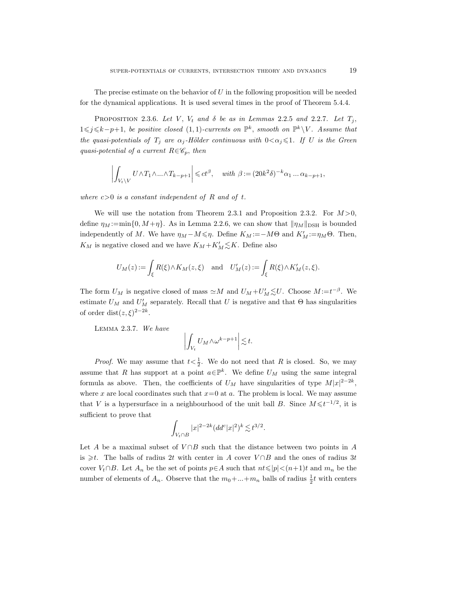The precise estimate on the behavior of  $U$  in the following proposition will be needed for the dynamical applications. It is used several times in the proof of Theorem 5.4.4.

PROPOSITION 2.3.6. Let V,  $V_t$  and  $\delta$  be as in Lemmas 2.2.5 and 2.2.7. Let  $T_j$ , 1≤j≤k-p+1, be positive closed (1,1)-currents on  $\mathbb{P}^k$ , smooth on  $\mathbb{P}^k \setminus V$ . Assume that the quasi-potentials of  $T_j$  are  $\alpha_j$ -Hölder continuous with  $0 < \alpha_j \leq 1$ . If U is the Green quasi-potential of a current  $R\in\mathscr{C}_p$ , then

$$
\left| \int_{V_t \backslash V} U \wedge T_1 \wedge \ldots \wedge T_{k-p+1} \right| \leqslant ct^{\beta}, \quad \text{with } \beta := (20k^2 \delta)^{-k} \alpha_1 \ldots \alpha_{k-p+1},
$$

where  $c>0$  is a constant independent of R and of t.

We will use the notation from Theorem 2.3.1 and Proposition 2.3.2. For  $M > 0$ , define  $\eta_M := \min\{0, M + \eta\}$ . As in Lemma 2.2.6, we can show that  $\|\eta_M\|_{\text{DSH}}$  is bounded independently of M. We have  $\eta_M - M \leq \eta$ . Define  $K_M := -M\Theta$  and  $K'_M := \eta_M\Theta$ . Then,  $K_M$  is negative closed and we have  $K_M + K'_M \lesssim K$ . Define also

$$
U_M(z) := \int_{\xi} R(\xi) \wedge K_M(z, \xi) \quad \text{and} \quad U'_M(z) := \int_{\xi} R(\xi) \wedge K'_M(z, \xi).
$$

The form  $U_M$  is negative closed of mass  $\simeq M$  and  $U_M + U'_M \lesssim U$ . Choose  $M = t^{-\beta}$ . We estimate  $U_M$  and  $U'_M$  separately. Recall that U is negative and that  $\Theta$  has singularities of order dist $(z,\xi)^{2-2k}$ .

Lemma 2.3.7. We have

$$
\left| \int_{V_t} U_M \wedge \omega^{k-p+1} \right| \lesssim t.
$$

*Proof.* We may assume that  $t < \frac{1}{2}$ . We do not need that R is closed. So, we may assume that R has support at a point  $a \in \mathbb{P}^k$ . We define  $U_M$  using the same integral formula as above. Then, the coefficients of  $U_M$  have singularities of type  $M|x|^{2-2k}$ , where x are local coordinates such that  $x=0$  at a. The problem is local. We may assume that V is a hypersurface in a neighbourhood of the unit ball B. Since  $M \leq t^{-1/2}$ , it is sufficient to prove that

$$
\int_{V_t \cap B} |x|^{2-2k} (dd^c |x|^2)^k \lesssim t^{3/2}.
$$

Let A be a maximal subset of  $V \cap B$  such that the distance between two points in A is ≥t. The balls of radius 2t with center in A cover  $V \cap B$  and the ones of radius 3t cover  $V_t \cap B$ . Let  $A_n$  be the set of points  $p \in A$  such that  $nt \leqslant |p| < (n+1)t$  and  $m_n$  be the number of elements of  $A_n$ . Observe that the  $m_0 + ... + m_n$  balls of radius  $\frac{1}{2}t$  with centers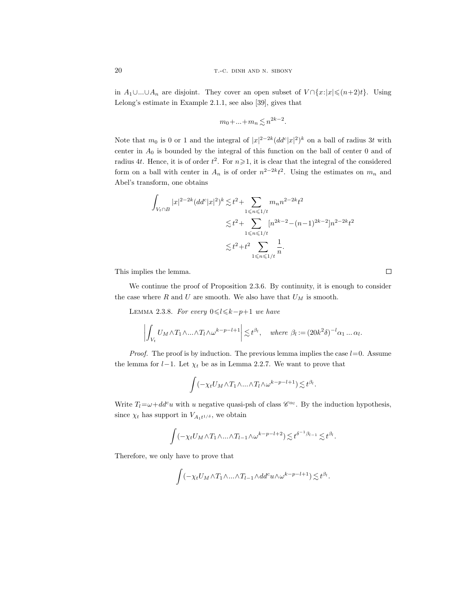in  $A_1 \cup ... \cup A_n$  are disjoint. They cover an open subset of  $V \cap \{x: |x| \leq (n+2)t\}$ . Using Lelong's estimate in Example 2.1.1, see also [39], gives that

$$
m_0 + \ldots + m_n \lesssim n^{2k-2}.
$$

Note that  $m_0$  is 0 or 1 and the integral of  $|x|^{2-2k} (dd^c |x|^2)^k$  on a ball of radius 3t with center in  $A_0$  is bounded by the integral of this function on the ball of center 0 and of radius 4t. Hence, it is of order  $t^2$ . For  $n \ge 1$ , it is clear that the integral of the considered form on a ball with center in  $A_n$  is of order  $n^{2-2k}t^2$ . Using the estimates on  $m_n$  and Abel's transform, one obtains

$$
\int_{V_t \cap B} |x|^{2-2k} (dd^c |x|^2)^k \lesssim t^2 + \sum_{1 \le n \le 1/t} m_n n^{2-2k} t^2
$$
  

$$
\lesssim t^2 + \sum_{1 \le n \le 1/t} [n^{2k-2} - (n-1)^{2k-2}] n^{2-2k} t^2
$$
  

$$
\lesssim t^2 + t^2 \sum_{1 \le n \le 1/t} \frac{1}{n}.
$$

This implies the lemma.

We continue the proof of Proposition 2.3.6. By continuity, it is enough to consider the case where  $R$  and  $U$  are smooth. We also have that  $U_M$  is smooth.

LEMMA 2.3.8. For every  $0 \le l \le k-p+1$  we have

$$
\left| \int_{V_t} U_M \wedge T_1 \wedge \ldots \wedge T_l \wedge \omega^{k-p-l+1} \right| \lesssim t^{\beta_l}, \quad \text{where } \beta_l := (20k^2 \delta)^{-l} \alpha_1 \ldots \alpha_l.
$$

*Proof.* The proof is by induction. The previous lemma implies the case  $l=0$ . Assume the lemma for  $l-1$ . Let  $\chi_t$  be as in Lemma 2.2.7. We want to prove that

$$
\int (-\chi_t U_M \wedge T_1 \wedge \ldots \wedge T_l \wedge \omega^{k-p-l+1}) \lesssim t^{\beta_l}.
$$

Write  $T_l = \omega + dd^c u$  with u negative quasi-psh of class  $\mathscr{C}^{\alpha_l}$ . By the induction hypothesis, since  $\chi_t$  has support in  $V_{A_1t^{1/\delta}}$ , we obtain

$$
\int (-\chi_t U_M \wedge T_1 \wedge \ldots \wedge T_{l-1} \wedge \omega^{k-p-l+2}) \lesssim t^{\delta^{-1}\beta_{l-1}} \lesssim t^{\beta_l}.
$$

Therefore, we only have to prove that

$$
\int (-\chi_t U_M \wedge T_1 \wedge \ldots \wedge T_{l-1} \wedge dd^c u \wedge \omega^{k-p-l+1}) \lesssim t^{\beta_l}.
$$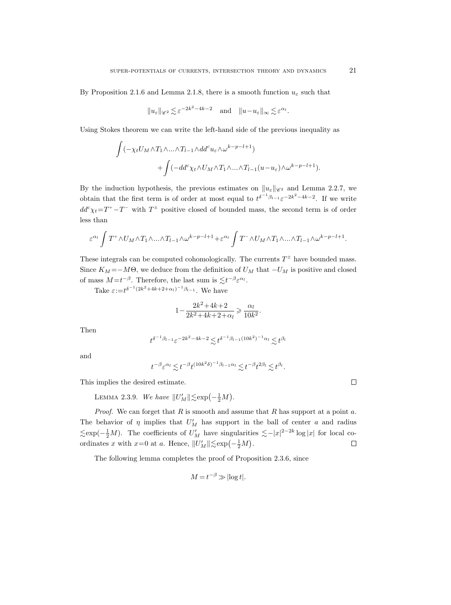By Proposition 2.1.6 and Lemma 2.1.8, there is a smooth function  $u_{\varepsilon}$  such that

$$
||u_{\varepsilon}||_{\mathscr{C}^2} \lesssim \varepsilon^{-2k^2 - 4k - 2}
$$
 and  $||u - u_{\varepsilon}||_{\infty} \lesssim \varepsilon^{\alpha_l}$ .

Using Stokes theorem we can write the left-hand side of the previous inequality as

$$
\int (-\chi_t U_M \wedge T_1 \wedge \ldots \wedge T_{l-1} \wedge dd^c u_{\varepsilon} \wedge \omega^{k-p-l+1}) + \int (-dd^c \chi_t \wedge U_M \wedge T_1 \wedge \ldots \wedge T_{l-1} (u - u_{\varepsilon}) \wedge \omega^{k-p-l+1}).
$$

By the induction hypothesis, the previous estimates on  $\|\mathcal{u}_{\varepsilon}\|_{\mathscr{C}^2}$  and Lemma 2.2.7, we obtain that the first term is of order at most equal to  $t^{\delta^{-1}\beta_{l-1}}\varepsilon^{-2k^2-4k-2}$ . If we write  $dd^c \chi_t = T^+ - T^-$  with  $T^{\pm}$  positive closed of bounded mass, the second term is of order less than

$$
\varepsilon^{\alpha_l} \int T^+ \wedge U_M \wedge T_1 \wedge \ldots \wedge T_{l-1} \wedge \omega^{k-p-l+1} + \varepsilon^{\alpha_l} \int T^- \wedge U_M \wedge T_1 \wedge \ldots \wedge T_{l-1} \wedge \omega^{k-p-l+1}.
$$

These integrals can be computed cohomologically. The currents  $T^{\pm}$  have bounded mass. Since  $K_M = -M\Theta$ , we deduce from the definition of  $U_M$  that  $-U_M$  is positive and closed of mass  $M = t^{-\beta}$ . Therefore, the last sum is  $\lesssim t^{-\beta} \varepsilon^{\alpha_l}$ .

Take  $\varepsilon := t^{\delta^{-1}(2k^2 + 4k + 2 + \alpha_l)^{-1}\beta_{l-1}}$ . We have

$$
1 - \frac{2k^2 + 4k + 2}{2k^2 + 4k + 2 + \alpha_l} \ge \frac{\alpha_l}{10k^2}
$$

.

Then

$$
t^{\delta^{-1}\beta_{l-1}}\varepsilon^{-2k^2-4k-2}\!\lesssim\! t^{\delta^{-1}\beta_{l-1}(10k^2)^{-1}\alpha_l}\!\lesssim\! t^{\beta_l}
$$

and

$$
t^{-\beta} \varepsilon^{\alpha_l} \lesssim t^{-\beta} t^{(10k^2\delta)^{-1}\beta_{l-1}\alpha_l} \lesssim t^{-\beta} t^{2\beta_l} \lesssim t^{\beta_l}.
$$

This implies the desired estimate.

LEMMA 2.3.9. We have  $||U'_{M}|| \lesssim \exp(-\frac{1}{2}M)$ .

*Proof.* We can forget that  $R$  is smooth and assume that  $R$  has support at a point  $a$ . The behavior of  $\eta$  implies that  $U'_M$  has support in the ball of center a and radius  $\lesssim \exp(-\frac{1}{2}M)$ . The coefficients of  $U_M'$  have singularities  $\lesssim -|x|^{2-2k} \log |x|$  for local coordinates x with  $x=0$  at a. Hence,  $||U'_{M}|| \lesssim e \exp(-\frac{1}{2}M)$ .  $\Box$ 

The following lemma completes the proof of Proposition 2.3.6, since

$$
M = t^{-\beta} \gg |\log t|.
$$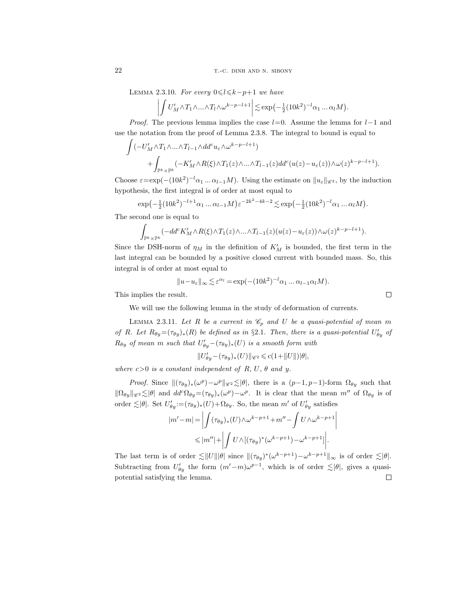22 T.-C. DINH AND N. SIBONY

LEMMA 2.3.10. For every  $0 \le l \le k-p+1$  we have

$$
\left| \int U'_{M} \wedge T_1 \wedge \ldots \wedge T_l \wedge \omega^{k-p-l+1} \right| \lesssim \exp\left(-\frac{1}{2} (10k^2)^{-l} \alpha_1 \ldots \alpha_l M\right).
$$

*Proof.* The previous lemma implies the case  $l=0$ . Assume the lemma for  $l-1$  and use the notation from the proof of Lemma 2.3.8. The integral to bound is equal to

$$
\int (-U'_M \wedge T_1 \wedge \ldots \wedge T_{l-1} \wedge dd^c u_{\varepsilon} \wedge \omega^{k-p-l+1}) + \int_{\mathbb{P}^k \times \mathbb{P}^k} (-K'_M \wedge R(\xi) \wedge T_1(z) \wedge \ldots \wedge T_{l-1}(z) dd^c(u(z) - u_{\varepsilon}(z)) \wedge \omega(z)^{k-p-l+1}).
$$

Choose  $\varepsilon = \exp(-(10k^2)^{-l}\alpha_1...\alpha_{l-1}M)$ . Using the estimate on  $||u_{\varepsilon}||_{\mathscr{C}^2}$ , by the induction hypothesis, the first integral is of order at most equal to

$$
\exp(-\frac{1}{2}(10k^2)^{-l+1}\alpha_1 \dots \alpha_{l-1}M)\varepsilon^{-2k^2-4k-2} \lesssim \exp(-\frac{1}{2}(10k^2)^{-l}\alpha_1 \dots \alpha_lM).
$$

The second one is equal to

$$
\int_{\mathbb{P}^k\times\mathbb{P}^k}(-dd^cK'_M\wedge R(\xi)\wedge T_1(z)\wedge\ldots\wedge T_{l-1}(z)(u(z)-u_{\varepsilon}(z))\wedge\omega(z)^{k-p-l+1}).
$$

Since the DSH-norm of  $\eta_M$  in the definition of  $K'_M$  is bounded, the first term in the last integral can be bounded by a positive closed current with bounded mass. So, this integral is of order at most equal to

$$
||u - u_{\varepsilon}||_{\infty} \lesssim \varepsilon^{\alpha_l} = \exp(-(10k^2)^{-l}\alpha_1 \dots \alpha_{l-1}\alpha_l M).
$$

This implies the result.

We will use the following lemma in the study of deformation of currents.

LEMMA 2.3.11. Let R be a current in  $\mathcal{C}_p$  and U be a quasi-potential of mean m of R. Let  $R_{\theta y} = (\tau_{\theta y})_*(R)$  be defined as in §2.1. Then, there is a quasi-potential  $U'_{\theta y}$  of  $R_{\theta y}$  of mean m such that  $U'_{\theta y}-(\tau_{\theta y})_*(U)$  is a smooth form with

$$
\|U_{\theta y}'-(\tau_{\theta y})_*(U)\|_{\mathscr{C}^2}\leqslant c(1+\|U\|)|\theta|,
$$

where  $c>0$  is a constant independent of R, U,  $\theta$  and y.

*Proof.* Since  $\|(\tau_{\theta y})_*(\omega^p) - \omega^p\|_{\mathscr{C}^2} \lesssim |\theta|$ , there is a  $(p-1, p-1)$ -form  $\Omega_{\theta y}$  such that  $\|\Omega_{\theta y}\|_{\mathscr{C}^2} \lesssim |\theta|$  and  $dd^c \Omega_{\theta y} = (\tau_{\theta y})_*(\omega^p) - \omega^p$ . It is clear that the mean m'' of  $\Omega_{\theta y}$  is of order  $\lesssim |\theta|$ . Set  $U'_{\theta y} := (\tau_{\theta y})_*(U) + \Omega_{\theta y}$ . So, the mean m' of  $U'_{\theta y}$  satisfies

$$
|m'-m| = \left| \int (\tau_{\theta y})_*(U) \wedge \omega^{k-p+1} + m'' - \int U \wedge \omega^{k-p+1} \right|
$$
  

$$
\leq |m''| + \left| \int U \wedge [(\tau_{\theta y})^*(\omega^{k-p+1}) - \omega^{k-p+1}] \right|.
$$

The last term is of order  $\lesssim ||U|| |\theta|$  since  $||(\tau_{\theta y})^*(\omega^{k-p+1}) - \omega^{k-p+1}||_{\infty}$  is of order  $\lesssim |\theta|$ . Subtracting from  $U_{\theta y}'$  the form  $(m'-m)\omega^{p-1}$ , which is of order  $\leq |\theta|$ , gives a quasipotential satisfying the lemma. $\Box$ 

 $\Box$ 

 $\bigg|$  $\overline{\phantom{a}}$  $\overline{\phantom{a}}$  $\vert$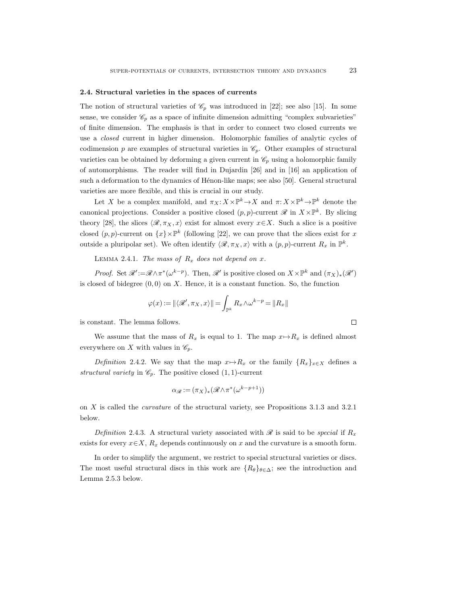#### 2.4. Structural varieties in the spaces of currents

The notion of structural varieties of  $\mathcal{C}_p$  was introduced in [22]; see also [15]. In some sense, we consider  $\mathscr{C}_p$  as a space of infinite dimension admitting "complex subvarieties" of finite dimension. The emphasis is that in order to connect two closed currents we use a closed current in higher dimension. Holomorphic families of analytic cycles of codimension p are examples of structural varieties in  $\mathcal{C}_p$ . Other examples of structural varieties can be obtained by deforming a given current in  $\mathcal{C}_p$  using a holomorphic family of automorphisms. The reader will find in Dujardin [26] and in [16] an application of such a deformation to the dynamics of Hénon-like maps; see also [50]. General structural varieties are more flexible, and this is crucial in our study.

Let X be a complex manifold, and  $\pi_X: X \times \mathbb{P}^k \to X$  and  $\pi: X \times \mathbb{P}^k \to \mathbb{P}^k$  denote the canonical projections. Consider a positive closed  $(p, p)$ -current  $\mathscr{R}$  in  $X \times \mathbb{P}^k$ . By slicing theory [28], the slices  $\langle \mathcal{R}, \pi_X, x \rangle$  exist for almost every  $x \in X$ . Such a slice is a positive closed  $(p, p)$ -current on  $\{x\}\times\mathbb{P}^k$  (following [22], we can prove that the slices exist for x outside a pluripolar set). We often identify  $\langle \mathcal{R}, \pi_X, x \rangle$  with a  $(p, p)$ -current  $R_x$  in  $\mathbb{P}^k$ .

LEMMA 2.4.1. The mass of  $R_x$  does not depend on x.

*Proof.* Set  $\mathscr{R}' := \mathscr{R} \wedge \pi^*(\omega^{k-p})$ . Then,  $\mathscr{R}'$  is positive closed on  $X \times \mathbb{P}^k$  and  $(\pi_X)_*(\mathscr{R}')$ is closed of bidegree  $(0, 0)$  on X. Hence, it is a constant function. So, the function

$$
\varphi(x) := \left\| \langle \mathcal{R}', \pi_X, x \rangle \right\| = \int_{\mathbb{P}^k} R_x \wedge \omega^{k-p} = \left\| R_x \right\|
$$

is constant. The lemma follows.

We assume that the mass of  $R_x$  is equal to 1. The map  $x \mapsto R_x$  is defined almost everywhere on X with values in  $\mathscr{C}_p$ .

Definition 2.4.2. We say that the map  $x \mapsto R_x$  or the family  $\{R_x\}_{x \in X}$  defines a structural variety in  $\mathcal{C}_p$ . The positive closed  $(1, 1)$ -current

$$
\alpha_{\mathcal{R}}:=(\pi_X)_*(\mathcal{R}\wedge \pi^*(\omega^{k-p+1}))
$$

on X is called the curvature of the structural variety, see Propositions 3.1.3 and 3.2.1 below.

Definition 2.4.3. A structural variety associated with  $\mathscr R$  is said to be special if  $R_x$ exists for every  $x \in X$ ,  $R_x$  depends continuously on x and the curvature is a smooth form.

In order to simplify the argument, we restrict to special structural varieties or discs. The most useful structural discs in this work are  $\{R_{\theta}\}_{{\theta\in\Delta}}$ ; see the introduction and Lemma 2.5.3 below.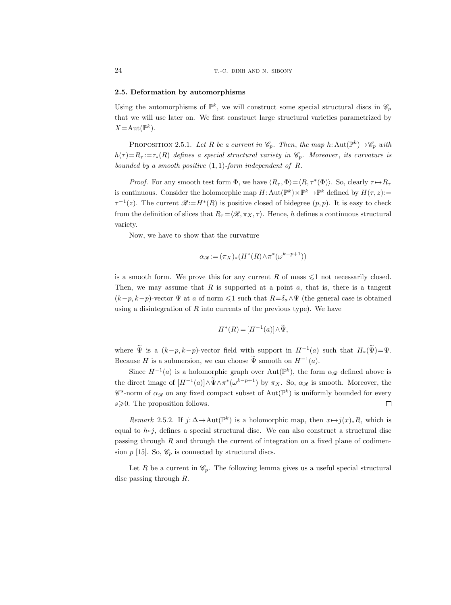# 2.5. Deformation by automorphisms

Using the automorphisms of  $\mathbb{P}^k$ , we will construct some special structural discs in  $\mathscr{C}_p$ that we will use later on. We first construct large structural varieties parametrized by  $X = \text{Aut}(\mathbb{P}^k)$ .

PROPOSITION 2.5.1. Let R be a current in  $\mathcal{C}_p$ . Then, the map h:  $\text{Aut}(\mathbb{P}^k) \to \mathcal{C}_p$  with  $h(\tau) = R_{\tau} := \tau_*(R)$  defines a special structural variety in  $\mathscr{C}_p$ . Moreover, its curvature is bounded by a smooth positive  $(1, 1)$ -form independent of R.

*Proof.* For any smooth test form  $\Phi$ , we have  $\langle R_\tau, \Phi \rangle = \langle R, \tau^*(\Phi) \rangle$ . So, clearly  $\tau \mapsto R_\tau$ is continuous. Consider the holomorphic map  $H: Aut(\mathbb{P}^k) \times \mathbb{P}^k \to \mathbb{P}^k$  defined by  $H(\tau, z) :=$  $\tau^{-1}(z)$ . The current  $\mathscr{R}:=H^*(R)$  is positive closed of bidegree  $(p, p)$ . It is easy to check from the definition of slices that  $R_{\tau} = \langle \mathcal{R}, \pi_X, \tau \rangle$ . Hence, h defines a continuous structural variety.

Now, we have to show that the curvature

$$
\alpha_{\mathcal{R}} := (\pi_X)_* (H^*(R) \wedge \pi^*(\omega^{k-p+1}))
$$

is a smooth form. We prove this for any current R of mass  $\leq 1$  not necessarily closed. Then, we may assume that  $R$  is supported at a point  $a$ , that is, there is a tangent  $(k-p, k-p)$ -vector  $\Psi$  at a of norm  $\leq 1$  such that  $R=\delta_a \wedge \Psi$  (the general case is obtained using a disintegration of  $R$  into currents of the previous type). We have

$$
H^*(R) = [H^{-1}(a)] \wedge \widetilde{\Psi},
$$

where  $\tilde{\Psi}$  is a  $(k-p, k-p)$ -vector field with support in  $H^{-1}(a)$  such that  $H_*(\tilde{\Psi}) = \Psi$ . Because H is a submersion, we can choose  $\tilde{\Psi}$  smooth on  $H^{-1}(a)$ .

Since  $H^{-1}(a)$  is a holomorphic graph over  $Aut(\mathbb{P}^k)$ , the form  $\alpha_{\mathscr{R}}$  defined above is the direct image of  $[H^{-1}(a)] \wedge \Psi \wedge \pi^*(\omega^{k-p+1})$  by  $\pi_X$ . So,  $\alpha_{\mathscr{R}}$  is smooth. Moreover, the  $\mathscr{C}^s$ -norm of  $\alpha_{\mathscr{R}}$  on any fixed compact subset of  $\mathrm{Aut}(\mathbb{P}^k)$  is uniformly bounded for every  $s \geq 0$ . The proposition follows.  $\Box$ 

Remark 2.5.2. If  $j: \Delta \to \text{Aut}(\mathbb{P}^k)$  is a holomorphic map, then  $x \mapsto j(x)_*R$ , which is equal to  $h \circ j$ , defines a special structural disc. We can also construct a structural disc passing through  $R$  and through the current of integration on a fixed plane of codimension  $p$  [15]. So,  $\mathcal{C}_p$  is connected by structural discs.

Let R be a current in  $\mathcal{C}_p$ . The following lemma gives us a useful special structural disc passing through R.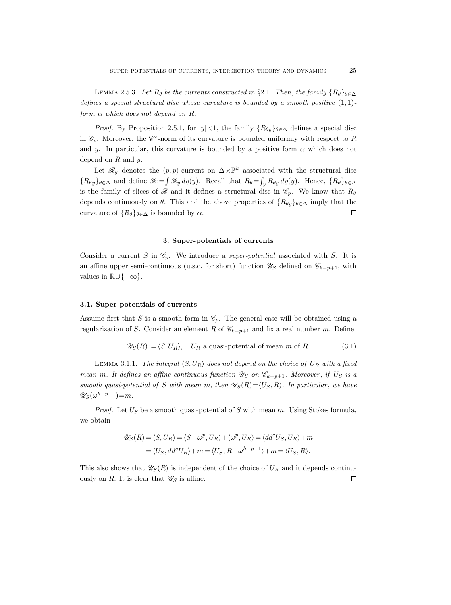LEMMA 2.5.3. Let  $R_{\theta}$  be the currents constructed in §2.1. Then, the family  $\{R_{\theta}\}_{{\theta\in\Delta}}$ defines a special structural disc whose curvature is bounded by a smooth positive  $(1,1)$ form  $\alpha$  which does not depend on R.

*Proof.* By Proposition 2.5.1, for  $|y| < 1$ , the family  ${R_{\theta y}}_{\theta \in \Delta}$  defines a special disc in  $\mathscr{C}_p$ . Moreover, the  $\mathscr{C}^s$ -norm of its curvature is bounded uniformly with respect to R and y. In particular, this curvature is bounded by a positive form  $\alpha$  which does not depend on  $R$  and  $y$ .

Let  $\mathscr{R}_y$  denotes the  $(p, p)$ -current on  $\Delta \times \mathbb{P}^k$  associated with the structural disc  ${R_{\theta y}}_{\theta \in \Delta}$  and define  $\mathscr{R} := \int \mathscr{R}_y d\varrho(y)$ . Recall that  $R_{\theta} = \int_y R_{\theta y} d\varrho(y)$ . Hence,  ${R_{\theta}}_{\theta \in \Delta}$ is the family of slices of  $\mathscr R$  and it defines a structural disc in  $\mathscr C_p$ . We know that  $R_\theta$ depends continuously on  $\theta$ . This and the above properties of  $\{R_{\theta y}\}_{\theta \in \Delta}$  imply that the curvature of  ${R_\theta}_{\theta \in \Delta}$  is bounded by  $\alpha$ .  $\Box$ 

## 3. Super-potentials of currents

Consider a current S in  $\mathcal{C}_p$ . We introduce a *super-potential* associated with S. It is an affine upper semi-continuous (u.s.c. for short) function  $\mathscr{U}_S$  defined on  $\mathscr{C}_{k-p+1}$ , with values in  $\mathbb{R} \cup \{-\infty\}.$ 

# 3.1. Super-potentials of currents

Assume first that S is a smooth form in  $\mathcal{C}_p$ . The general case will be obtained using a regularization of S. Consider an element R of  $\mathscr{C}_{k-p+1}$  and fix a real number m. Define

$$
\mathscr{U}_S(R) := \langle S, U_R \rangle, \quad U_R \text{ a quasi-potential of mean } m \text{ of } R. \tag{3.1}
$$

LEMMA 3.1.1. The integral  $\langle S, U_R \rangle$  does not depend on the choice of  $U_R$  with a fixed mean m. It defines an affine continuous function  $\mathscr{U}_S$  on  $\mathscr{C}_{k-p+1}$ . Moreover, if  $U_S$  is a smooth quasi-potential of S with mean m, then  $\mathscr{U}_{S}(R) = \langle U_{S}, R \rangle$ . In particular, we have  $\mathscr{U}_S(\omega^{k-p+1}) = m.$ 

*Proof.* Let  $U_S$  be a smooth quasi-potential of S with mean m. Using Stokes formula, we obtain

$$
\begin{split} \mathscr{U}_{S}(R)=\langle S,U_{R}\rangle=\langle S-\omega^{p},U_{R}\rangle+\langle \omega^{p},U_{R}\rangle=\langle dd^{c}U_{S},U_{R}\rangle+m\\ =\langle U_{S},dd^{c}U_{R}\rangle+m=\langle U_{S},R-\omega^{k-p+1}\rangle+m=\langle U_{S},R\rangle. \end{split}
$$

This also shows that  $\mathscr{U}_{S}(R)$  is independent of the choice of  $U_R$  and it depends continuously on R. It is clear that  $\mathscr{U}_S$  is affine.  $\Box$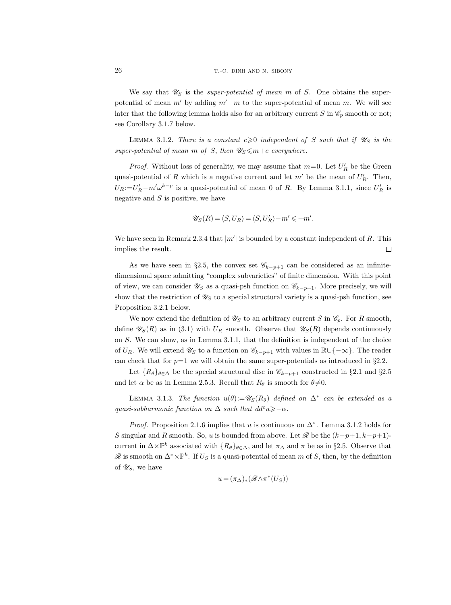We say that  $\mathscr{U}_S$  is the *super-potential of mean m* of S. One obtains the superpotential of mean m' by adding m' $-m$  to the super-potential of mean m. We will see later that the following lemma holds also for an arbitrary current S in  $\mathscr{C}_p$  smooth or not; see Corollary 3.1.7 below.

LEMMA 3.1.2. There is a constant  $c \geq 0$  independent of S such that if  $\mathscr{U}_S$  is the super-potential of mean m of S, then  $\mathscr{U}_S \leq m+c$  everywhere.

*Proof.* Without loss of generality, we may assume that  $m=0$ . Let  $U'_R$  be the Green quasi-potential of R which is a negative current and let  $m'$  be the mean of  $U'_R$ . Then,  $U_R := U'_R - m'\omega^{k-p}$  is a quasi-potential of mean 0 of R. By Lemma 3.1.1, since  $U'_R$  is negative and  $S$  is positive, we have

$$
\mathscr{U}_S(R)=\langle S,U_R\rangle=\langle S,U_R'\rangle-m'\leqslant -m'.
$$

We have seen in Remark 2.3.4 that  $|m'|$  is bounded by a constant independent of R. This implies the result.  $\Box$ 

As we have seen in §2.5, the convex set  $\mathscr{C}_{k-p+1}$  can be considered as an infinitedimensional space admitting "complex subvarieties" of finite dimension. With this point of view, we can consider  $\mathscr{U}_S$  as a quasi-psh function on  $\mathscr{C}_{k-p+1}$ . More precisely, we will show that the restriction of  $\mathscr{U}_S$  to a special structural variety is a quasi-psh function, see Proposition 3.2.1 below.

We now extend the definition of  $\mathscr{U}_S$  to an arbitrary current S in  $\mathscr{C}_p$ . For R smooth, define  $\mathscr{U}_S(R)$  as in (3.1) with  $U_R$  smooth. Observe that  $\mathscr{U}_S(R)$  depends continuously on S. We can show, as in Lemma 3.1.1, that the definition is independent of the choice of  $U_R$ . We will extend  $\mathscr{U}_S$  to a function on  $\mathscr{C}_{k-p+1}$  with values in  $\mathbb{R} \cup \{-\infty\}$ . The reader can check that for  $p=1$  we will obtain the same super-potentials as introduced in §2.2.

Let  ${R_\theta}_{\theta \in \Delta}$  be the special structural disc in  $\mathscr{C}_{k-p+1}$  constructed in §2.1 and §2.5 and let  $\alpha$  be as in Lemma 2.5.3. Recall that  $R_{\theta}$  is smooth for  $\theta \neq 0$ .

LEMMA 3.1.3. The function  $u(\theta) := \mathscr{U}_S(R_{\theta})$  defined on  $\Delta^*$  can be extended as a quasi-subharmonic function on  $\Delta$  such that  $dd^c u \geq -\alpha$ .

*Proof.* Proposition 2.1.6 implies that u is continuous on  $\Delta^*$ . Lemma 3.1.2 holds for S singular and R smooth. So, u is bounded from above. Let  $\mathscr R$  be the  $(k-p+1, k-p+1)$ current in  $\Delta \times \mathbb{P}^k$  associated with  $\{R_\theta\}_{\theta \in \Delta}$ , and let  $\pi_\Delta$  and  $\pi$  be as in §2.5. Observe that  $\mathscr R$  is smooth on  $\Delta^* \times \mathbb P^k$ . If  $U_S$  is a quasi-potential of mean m of S, then, by the definition of  $\mathscr{U}_S$ , we have

$$
u = (\pi_{\Delta})_{*}(\mathscr{R} \wedge \pi^{*}(U_{S}))
$$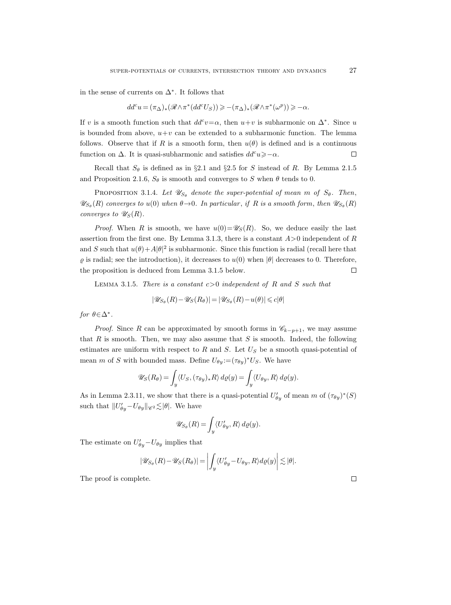in the sense of currents on  $\Delta^*$ . It follows that

$$
dd^c u = (\pi_\Delta)_*(\mathscr{R}\wedge \pi^*(dd^c U_S)) \geqslant -(\pi_\Delta)_*(\mathscr{R}\wedge \pi^*(\omega^p)) \geqslant -\alpha.
$$

If v is a smooth function such that  $dd^c v = \alpha$ , then  $u+v$  is subharmonic on  $\Delta^*$ . Since u is bounded from above,  $u+v$  can be extended to a subharmonic function. The lemma follows. Observe that if R is a smooth form, then  $u(\theta)$  is defined and is a continuous function on  $\Delta$ . It is quasi-subharmonic and satisfies  $dd^c u \geq -\alpha$ .  $\Box$ 

Recall that  $S_{\theta}$  is defined as in §2.1 and §2.5 for S instead of R. By Lemma 2.1.5 and Proposition 2.1.6,  $S_{\theta}$  is smooth and converges to S when  $\theta$  tends to 0.

PROPOSITION 3.1.4. Let  $\mathscr{U}_{S_{\theta}}$  denote the super-potential of mean m of  $S_{\theta}$ . Then,  $\mathscr{U}_{S_{\theta}}(R)$  converges to  $u(0)$  when  $\theta \rightarrow 0$ . In particular, if R is a smooth form, then  $\mathscr{U}_{S_{\theta}}(R)$ converges to  $\mathscr{U}_S(R)$ .

*Proof.* When R is smooth, we have  $u(0) = \mathscr{U}_{S}(R)$ . So, we deduce easily the last assertion from the first one. By Lemma 3.1.3, there is a constant  $A>0$  independent of R and S such that  $u(\theta) + A|\theta|^2$  is subharmonic. Since this function is radial (recall here that  $\varrho$  is radial; see the introduction), it decreases to  $u(0)$  when  $|\theta|$  decreases to 0. Therefore, the proposition is deduced from Lemma 3.1.5 below.  $\Box$ 

LEMMA 3.1.5. There is a constant  $c>0$  independent of R and S such that

$$
|\mathscr{U}_{S_{\theta}}(R)-\mathscr{U}_{S}(R_\theta)|=|\mathscr{U}_{S_{\theta}}(R)-u(\theta)|\leqslant c|\theta|
$$

for  $\theta \in \Delta^*$ .

*Proof.* Since R can be approximated by smooth forms in  $\mathcal{C}_{k-p+1}$ , we may assume that R is smooth. Then, we may also assume that S is smooth. Indeed, the following estimates are uniform with respect to  $R$  and  $S$ . Let  $U_S$  be a smooth quasi-potential of mean m of S with bounded mass. Define  $U_{\theta y} := (\tau_{\theta y})^* U_S$ . We have

$$
\mathscr{U}_S(R_\theta) = \int_y \langle U_S, (\tau_{\theta y})_* R \rangle \, d\varrho(y) = \int_y \langle U_{\theta y}, R \rangle \, d\varrho(y).
$$

As in Lemma 2.3.11, we show that there is a quasi-potential  $U'_{\theta y}$  of mean m of  $(\tau_{\theta y})^*(S)$ such that  $||U_{\theta y}^{\prime} - U_{\theta y}||_{\mathscr{C}^2} \lesssim |\theta|$ . We have

$$
\mathscr{U}_{S_{\theta}}(R) = \int_{y} \langle U'_{\theta y}, R \rangle \, d\varrho(y).
$$

The estimate on  $U'_{\theta y} - U_{\theta y}$  implies that

$$
|\mathscr{U}_{S_{\theta}}(R) - \mathscr{U}_{S}(R_{\theta})| = \left| \int_{y} \langle U'_{\theta y} - U_{\theta y}, R \rangle d\varrho(y) \right| \lesssim |\theta|.
$$

The proof is complete.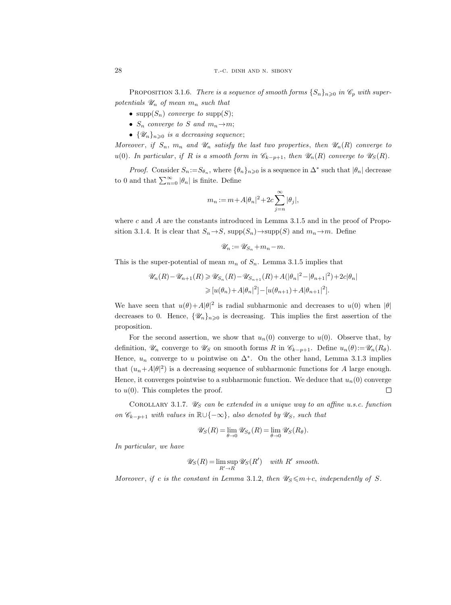PROPOSITION 3.1.6. There is a sequence of smooth forms  $\{S_n\}_{n\geq 0}$  in  $\mathscr{C}_p$  with superpotentials  $\mathscr{U}_n$  of mean  $m_n$  such that

- supp $(S_n)$  converge to supp $(S)$ ;
- $S_n$  converge to S and  $m_n \rightarrow m$ ;
- $\{\mathscr{U}_n\}_{n\geqslant 0}$  is a decreasing sequence;

Moreover, if  $S_n$ ,  $m_n$  and  $\mathcal{U}_n$  satisfy the last two properties, then  $\mathcal{U}_n(R)$  converge to u(0). In particular, if R is a smooth form in  $\mathscr{C}_{k-p+1}$ , then  $\mathscr{U}_n(R)$  converge to  $\mathscr{U}_S(R)$ .

*Proof.* Consider  $S_n := S_{\theta_n}$ , where  $\{\theta_n\}_{n\geq 0}$  is a sequence in  $\Delta^*$  such that  $|\theta_n|$  decrease to 0 and that  $\sum_{n=0}^{\infty} |\theta_n|$  is finite. Define

$$
m_n:=m+A|\theta_n|^2+2c\sum_{j=n}^\infty|\theta_j|,
$$

where c and A are the constants introduced in Lemma 3.1.5 and in the proof of Proposition 3.1.4. It is clear that  $S_n \to S$ , supp $(S_n) \to \text{supp}(S)$  and  $m_n \to m$ . Define

$$
\mathscr{U}_n := \mathscr{U}_{S_n} + m_n - m.
$$

This is the super-potential of mean  $m_n$  of  $S_n$ . Lemma 3.1.5 implies that

$$
\mathscr{U}_n(R) - \mathscr{U}_{n+1}(R) \ge \mathscr{U}_{S_n}(R) - \mathscr{U}_{S_{n+1}}(R) + A(|\theta_n|^2 - |\theta_{n+1}|^2) + 2c|\theta_n|
$$
  
\n
$$
\geq \left[ u(\theta_n) + A|\theta_n|^2 \right] - \left[ u(\theta_{n+1}) + A|\theta_{n+1}|^2 \right].
$$

We have seen that  $u(\theta) + A|\theta|^2$  is radial subharmonic and decreases to  $u(0)$  when  $|\theta|$ decreases to 0. Hence,  $\{\mathscr{U}_n\}_{n\geq 0}$  is decreasing. This implies the first assertion of the proposition.

For the second assertion, we show that  $u_n(0)$  converge to  $u(0)$ . Observe that, by definition,  $\mathscr{U}_n$  converge to  $\mathscr{U}_S$  on smooth forms R in  $\mathscr{C}_{k-p+1}$ . Define  $u_n(\theta) := \mathscr{U}_n(R_\theta)$ . Hence,  $u_n$  converge to u pointwise on  $\Delta^*$ . On the other hand, Lemma 3.1.3 implies that  $(u_n+A|\theta|^2)$  is a decreasing sequence of subharmonic functions for A large enough. Hence, it converges pointwise to a subharmonic function. We deduce that  $u_n(0)$  converge to  $u(0)$ . This completes the proof.  $\Box$ 

COROLLARY 3.1.7.  $\mathscr{U}_S$  can be extended in a unique way to an affine u.s.c. function on  $\mathscr{C}_{k-p+1}$  with values in  $\mathbb{R}\cup\{-\infty\}$ , also denoted by  $\mathscr{U}_S$ , such that

$$
\mathscr{U}_S(R) = \lim_{\theta \to 0} \mathscr{U}_{S_{\theta}}(R) = \lim_{\theta \to 0} \mathscr{U}_S(R_{\theta}).
$$

In particular, we have

$$
\mathscr{U}_S(R) = \limsup_{R' \to R} \mathscr{U}_S(R') \quad with \ R' \ smooth.
$$

Moreover, if c is the constant in Lemma 3.1.2, then  $\mathscr{U}_{S} \le m+c$ , independently of S.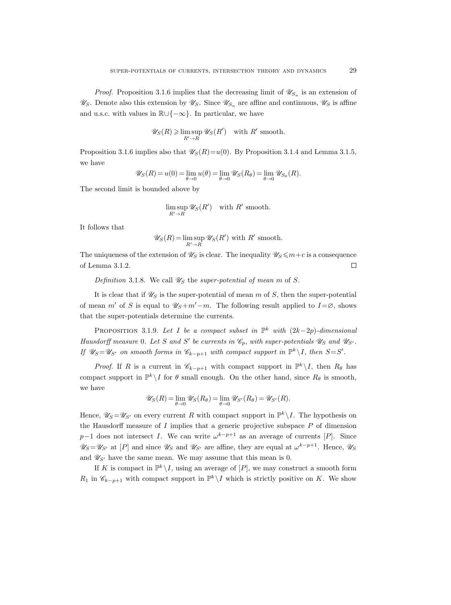*Proof.* Proposition 3.1.6 implies that the decreasing limit of  $\mathscr{U}_{S_n}$  is an extension of  $\mathscr{U}_S$ . Denote also this extension by  $\mathscr{U}_S$ . Since  $\mathscr{U}_{S_n}$  are affine and continuous,  $\mathscr{U}_S$  is affine and u.s.c. with values in  $\mathbb{R}\cup\{-\infty\}$ . In particular, we have

$$
\mathscr{U}_S(R) \geq \limsup_{R' \to R} \mathscr{U}_S(R') \quad \text{with } R' \text{ smooth.}
$$

Proposition 3.1.6 implies also that  $\mathscr{U}_S(R) = u(0)$ . By Proposition 3.1.4 and Lemma 3.1.5, we have

$$
\mathscr{U}_S(R) = u(0) = \lim_{\theta \to 0} u(\theta) = \lim_{\theta \to 0} \mathscr{U}_S(R_{\theta}) = \lim_{\theta \to 0} \mathscr{U}_{S_{\theta}}(R).
$$

The second limit is bounded above by

$$
\limsup_{R' \to R} \mathscr{U}_S(R') \quad \text{with } R' \text{ smooth.}
$$

It follows that

$$
\mathscr{U}_S(R) = \limsup_{R' \to R} \mathscr{U}_S(R')
$$
 with R' smooth.

The uniqueness of the extension of  $\mathscr{U}_S$  is clear. The inequality  $\mathscr{U}_S \leq m+c$  is a consequence of Lemma 3.1.2.  $\Box$ 

Definition 3.1.8. We call  $\mathscr{U}_S$  the super-potential of mean m of S.

It is clear that if  $\mathscr{U}_S$  is the super-potential of mean m of S, then the super-potential of mean m' of S is equal to  $\mathscr{U}_{S}+m'-m$ . The following result applied to  $I=\varnothing$ , shows that the super-potentials determine the currents.

PROPOSITION 3.1.9. Let I be a compact subset in  $\mathbb{P}^k$  with  $(2k-2p)$ -dimensional Hausdorff measure 0. Let S and S' be currents in  $\mathcal{C}_p$ , with super-potentials  $\mathcal{U}_S$  and  $\mathcal{U}_{S'}$ . If  $\mathscr{U}_S = \mathscr{U}_{S'}$  on smooth forms in  $\mathscr{C}_{k-p+1}$  with compact support in  $\mathbb{P}^k \setminus I$ , then  $S = S'$ .

*Proof.* If R is a current in  $\mathscr{C}_{k-p+1}$  with compact support in  $\mathbb{P}^k \setminus I$ , then  $R_\theta$  has compact support in  $\mathbb{P}^k \setminus I$  for  $\theta$  small enough. On the other hand, since  $R_{\theta}$  is smooth, we have

$$
\mathscr{U}_S(R) = \lim_{\theta \to 0} \mathscr{U}_S(R_{\theta}) = \lim_{\theta \to 0} \mathscr{U}_{S'}(R_{\theta}) = \mathscr{U}_{S'}(R).
$$

Hence,  $\mathscr{U}_S = \mathscr{U}_{S'}$  on every current R with compact support in  $\mathbb{P}^k \setminus I$ . The hypothesis on the Hausdorff measure of  $I$  implies that a generic projective subspace  $P$  of dimension  $p-1$  does not intersect I. We can write  $\omega^{k-p+1}$  as an average of currents [P]. Since  $\mathscr{U}_S = \mathscr{U}_{S'}$  at  $[P]$  and since  $\mathscr{U}_S$  and  $\mathscr{U}_{S'}$  are affine, they are equal at  $\omega^{k-p+1}$ . Hence,  $\mathscr{U}_S$ and  $\mathscr{U}_{S'}$  have the same mean. We may assume that this mean is 0.

If K is compact in  $\mathbb{P}^k \setminus I$ , using an average of  $[P]$ , we may construct a smooth form  $R_1$  in  $\mathscr{C}_{k-p+1}$  with compact support in  $\mathbb{P}^k \setminus I$  which is strictly positive on K. We show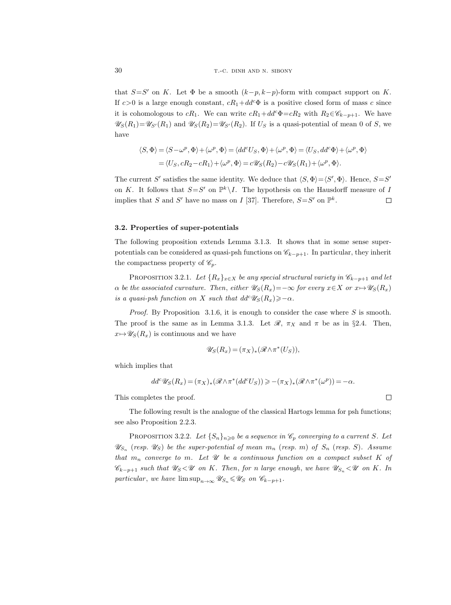that  $S = S'$  on K. Let  $\Phi$  be a smooth  $(k-p, k-p)$ -form with compact support on K. If  $c>0$  is a large enough constant,  $cR_1+d d^c\Phi$  is a positive closed form of mass c since it is cohomologous to cR<sub>1</sub>. We can write  $cR_1+dd^c\Phi=cR_2$  with  $R_2\in\mathscr{C}_{k-p+1}$ . We have  $\mathscr{U}_{S}(R_1)=\mathscr{U}_{S'}(R_1)$  and  $\mathscr{U}_{S}(R_2)=\mathscr{U}_{S'}(R_2)$ . If  $U_S$  is a quasi-potential of mean 0 of S, we have

$$
\langle S, \Phi \rangle = \langle S - \omega^p, \Phi \rangle + \langle \omega^p, \Phi \rangle = \langle dd^c U_S, \Phi \rangle + \langle \omega^p, \Phi \rangle = \langle U_S, dd^c \Phi \rangle + \langle \omega^p, \Phi \rangle
$$
  
=  $\langle U_S, cR_2 - cR_1 \rangle + \langle \omega^p, \Phi \rangle = c \mathcal{U}_S(R_2) - c \mathcal{U}_S(R_1) + \langle \omega^p, \Phi \rangle$ .

The current S' satisfies the same identity. We deduce that  $\langle S, \Phi \rangle = \langle S', \Phi \rangle$ . Hence,  $S = S'$ on K. It follows that  $S = S'$  on  $\mathbb{P}^k \setminus I$ . The hypothesis on the Hausdorff measure of I implies that S and S' have no mass on I [37]. Therefore,  $S = S'$  on  $\mathbb{P}^k$ .  $\Box$ 

## 3.2. Properties of super-potentials

The following proposition extends Lemma 3.1.3. It shows that in some sense superpotentials can be considered as quasi-psh functions on  $\mathscr{C}_{k-p+1}$ . In particular, they inherit the compactness property of  $\mathscr{C}_p$ .

PROPOSITION 3.2.1. Let  ${R_x}_{x\in X}$  be any special structural variety in  $\mathscr{C}_{k-p+1}$  and let  $\alpha$  be the associated curvature. Then, either  $\mathscr{U}_{S}(R_{x})=-\infty$  for every  $x\in X$  or  $x\mapsto\mathscr{U}_{S}(R_{x})$ is a quasi-psh function on X such that  $dd^c \mathscr{U}_S(R_x) \geq -\alpha$ .

*Proof.* By Proposition 3.1.6, it is enough to consider the case where S is smooth. The proof is the same as in Lemma 3.1.3. Let  $\mathcal{R}$ ,  $\pi_X$  and  $\pi$  be as in §2.4. Then,  $x \mapsto \mathscr{U}_S(R_x)$  is continuous and we have

$$
\mathscr{U}_S(R_x) = (\pi_X)_* (\mathscr{R} \wedge \pi^*(U_S)),
$$

which implies that

$$
dd^c\mathscr{U}_S(R_x)=(\pi_X)_*(\mathscr{R}\wedge \pi^*(dd^cU_S))\geqslant -(\pi_X)_*(\mathscr{R}\wedge \pi^*(\omega^p))=-\alpha.
$$

This completes the proof.

The following result is the analogue of the classical Hartogs lemma for psh functions; see also Proposition 2.2.3.

PROPOSITION 3.2.2. Let  $\{S_n\}_{n\geqslant 0}$  be a sequence in  $\mathscr{C}_p$  converging to a current S. Let  $\mathscr{U}_{S_n}$  (resp.  $\mathscr{U}_{S}$ ) be the super-potential of mean  $m_n$  (resp. m) of  $S_n$  (resp. S). Assume that  $m_n$  converge to m. Let  $\mathcal U$  be a continuous function on a compact subset K of  $\mathscr{C}_{k-p+1}$  such that  $\mathscr{U}_{S} \langle \mathscr{U} \rangle$  on K. Then, for n large enough, we have  $\mathscr{U}_{S_n} \langle \mathscr{U} \rangle$  on K. In particular, we have  $\limsup_{n\to\infty} \mathscr{U}_{S_n} \leq \mathscr{U}_S$  on  $\mathscr{C}_{k-p+1}$ .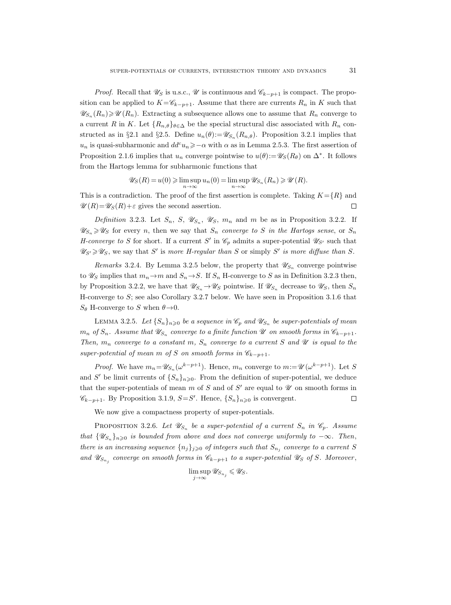*Proof.* Recall that  $\mathscr{U}_S$  is u.s.c.,  $\mathscr{U}$  is continuous and  $\mathscr{C}_{k-p+1}$  is compact. The proposition can be applied to  $K=\mathscr{C}_{k-p+1}$ . Assume that there are currents  $R_n$  in K such that  $\mathscr{U}_{S_n}(R_n) \geq \mathscr{U}(R_n)$ . Extracting a subsequence allows one to assume that  $R_n$  converge to a current R in K. Let  ${R_{n,\theta}}_{\theta \in \Delta}$  be the special structural disc associated with  $R_n$  constructed as in §2.1 and §2.5. Define  $u_n(\theta) := \mathscr{U}_{S_n}(R_{n,\theta})$ . Proposition 3.2.1 implies that  $u_n$  is quasi-subharmonic and  $dd^c u_n \geq -\alpha$  with  $\alpha$  as in Lemma 2.5.3. The first assertion of Proposition 2.1.6 implies that  $u_n$  converge pointwise to  $u(\theta) := \mathscr{U}_S(R_\theta)$  on  $\Delta^*$ . It follows from the Hartogs lemma for subharmonic functions that

$$
\mathscr{U}_S(R) = u(0) \geq \limsup_{n \to \infty} u_n(0) = \limsup_{n \to \infty} \mathscr{U}_{S_n}(R_n) \geq \mathscr{U}(R).
$$

This is a contradiction. The proof of the first assertion is complete. Taking  $K = \{R\}$  and  $\mathscr{U}(R) = \mathscr{U}_S(R) + \varepsilon$  gives the second assertion.  $\Box$ 

Definition 3.2.3. Let  $S_n$ ,  $S$ ,  $\mathscr{U}_{S_n}$ ,  $\mathscr{U}_S$ ,  $m_n$  and  $m$  be as in Proposition 3.2.2. If  $\mathscr{U}_{S_n} \geq \mathscr{U}_S$  for every n, then we say that  $S_n$  converge to S in the Hartogs sense, or  $S_n$ *H*-converge to S for short. If a current S' in  $\mathcal{C}_p$  admits a super-potential  $\mathcal{U}_{S'}$  such that  $\mathscr{U}_{S'} \geq \mathscr{U}_S$ , we say that S' is more H-regular than S or simply S' is more diffuse than S.

*Remarks* 3.2.4. By Lemma 3.2.5 below, the property that  $\mathscr{U}_{S_n}$  converge pointwise to  $\mathscr{U}_S$  implies that  $m_n \to m$  and  $S_n \to S$ . If  $S_n$  H-converge to S as in Definition 3.2.3 then, by Proposition 3.2.2, we have that  $\mathscr{U}_{S_n} \to \mathscr{U}_S$  pointwise. If  $\mathscr{U}_{S_n}$  decrease to  $\mathscr{U}_S$ , then  $S_n$ H-converge to  $S$ ; see also Corollary 3.2.7 below. We have seen in Proposition 3.1.6 that  $S_{\theta}$  H-converge to S when  $\theta \rightarrow 0$ .

LEMMA 3.2.5. Let  $\{S_n\}_{n\geqslant 0}$  be a sequence in  $\mathscr{C}_p$  and  $\mathscr{U}_{S_n}$  be super-potentials of mean  $m_n$  of  $S_n$ . Assume that  $\mathscr{U}_{S_n}$  converge to a finite function  $\mathscr U$  on smooth forms in  $\mathscr{C}_{k-p+1}.$ Then,  $m_n$  converge to a constant m,  $S_n$  converge to a current S and  $\mathcal U$  is equal to the super-potential of mean m of S on smooth forms in  $\mathscr{C}_{k-p+1}$ .

*Proof.* We have  $m_n = \mathscr{U}_{S_n}(\omega^{k-p+1})$ . Hence,  $m_n$  converge to  $m := \mathscr{U}(\omega^{k-p+1})$ . Let S and S' be limit currents of  $\{S_n\}_{n\geqslant 0}$ . From the definition of super-potential, we deduce that the super-potentials of mean  $m$  of  $S$  and of  $S'$  are equal to  $\mathscr U$  on smooth forms in  $\mathscr{C}_{k-p+1}$ . By Proposition 3.1.9, *S*=*S'*. Hence,  $\{S_n\}_{n\geq 0}$  is convergent.  $\Box$ 

We now give a compactness property of super-potentials.

PROPOSITION 3.2.6. Let  $\mathscr{U}_{S_n}$  be a super-potential of a current  $S_n$  in  $\mathscr{C}_p$ . Assume that  $\{\mathscr{U}_{S_n}\}_n\geqslant0$  is bounded from above and does not converge uniformly to  $-\infty$ . Then, there is an increasing sequence  $\{n_j\}_{j\geqslant 0}$  of integers such that  $S_{n_j}$  converge to a current S and  $\mathscr{U}_{S_{n_j}}$  converge on smooth forms in  $\mathscr{C}_{k-p+1}$  to a super-potential  $\mathscr{U}_S$  of S. Moreover,

$$
\limsup_{j\to\infty}\mathscr{U}_{S_{n_j}}\leqslant \mathscr{U}_S.
$$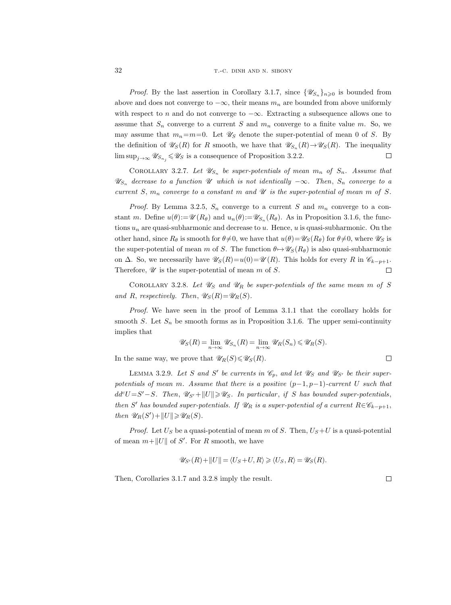*Proof.* By the last assertion in Corollary 3.1.7, since  $\{\mathscr{U}_{S_n}\}_{n\geqslant0}$  is bounded from above and does not converge to  $-\infty$ , their means  $m_n$  are bounded from above uniformly with respect to n and do not converge to  $-\infty$ . Extracting a subsequence allows one to assume that  $S_n$  converge to a current S and  $m_n$  converge to a finite value m. So, we may assume that  $m_n=m=0$ . Let  $\mathscr{U}_S$  denote the super-potential of mean 0 of S. By the definition of  $\mathscr{U}_S(R)$  for R smooth, we have that  $\mathscr{U}_{S_n}(R) \to \mathscr{U}_S(R)$ . The inequality  $\limsup_{j\to\infty} \mathscr{U}_{S_{n_j}} \leq \mathscr{U}_S$  is a consequence of Proposition 3.2.2.  $\Box$ 

COROLLARY 3.2.7. Let  $\mathscr{U}_{S_n}$  be super-potentials of mean  $m_n$  of  $S_n$ . Assume that  $\mathscr{U}_{S_n}$  decrease to a function  $\mathscr U$  which is not identically  $-\infty$ . Then,  $S_n$  converge to a current S,  $m_n$  converge to a constant m and  $\mathcal U$  is the super-potential of mean m of S.

*Proof.* By Lemma 3.2.5,  $S_n$  converge to a current S and  $m_n$  converge to a constant m. Define  $u(\theta) := \mathscr{U}(R_{\theta})$  and  $u_n(\theta) := \mathscr{U}_{S_n}(R_{\theta})$ . As in Proposition 3.1.6, the functions  $u_n$  are quasi-subharmonic and decrease to u. Hence, u is quasi-subharmonic. On the other hand, since  $R_{\theta}$  is smooth for  $\theta \neq 0$ , we have that  $u(\theta) = \mathscr{U}_{S}(R_{\theta})$  for  $\theta \neq 0$ , where  $\mathscr{U}_{S}$  is the super-potential of mean m of S. The function  $\theta \mapsto \mathscr{U}_{S}(R_{\theta})$  is also quasi-subharmonic on  $\Delta$ . So, we necessarily have  $\mathscr{U}_{S}(R)=u(0)=\mathscr{U}(R)$ . This holds for every R in  $\mathscr{C}_{k-p+1}$ . Therefore,  $\mathscr U$  is the super-potential of mean m of S.  $\Box$ 

COROLLARY 3.2.8. Let  $\mathscr{U}_S$  and  $\mathscr{U}_R$  be super-potentials of the same mean m of S and R, respectively. Then,  $\mathscr{U}_{S}(R)=\mathscr{U}_{R}(S)$ .

Proof. We have seen in the proof of Lemma 3.1.1 that the corollary holds for smooth S. Let  $S_n$  be smooth forms as in Proposition 3.1.6. The upper semi-continuity implies that

$$
\mathscr{U}_S(R) = \lim_{n \to \infty} \mathscr{U}_{S_n}(R) = \lim_{n \to \infty} \mathscr{U}_R(S_n) \leq \mathscr{U}_R(S).
$$

In the same way, we prove that  $\mathscr{U}_R(S) \leq \mathscr{U}_S(R)$ .

LEMMA 3.2.9. Let S and S' be currents in  $\mathcal{C}_p$ , and let  $\mathcal{U}_S$  and  $\mathcal{U}_{S'}$  be their superpotentials of mean m. Assume that there is a positive  $(p-1, p-1)$ -current U such that  $dd^cU = S' - S$ . Then,  $\mathscr{U}_{S'} + ||U|| \geq \mathscr{U}_S$ . In particular, if S has bounded super-potentials, then S' has bounded super-potentials. If  $\mathscr{U}_R$  is a super-potential of a current  $R \in \mathscr{C}_{k-p+1}$ , then  $\mathscr{U}_R(S') + ||U|| \geq \mathscr{U}_R(S)$ .

*Proof.* Let  $U_S$  be a quasi-potential of mean m of S. Then,  $U_S+U$  is a quasi-potential of mean  $m+||U||$  of S'. For R smooth, we have

$$
\mathscr{U}_{S'}(R) + ||U|| = \langle U_S + U, R \rangle \ge \langle U_S, R \rangle = \mathscr{U}_S(R).
$$

Then, Corollaries 3.1.7 and 3.2.8 imply the result.

 $\Box$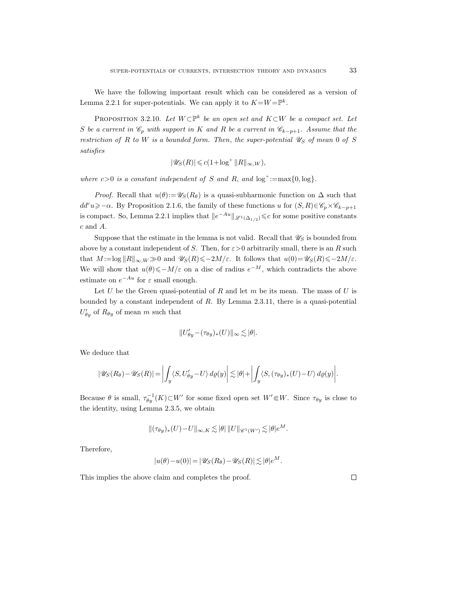We have the following important result which can be considered as a version of Lemma 2.2.1 for super-potentials. We can apply it to  $K = W = \mathbb{P}^k$ .

PROPOSITION 3.2.10. Let  $W\subset \mathbb{P}^k$  be an open set and  $K\subset W$  be a compact set. Let S be a current in  $\mathscr{C}_p$  with support in K and R be a current in  $\mathscr{C}_{k-p+1}$ . Assume that the restriction of R to W is a bounded form. Then, the super-potential  $\mathscr{U}_S$  of mean 0 of S satisfies

$$
|\mathscr{U}_S(R)| \leqslant c(1 + \log^+ \|R\|_{\infty, W}),
$$

where  $c > 0$  is a constant independent of S and R, and  $log^+ := max\{0, log\}.$ 

*Proof.* Recall that  $u(\theta) := \mathscr{U}_S(R_\theta)$  is a quasi-subharmonic function on  $\Delta$  such that  $dd^c u \geq -\alpha$ . By Proposition 2.1.6, the family of these functions u for  $(S, R) \in \mathscr{C}_p \times \mathscr{C}_{k-p+1}$ is compact. So, Lemma 2.2.1 implies that  $||e^{-Au}||_{\mathscr{L}^1(\Delta_{1/2})} \leq c$  for some positive constants c and A.

Suppose that the estimate in the lemma is not valid. Recall that  $\mathscr{U}_S$  is bounded from above by a constant independent of S. Then, for  $\varepsilon > 0$  arbitrarily small, there is an R such that  $M := \log ||R||_{\infty, W} \gg 0$  and  $\mathscr{U}_S(R) \le -2M/\varepsilon$ . It follows that  $u(0) = \mathscr{U}_S(R) \le -2M/\varepsilon$ . We will show that  $u(\theta) \leq -M/\varepsilon$  on a disc of radius  $e^{-M}$ , which contradicts the above estimate on  $e^{-Au}$  for  $\varepsilon$  small enough.

Let  $U$  be the Green quasi-potential of  $R$  and let  $m$  be its mean. The mass of  $U$  is bounded by a constant independent of R. By Lemma 2.3.11, there is a quasi-potential  $U'_{\theta y}$  of  $R_{\theta y}$  of mean m such that

$$
||U'_{\theta y}-(\tau_{\theta y})_*(U)||_{\infty}\lesssim |\theta|.
$$

We deduce that

$$
|\mathscr{U}_S(R_\theta)-\mathscr{U}_S(R)|=\bigg|\int_y\langle S,U'_{\theta y}-U\rangle\,d\varrho(y)\bigg|\lesssim |\theta|+\bigg|\int_y\langle S,(\tau_{\theta y})_*(U)-U\rangle\,d\varrho(y)\bigg|.
$$

Because  $\theta$  is small,  $\tau_{\theta y}^{-1}(K) \subset W'$  for some fixed open set  $W' \in W$ . Since  $\tau_{\theta y}$  is close to the identity, using Lemma 2.3.5, we obtain

$$
\|(\tau_{\theta y})_*(U)-U\|_{\infty,K}\lesssim |\theta|\, \|U\|_{\mathscr{C}^1(W')}\lesssim |\theta|e^M.
$$

Therefore,

$$
|u(\theta) - u(0)| = |\mathscr{U}_S(R_\theta) - \mathscr{U}_S(R)| \lesssim |\theta| e^M.
$$

This implies the above claim and completes the proof.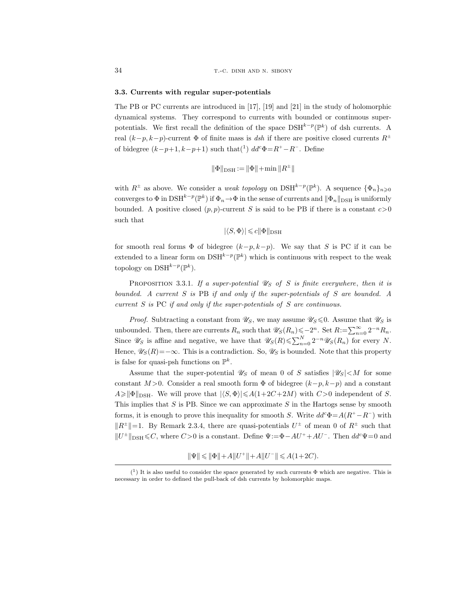#### 3.3. Currents with regular super-potentials

The PB or PC currents are introduced in [17], [19] and [21] in the study of holomorphic dynamical systems. They correspond to currents with bounded or continuous superpotentials. We first recall the definition of the space  $DSH^{k-p}(\mathbb{P}^k)$  of dsh currents. A real  $(k-p, k-p)$ -current  $\Phi$  of finite mass is dsh if there are positive closed currents  $R^{\pm}$ of bidegree  $(k-p+1, k-p+1)$  such that $(1)$   $dd^c\Phi = R^+ - R^-$ . Define

$$
\|\Phi\|_{\text{DSH}} := \|\Phi\| + \min \|R^{\pm}\|
$$

with  $R^{\pm}$  as above. We consider a *weak topology* on DSH<sup>k-p</sup>( $\mathbb{P}^{k}$ ). A sequence  $\{\Phi_n\}_{n\geqslant 0}$ converges to  $\Phi$  in  $\text{DSH}^{k-p}(\mathbb{P}^k)$  if  $\Phi_n \to \Phi$  in the sense of currents and  $\|\Phi_n\|_{\text{DSH}}$  is uniformly bounded. A positive closed  $(p, p)$ -current S is said to be PB if there is a constant  $c>0$ such that

$$
|\langle S,\Phi\rangle|\leqslant c\|\Phi\|_{\rm DSH}
$$

for smooth real forms  $\Phi$  of bidegree  $(k-p, k-p)$ . We say that S is PC if it can be extended to a linear form on  $\text{DSH}^{k-p}(\mathbb{P}^k)$  which is continuous with respect to the weak topology on  $\text{DSH}^{k-p}(\mathbb{P}^k)$ .

PROPOSITION 3.3.1. If a super-potential  $\mathscr{U}_S$  of S is finite everywhere, then it is bounded. A current S is PB if and only if the super-potentials of S are bounded. A current S is PC if and only if the super-potentials of S are continuous.

*Proof.* Subtracting a constant from  $\mathscr{U}_S$ , we may assume  $\mathscr{U}_S$   $\leq$  0. Assume that  $\mathscr{U}_S$  is unbounded. Then, there are currents  $R_n$  such that  $\mathscr{U}_S(R_n) \leqslant -2^n$ . Set  $R := \sum_{n=0}^{\infty} 2^{-n} R_n$ . Since  $\mathscr{U}_S$  is affine and negative, we have that  $\mathscr{U}_S(R) \leq \sum_{n=0}^N 2^{-n} \mathscr{U}_S(R_n)$  for every N. Hence,  $\mathscr{U}_{S}(R)=-\infty$ . This is a contradiction. So,  $\mathscr{U}_{S}$  is bounded. Note that this property is false for quasi-psh functions on  $\mathbb{P}^k$ .

Assume that the super-potential  $\mathscr{U}_S$  of mean 0 of S satisfies  $|\mathscr{U}_S|$  < M for some constant  $M > 0$ . Consider a real smooth form  $\Phi$  of bidegree  $(k-p, k-p)$  and a constant  $A\geqslant ||\Phi||_{\text{DSH}}$ . We will prove that  $|\langle S, \Phi \rangle| \leqslant A(1+2C+2M)$  with  $C>0$  independent of S. This implies that  $S$  is PB. Since we can approximate  $S$  in the Hartogs sense by smooth forms, it is enough to prove this inequality for smooth S. Write  $dd^c \Phi = A(R^+ - R^-)$  with  $||R^{\pm}||=1$ . By Remark 2.3.4, there are quasi-potentials  $U^{\pm}$  of mean 0 of  $R^{\pm}$  such that  $||U^{\pm}||_{\text{DSH}} \leq C$ , where  $C>0$  is a constant. Define  $\Psi:=\Phi-AU^{+}+AU^{-}$ . Then  $dd^{c}\Psi=0$  and

 $\|\Psi\| \leqslant \|\Phi\| + A\|U^+\| + A\|U^-\| \leqslant A(1+2C).$ 

 $(1)$  It is also useful to consider the space generated by such currents  $\Phi$  which are negative. This is necessary in order to defined the pull-back of dsh currents by holomorphic maps.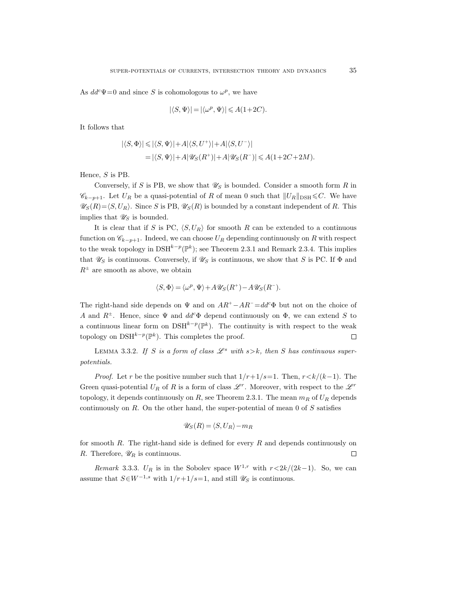As  $dd^c\Psi=0$  and since S is cohomologous to  $\omega^p$ , we have

$$
|\langle S, \Psi \rangle| = |\langle \omega^p, \Psi \rangle| \leqslant A(1+2C).
$$

It follows that

$$
\begin{aligned} |\langle S,\Phi\rangle|\leqslant|\langle S,\Psi\rangle|+A|\langle S,U^+\rangle|+A|\langle S,U^-\rangle|\\ =&\left|\langle S,\Psi\rangle|+A|\mathscr{U}_S(R^+)|+A|\mathscr{U}_S(R^-)|\leqslant A(1+2C+2M). \end{aligned}
$$

Hence, S is PB.

Conversely, if S is PB, we show that  $\mathscr{U}_S$  is bounded. Consider a smooth form R in  $\mathscr{C}_{k-p+1}$ . Let  $U_R$  be a quasi-potential of R of mean 0 such that  $||U_R||_{\text{DSH}} \leq C$ . We have  $\mathscr{U}_S(R)=\langle S, U_R \rangle$ . Since S is PB,  $\mathscr{U}_S(R)$  is bounded by a constant independent of R. This implies that  $\mathscr{U}_S$  is bounded.

It is clear that if S is PC,  $\langle S, U_R \rangle$  for smooth R can be extended to a continuous function on  $\mathscr{C}_{k-p+1}$ . Indeed, we can choose  $U_R$  depending continuously on R with respect to the weak topology in  $\text{DSH}^{k-p}(\mathbb{P}^k)$ ; see Theorem 2.3.1 and Remark 2.3.4. This implies that  $\mathscr{U}_S$  is continuous. Conversely, if  $\mathscr{U}_S$  is continuous, we show that S is PC. If  $\Phi$  and  $R^{\pm}$  are smooth as above, we obtain

$$
\langle S, \Phi \rangle = \langle \omega^p, \Psi \rangle + A \mathscr{U}_S(R^+) - A \mathscr{U}_S(R^-).
$$

The right-hand side depends on  $\Psi$  and on  $AR^+ - AR^- = dd^c \Phi$  but not on the choice of A and  $R^{\pm}$ . Hence, since  $\Psi$  and  $dd^c\Phi$  depend continuously on  $\Phi$ , we can extend S to a continuous linear form on  $DSH^{k-p}(\mathbb{P}^k)$ . The continuity is with respect to the weak topology on  $\text{DSH}^{k-p}(\mathbb{P}^k)$ . This completes the proof.  $\Box$ 

LEMMA 3.3.2. If S is a form of class  $\mathcal{L}^s$  with  $s > k$ , then S has continuous superpotentials.

*Proof.* Let r be the positive number such that  $1/r+1/s=1$ . Then,  $r < k/(k-1)$ . The Green quasi-potential  $U_R$  of R is a form of class  $\mathscr{L}^r$ . Moreover, with respect to the  $\mathscr{L}^r$ topology, it depends continuously on R, see Theorem 2.3.1. The mean  $m_R$  of  $U_R$  depends continuously on  $R$ . On the other hand, the super-potential of mean  $0$  of  $S$  satisfies

$$
\mathscr{U}_S(R) = \langle S, U_R \rangle - m_R
$$

for smooth  $R$ . The right-hand side is defined for every  $R$  and depends continuously on R. Therefore,  $\mathscr{U}_R$  is continuous.  $\Box$ 

Remark 3.3.3. U<sub>R</sub> is in the Sobolev space  $W^{1,r}$  with  $r < 2k/(2k-1)$ . So, we can assume that  $S \in W^{-1,s}$  with  $1/r+1/s=1$ , and still  $\mathscr{U}_S$  is continuous.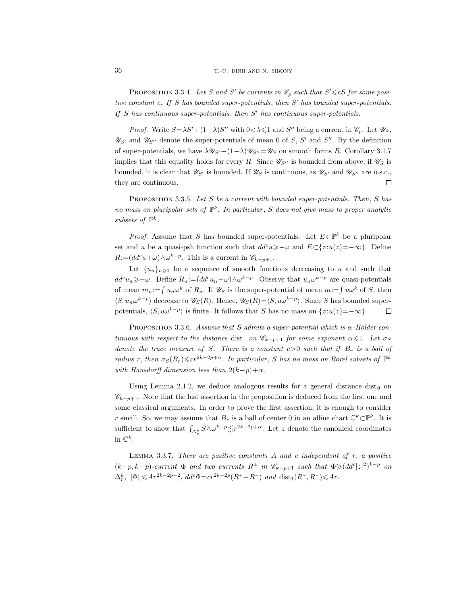PROPOSITION 3.3.4. Let S and S' be currents in  $\mathcal{C}_p$  such that  $S' \leq cS$  for some positive constant  $c$ . If  $S$  has bounded super-potentials, then  $S'$  has bounded super-potentials. If  $S$  has continuous super-potentials, then  $S'$  has continuous super-potentials.

*Proof.* Write  $S = \lambda S' + (1 - \lambda)S''$  with  $0 < \lambda \leq 1$  and S'' being a current in  $\mathcal{C}_p$ . Let  $\mathcal{U}_S$ ,  $\mathscr{U}_{S'}$  and  $\mathscr{U}_{S''}$  denote the super-potentials of mean 0 of S, S' and S''. By the definition of super-potentials, we have  $\lambda \mathscr{U}_{S'}+(1-\lambda)\mathscr{U}_{S''}=\mathscr{U}_{S}$  on smooth forms R. Corollary 3.1.7 implies that this equality holds for every R. Since  $\mathscr{U}_{S}$  is bounded from above, if  $\mathscr{U}_{S}$  is bounded, it is clear that  $\mathscr{U}_{S}$  is bounded. If  $\mathscr{U}_S$  is continuous, as  $\mathscr{U}_{S'}$  and  $\mathscr{U}_{S''}$  are u.s.c., they are continuous.  $\Box$ 

PROPOSITION 3.3.5. Let S be a current with bounded super-potentials. Then, S has no mass on pluripolar sets of  $\mathbb{P}^k$ . In particular, S does not give mass to proper analytic subsets of  $\mathbb{P}^k$ .

*Proof.* Assume that S has bounded super-potentials. Let  $E \subset \mathbb{P}^k$  be a pluripolar set and u be a quasi-psh function such that  $dd^c u \geq -\omega$  and  $E\subset\{z:u(z)=-\infty\}$ . Define  $R = (dd^c u + \omega) \wedge \omega^{k-p}$ . This is a current in  $\mathscr{C}_{k-p+1}$ .

Let  $\{u_n\}_{n\geqslant0}$  be a sequence of smooth functions decreasing to u and such that  $dd^c u_n \geqslant -\omega$ . Define  $R_n := (dd^c u_n + \omega) \wedge \omega^{k-p}$ . Observe that  $u_n \omega^{k-p}$  are quasi-potentials of mean  $m_n := \int u_n \omega^k$  of  $R_n$ . If  $\mathscr{U}_S$  is the super-potential of mean  $m := \int u \omega^k$  of S, then  $\langle S, u_n \omega^{k-p} \rangle$  decrease to  $\mathscr{U}_S(R)$ . Hence,  $\mathscr{U}_S(R) = \langle S, u \omega^{k-p} \rangle$ . Since S has bounded superpotentials,  $\langle S, u\omega^{k-p} \rangle$  is finite. It follows that S has no mass on  $\{z: u(z)=-\infty\}.$  $\Box$ 

PROPOSITION 3.3.6. Assume that S admits a super-potential which is  $\alpha$ -Hölder continuous with respect to the distance dist<sub>1</sub> on  $\mathscr{C}_{k-p+1}$  for some exponent  $\alpha \leq 1$ . Let  $\sigma_S$ denote the trace measure of S. There is a constant  $c>0$  such that if  $B_r$  is a ball of radius r, then  $\sigma_S(B_r) \leqslant c r^{2k-2p+\alpha}$ . In particular, S has no mass on Borel subsets of  $\mathbb{P}^k$ with Hausdorff dimension less than  $2(k-p)+\alpha$ .

Using Lemma 2.1.2, we deduce analogous results for a general distance dist<sub>β</sub> on  $\mathscr{C}_{k-p+1}$ . Note that the last assertion in the proposition is deduced from the first one and some classical arguments. In order to prove the first assertion, it is enough to consider r small. So, we may assume that  $B_r$  is a ball of center 0 in an affine chart  $\mathbb{C}^k \subset \mathbb{P}^k$ . It is sufficient to show that  $\int_{\Delta_r^k} S \wedge \omega^{k-p} \leq r^{2k-2p+\alpha}$ . Let z denote the canonical coordinates in  $\mathbb{C}^k$ .

LEMMA 3.3.7. There are positive constants  $A$  and  $c$  independent of  $r$ , a positive  $(k-p, k-p)$ -current  $\Phi$  and two currents  $R^{\pm}$  in  $\mathscr{C}_{k-p+1}$  such that  $\Phi \geqslant (dd^c |z|^2)^{k-p}$  on  $\Delta_r^k$ ,  $\|\Phi\| \leqslant Ar^{2k-2p+2}$ ,  $dd^c\Phi = cr^{2k-2p}(R^+ - R^-)$  and  $\text{dist}_1(R^+, R^-) \leqslant Ar$ .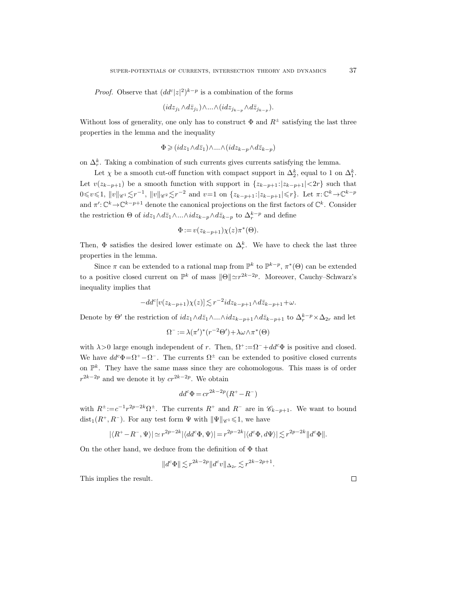*Proof.* Observe that  $(dd^c|z|^2)^{k-p}$  is a combination of the forms

$$
(idz_{j_1} \wedge d\bar{z}_{j_1}) \wedge \ldots \wedge (idz_{j_{k-p}} \wedge d\bar{z}_{j_{k-p}}).
$$

Without loss of generality, one only has to construct  $\Phi$  and  $R^{\pm}$  satisfying the last three properties in the lemma and the inequality

$$
\Phi \geq (idz_1 \wedge d\bar{z}_1) \wedge \ldots \wedge (idz_{k-p} \wedge d\bar{z}_{k-p})
$$

on  $\Delta_r^k$ . Taking a combination of such currents gives currents satisfying the lemma.

Let  $\chi$  be a smooth cut-off function with compact support in  $\Delta_2^k$ , equal to 1 on  $\Delta_1^k$ . Let  $v(z_{k-p+1})$  be a smooth function with support in  $\{z_{k-p+1}:|z_{k-p+1}|<2r\}$  such that  $0 \le v \le 1$ ,  $||v||_{\mathscr{C}_1} \le r^{-1}$ ,  $||v||_{\mathscr{C}_2} \le r^{-2}$  and  $v=1$  on  $\{z_{k-p+1} : |z_{k-p+1}| \le r\}$ . Let  $\pi: \mathbb{C}^k \to \mathbb{C}^{k-p}$ and  $\pi' : \mathbb{C}^k \to \mathbb{C}^{k-p+1}$  denote the canonical projections on the first factors of  $\mathbb{C}^k$ . Consider the restriction  $\Theta$  of  $idz_1 \wedge d\bar{z}_1 \wedge ... \wedge idz_{k-p} \wedge d\bar{z}_{k-p}$  to  $\Delta_r^{k-p}$  and define

$$
\Phi := v(z_{k-p+1})\chi(z)\pi^*(\Theta).
$$

Then,  $\Phi$  satisfies the desired lower estimate on  $\Delta_r^k$ . We have to check the last three properties in the lemma.

Since  $\pi$  can be extended to a rational map from  $\mathbb{P}^k$  to  $\mathbb{P}^{k-p}$ ,  $\pi^*(\Theta)$  can be extended to a positive closed current on  $\mathbb{P}^k$  of mass  $\|\Theta\| \simeq r^{2k-2p}$ . Moreover, Cauchy–Schwarz's inequality implies that

$$
-dd^c[v(z_{k-p+1})\chi(z)]\lesssim r^{-2}idz_{k-p+1}\wedge d\bar{z}_{k-p+1}+\omega.
$$

Denote by  $\Theta'$  the restriction of  $idz_1\wedge d\bar{z}_1\wedge...\wedge idz_{k-p+1}\wedge d\bar{z}_{k-p+1}$  to  $\Delta_r^{k-p}\times\Delta_{2r}$  and let

$$
\Omega^- := \lambda(\pi')^*(r^{-2}\Theta') + \lambda\omega\wedge\pi^*(\Theta)
$$

with  $\lambda > 0$  large enough independent of r. Then,  $\Omega^+ := \Omega^- + dd^c \Phi$  is positive and closed. We have  $dd^c\Phi = \Omega^+ - \Omega^-$ . The currents  $\Omega^{\pm}$  can be extended to positive closed currents on  $\mathbb{P}^k$ . They have the same mass since they are cohomologous. This mass is of order  $r^{2k-2p}$  and we denote it by  $cr^{2k-2p}$ . We obtain

$$
dd^c \Phi = cr^{2k-2p}(R^+ - R^-)
$$

with  $R^{\pm} := c^{-1}r^{2p-2k}\Omega^{\pm}$ . The currents  $R^+$  and  $R^-$  are in  $\mathscr{C}_{k-p+1}$ . We want to bound  $dist_1(R^+, R^-)$ . For any test form  $\Psi$  with  $\|\Psi\|_{\mathscr{C}^1} \leq 1$ , we have

$$
|\langle R^+ - R^-, \Psi \rangle| \simeq r^{2p-2k} |\langle dd^c \Phi, \Psi \rangle| = r^{2p-2k} |\langle d^c \Phi, d\Psi \rangle| \lesssim r^{2p-2k} \| d^c \Phi \|.
$$

On the other hand, we deduce from the definition of  $\Phi$  that

$$
||d^c\Phi|| \lesssim r^{2k-2p} ||d^c v||_{\Delta_{2r}} \lesssim r^{2k-2p+1}.
$$

This implies the result.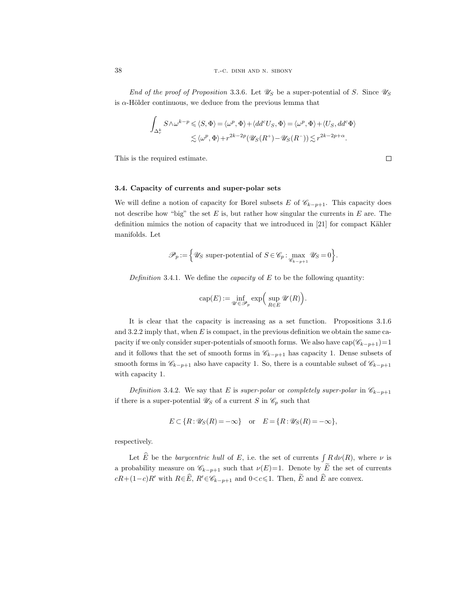End of the proof of Proposition 3.3.6. Let  $\mathscr{U}_S$  be a super-potential of S. Since  $\mathscr{U}_S$ is  $\alpha$ -Hölder continuous, we deduce from the previous lemma that

$$
\int_{\Delta_r^k} S \wedge \omega^{k-p} \leqslant \langle S, \Phi \rangle = \langle \omega^p, \Phi \rangle + \langle dd^c U_S, \Phi \rangle = \langle \omega^p, \Phi \rangle + \langle U_S, dd^c \Phi \rangle
$$
  

$$
\lesssim \langle \omega^p, \Phi \rangle + r^{2k-2p} (\mathscr{U}_S(R^+) - \mathscr{U}_S(R^-)) \lesssim r^{2k-2p+\alpha}.
$$

This is the required estimate.

$$
\Box
$$

## 3.4. Capacity of currents and super-polar sets

We will define a notion of capacity for Borel subsets E of  $\mathscr{C}_{k-p+1}$ . This capacity does not describe how "big" the set  $E$  is, but rather how singular the currents in  $E$  are. The definition mimics the notion of capacity that we introduced in  $[21]$  for compact Kähler manifolds. Let

$$
\mathscr{P}_p := \left\{ \mathscr{U}_S \text{ super-potential of } S \in \mathscr{C}_p : \max_{\mathscr{C}_{k-p+1}} \mathscr{U}_S = 0 \right\}.
$$

Definition 3.4.1. We define the *capacity* of  $E$  to be the following quantity:

$$
\operatorname{cap}(E) := \inf_{\mathscr{U} \in \mathscr{P}_p} \exp\Big(\sup_{R \in E} \mathscr{U}(R)\Big).
$$

It is clear that the capacity is increasing as a set function. Propositions 3.1.6 and 3.2.2 imply that, when  $E$  is compact, in the previous definition we obtain the same capacity if we only consider super-potentials of smooth forms. We also have  $cap(\mathscr{C}_{k-p+1})=1$ and it follows that the set of smooth forms in  $\mathscr{C}_{k-p+1}$  has capacity 1. Dense subsets of smooth forms in  $\mathscr{C}_{k-p+1}$  also have capacity 1. So, there is a countable subset of  $\mathscr{C}_{k-p+1}$ with capacity 1.

Definition 3.4.2. We say that E is super-polar or completely super-polar in  $\mathscr{C}_{k-p+1}$ if there is a super-potential  $\mathscr{U}_S$  of a current S in  $\mathscr{C}_p$  such that

$$
E \subset \{R : \mathscr{U}_S(R) = -\infty\} \quad \text{or} \quad E = \{R : \mathscr{U}_S(R) = -\infty\},
$$

respectively.

Let  $\hat{E}$  be the *barycentric hull* of E, i.e. the set of currents  $\int_{\infty} R d\nu(R)$ , where  $\nu$  is a probability measure on  $\mathscr{C}_{k-p+1}$  such that  $\nu(E)=1$ . Denote by  $\widetilde{E}$  the set of currents  $cR+(1-c)R'$  with  $R\in\widehat{E}$ ,  $R'\in\mathscr{C}_{k-p+1}$  and  $0. Then,  $\widetilde{E}$  and  $\widehat{E}$  are convex.$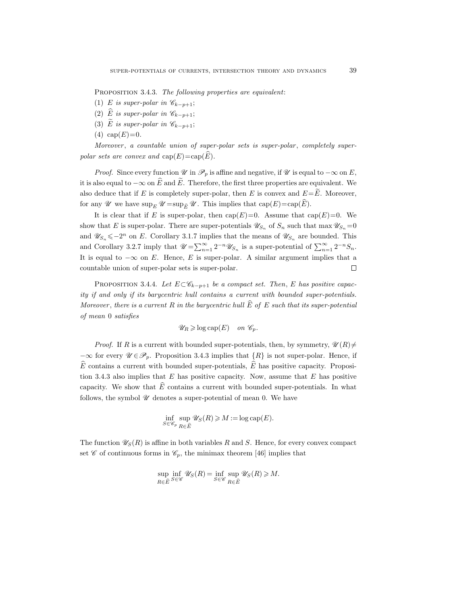PROPOSITION 3.4.3. The following properties are equivalent:

- (1) E is super-polar in  $\mathscr{C}_{k-p+1};$
- (2)  $\widehat{E}$  is super-polar in  $\mathscr{C}_{k-p+1};$
- (3) E is super-polar in  $\mathscr{C}_{k-p+1};$
- (4)  $cap(E)=0$ .

Moreover, a countable union of super-polar sets is super-polar, completely superpolar sets are convex and  $cap(E)=cap(E)$ .

*Proof.* Since every function  $\mathcal{U}$  in  $\mathcal{P}_p$  is affine and negative, if  $\mathcal{U}$  is equal to  $-\infty$  on E, it is also equal to  $-\infty$  on  $\widehat{E}$  and  $\widehat{E}$ . Therefore, the first three properties are equivalent. We also deduce that if E is completely super-polar, then E is convex and  $E=\tilde{E}$ . Moreover, for any  $\mathscr U$  we have  $\sup_E \mathscr U = \sup_{\widehat{E}} \mathscr U$ . This implies that  $\text{cap}(E)=\text{cap}(\widehat{E})$ .

It is clear that if E is super-polar, then  $cap(E)=0$ . Assume that  $cap(E)=0$ . We show that E is super-polar. There are super-potentials  $\mathscr{U}_{S_n}$  of  $S_n$  such that  $\max \mathscr{U}_{S_n} = 0$ and  $\mathscr{U}_{S_n} \leq -2^n$  on E. Corollary 3.1.7 implies that the means of  $\mathscr{U}_{S_n}$  are bounded. This and Corollary 3.2.7 imply that  $\mathscr{U} = \sum_{n=1}^{\infty} 2^{-n} \mathscr{U}_{S_n}$  is a super-potential of  $\sum_{n=1}^{\infty} 2^{-n} S_n$ . It is equal to  $-\infty$  on E. Hence, E is super-polar. A similar argument implies that a countable union of super-polar sets is super-polar.  $\Box$ 

PROPOSITION 3.4.4. Let  $E \subset \mathscr{C}_{k-p+1}$  be a compact set. Then, E has positive capacity if and only if its barycentric hull contains a current with bounded super-potentials. Moreover, there is a current R in the barycentric hull  $\widehat{E}$  of E such that its super-potential of mean 0 satisfies

$$
\mathscr{U}_R \geqslant \log \text{cap}(E) \quad on \ \mathscr{C}_p.
$$

*Proof.* If R is a current with bounded super-potentials, then, by symmetry,  $\mathscr{U}(R) \neq$  $-\infty$  for every  $\mathscr{U} \in \mathscr{P}_p$ . Proposition 3.4.3 implies that  $\{R\}$  is not super-polar. Hence, if  $\hat{E}$  contains a current with bounded super-potentials,  $\hat{E}$  has positive capacity. Proposition 3.4.3 also implies that  $E$  has positive capacity. Now, assume that  $E$  has positive capacity. We show that  $E$  contains a current with bounded super-potentials. In what follows, the symbol  $\mathscr U$  denotes a super-potential of mean 0. We have

$$
\inf_{S\in\mathscr{C}_p}\sup_{R\in\widehat{E}}\mathscr{U}_S(R)\geqslant M:=\log\text{cap}(E).
$$

The function  $\mathscr{U}_S(R)$  is affine in both variables R and S. Hence, for every convex compact set  $\mathscr C$  of continuous forms in  $\mathscr C_p$ , the minimax theorem [46] implies that

$$
\sup_{R \in \widehat{E}} \inf_{S \in \mathscr{C}} \mathscr{U}_S(R) = \inf_{S \in \mathscr{C}} \sup_{R \in \widehat{E}} \mathscr{U}_S(R) \geq M.
$$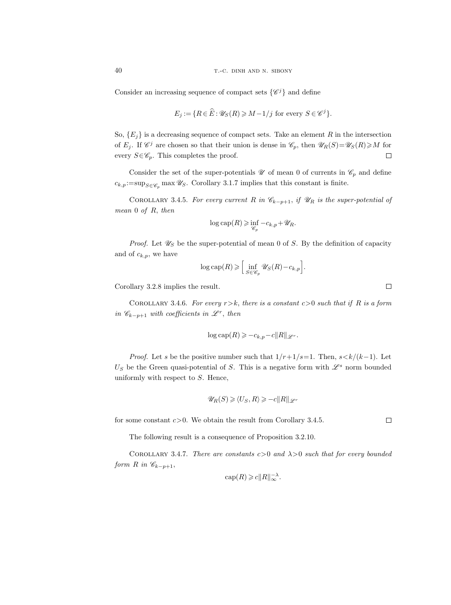Consider an increasing sequence of compact sets  $\{\mathscr{C}^j\}$  and define

$$
E_j := \{ R \in \widehat{E} : \mathscr{U}_S(R) \ge M - 1/j \text{ for every } S \in \mathscr{C}^j \}.
$$

So,  $\{E_i\}$  is a decreasing sequence of compact sets. Take an element R in the intersection of  $E_j$ . If  $\mathscr{C}^j$  are chosen so that their union is dense in  $\mathscr{C}_p$ , then  $\mathscr{U}_R(S)=\mathscr{U}_S(R)\geqslant M$  for every  $S \in \mathscr{C}_p$ . This completes the proof.  $\Box$ 

Consider the set of the super-potentials  $\mathscr U$  of mean 0 of currents in  $\mathscr C_p$  and define  $c_{k,p} := \sup_{S \in \mathscr{C}_n} \max \mathscr{U}_S$ . Corollary 3.1.7 implies that this constant is finite.

COROLLARY 3.4.5. For every current R in  $\mathcal{C}_{k-p+1}$ , if  $\mathcal{U}_R$  is the super-potential of mean 0 of R, then

$$
\log \text{cap}(R) \geq \inf_{\mathscr{C}_p} -c_{k,p} + \mathscr{U}_R.
$$

*Proof.* Let  $\mathscr{U}_S$  be the super-potential of mean 0 of S. By the definition of capacity and of  $c_{k,p}$ , we have

$$
\log \text{cap}(R) \geqslant \left[ \inf_{S \in \mathscr{C}_p} \mathscr{U}_S(R) - c_{k,p} \right].
$$

Corollary 3.2.8 implies the result.

COROLLARY 3.4.6. For every  $r > k$ , there is a constant  $c > 0$  such that if R is a form in  $\mathscr{C}_{k-p+1}$  with coefficients in  $\mathscr{L}^r$ , then

$$
\log \text{cap}(R) \geqslant -c_{k,p} - c||R||_{\mathscr{L}^r}.
$$

*Proof.* Let s be the positive number such that  $1/r+1/s=1$ . Then,  $s < k/(k-1)$ . Let  $U<sub>S</sub>$  be the Green quasi-potential of S. This is a negative form with  $\mathscr{L}^s$  norm bounded uniformly with respect to  $S$ . Hence,

$$
\mathscr{U}_R(S) \ge \langle U_S, R \rangle \ge -c ||R||_{\mathscr{L}^r}
$$

for some constant  $c > 0$ . We obtain the result from Corollary 3.4.5.

The following result is a consequence of Proposition 3.2.10.

COROLLARY 3.4.7. There are constants  $c>0$  and  $\lambda>0$  such that for every bounded form R in  $\mathscr{C}_{k-p+1}$ ,

$$
\operatorname{cap}(R) \geqslant c \|R\|_{\infty}^{-\lambda}.
$$

 $\Box$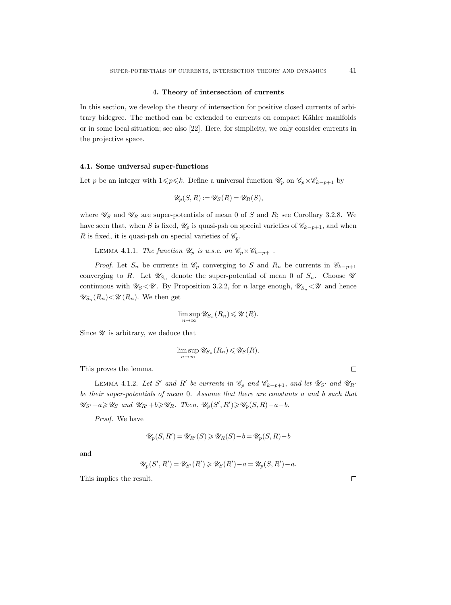#### 4. Theory of intersection of currents

In this section, we develop the theory of intersection for positive closed currents of arbitrary bidegree. The method can be extended to currents on compact Kähler manifolds or in some local situation; see also [22]. Here, for simplicity, we only consider currents in the projective space.

## 4.1. Some universal super-functions

Let p be an integer with  $1\leq p\leq k$ . Define a universal function  $\mathscr{U}_p$  on  $\mathscr{C}_p\times\mathscr{C}_{k-p+1}$  by

$$
\mathscr{U}_p(S, R) := \mathscr{U}_S(R) = \mathscr{U}_R(S),
$$

where  $\mathscr{U}_S$  and  $\mathscr{U}_R$  are super-potentials of mean 0 of S and R; see Corollary 3.2.8. We have seen that, when S is fixed,  $\mathcal{U}_p$  is quasi-psh on special varieties of  $\mathcal{C}_{k-p+1}$ , and when R is fixed, it is quasi-psh on special varieties of  $\mathscr{C}_p$ .

LEMMA 4.1.1. The function  $\mathscr{U}_p$  is u.s.c. on  $\mathscr{C}_p\times\mathscr{C}_{k-p+1}$ .

*Proof.* Let  $S_n$  be currents in  $\mathcal{C}_p$  converging to S and  $R_n$  be currents in  $\mathcal{C}_{k-p+1}$ converging to R. Let  $\mathscr{U}_{S_n}$  denote the super-potential of mean 0 of  $S_n$ . Choose  $\mathscr{U}$ continuous with  $\mathscr{U}_S\langle \mathscr{U}$ . By Proposition 3.2.2, for *n* large enough,  $\mathscr{U}_{S_n}\langle \mathscr{U}$  and hence  $\mathscr{U}_{S_n}(R_n) < \mathscr{U}(R_n)$ . We then get

$$
\limsup_{n\to\infty} \mathscr{U}_{S_n}(R_n) \leqslant \mathscr{U}(R).
$$

Since  $\mathscr U$  is arbitrary, we deduce that

$$
\limsup_{n\to\infty} \mathscr{U}_{S_n}(R_n) \leqslant \mathscr{U}_S(R).
$$

This proves the lemma.

LEMMA 4.1.2. Let S' and R' be currents in  $\mathcal{C}_p$  and  $\mathcal{C}_{k-p+1}$ , and let  $\mathcal{U}_{S'}$  and  $\mathcal{U}_{R'}$ be their super-potentials of mean 0. Assume that there are constants a and b such that  $\mathscr{U}_{S'}+a\geqslant \mathscr{U}_S$  and  $\mathscr{U}_{R'}+b\geqslant \mathscr{U}_R$ . Then,  $\mathscr{U}_p(S',R')\geqslant \mathscr{U}_p(S,R)-a-b$ .

Proof. We have

$$
\mathscr{U}_p(S, R') = \mathscr{U}_{R'}(S) \geq \mathscr{U}_R(S) - b = \mathscr{U}_p(S, R) - b
$$

and

$$
\mathscr{U}_p(S',R')=\mathscr{U}_{S'}(R')\geqslant \mathscr{U}_S(R')-a=\mathscr{U}_p(S,R')-a.
$$

This implies the result.

 $\Box$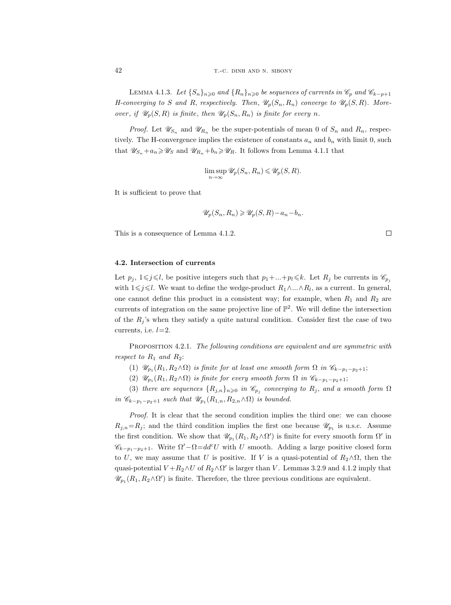LEMMA 4.1.3. Let  $\{S_n\}_{n\geqslant 0}$  and  $\{R_n\}_{n\geqslant 0}$  be sequences of currents in  $\mathscr{C}_p$  and  $\mathscr{C}_{k-p+1}$ H-converging to S and R, respectively. Then,  $\mathscr{U}_p(S_n, R_n)$  converge to  $\mathscr{U}_p(S, R)$ . Moreover, if  $\mathscr{U}_p(S, R)$  is finite, then  $\mathscr{U}_p(S_n, R_n)$  is finite for every n.

*Proof.* Let  $\mathscr{U}_{S_n}$  and  $\mathscr{U}_{R_n}$  be the super-potentials of mean 0 of  $S_n$  and  $R_n$ , respectively. The H-convergence implies the existence of constants  $a_n$  and  $b_n$  with limit 0, such that  $\mathscr{U}_{S_n} + a_n \geq \mathscr{U}_S$  and  $\mathscr{U}_{R_n} + b_n \geq \mathscr{U}_R$ . It follows from Lemma 4.1.1 that

$$
\limsup_{n \to \infty} \mathcal{U}_p(S_n, R_n) \leq \mathcal{U}_p(S, R).
$$

It is sufficient to prove that

$$
\mathscr{U}_p(S_n, R_n) \ge \mathscr{U}_p(S, R) - a_n - b_n.
$$

This is a consequence of Lemma 4.1.2.

### 4.2. Intersection of currents

Let  $p_j$ ,  $1\leq j\leq l$ , be positive integers such that  $p_1+\ldots+p_l\leq k$ . Let  $R_j$  be currents in  $\mathscr{C}_{p_j}$ with  $1 \leq j \leq l$ . We want to define the wedge-product  $R_1 \wedge ... \wedge R_l$ , as a current. In general, one cannot define this product in a consistent way; for example, when  $R_1$  and  $R_2$  are currents of integration on the same projective line of  $\mathbb{P}^2$ . We will define the intersection of the  $R_i$ 's when they satisfy a quite natural condition. Consider first the case of two currents, i.e.  $l=2$ .

PROPOSITION 4.2.1. The following conditions are equivalent and are symmetric with respect to  $R_1$  and  $R_2$ :

- (1)  $\mathscr{U}_{p_1}(R_1, R_2 \wedge \Omega)$  is finite for at least one smooth form  $\Omega$  in  $\mathscr{C}_{k-p_1-p_2+1}$ ;
- (2)  $\mathscr{U}_{p_1}(R_1, R_2 \wedge \Omega)$  is finite for every smooth form  $\Omega$  in  $\mathscr{C}_{k-p_1-p_2+1}$ ;

(3) there are sequences  $\{R_{j,n}\}_{n\geqslant 0}$  in  $\mathscr{C}_{p_j}$  converging to  $R_j$ , and a smooth form  $\Omega$ in  $\mathscr{C}_{k-p_1-p_2+1}$  such that  $\mathscr{U}_{p_1}(R_{1,n}, R_{2,n} \wedge \Omega)$  is bounded.

Proof. It is clear that the second condition implies the third one: we can choose  $R_{j,n}=R_j$ ; and the third condition implies the first one because  $\mathscr{U}_{p_1}$  is u.s.c. Assume the first condition. We show that  $\mathscr{U}_{p_1}(R_1, R_2 \wedge \Omega')$  is finite for every smooth form  $\Omega'$  in  $\mathscr{C}_{k-p_1-p_2+1}$ . Write  $\Omega'-\Omega=d d^cU$  with U smooth. Adding a large positive closed form to U, we may assume that U is positive. If V is a quasi-potential of  $R_2 \wedge \Omega$ , then the quasi-potential  $V + R_2 \wedge U$  of  $R_2 \wedge \Omega'$  is larger than V. Lemmas 3.2.9 and 4.1.2 imply that  $\mathscr{U}_{p_1}(R_1, R_2 \wedge \Omega')$  is finite. Therefore, the three previous conditions are equivalent.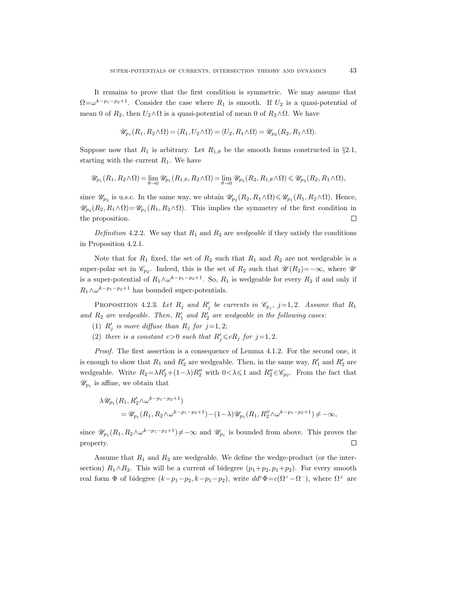It remains to prove that the first condition is symmetric. We may assume that  $\Omega = \omega^{k-p_1-p_2+1}$ . Consider the case where  $R_1$  is smooth. If  $U_2$  is a quasi-potential of mean 0 of  $R_2$ , then  $U_2 \wedge \Omega$  is a quasi-potential of mean 0 of  $R_2 \wedge \Omega$ . We have

$$
\mathscr{U}_{p_1}(R_1, R_2 \wedge \Omega) = \langle R_1, U_2 \wedge \Omega \rangle = \langle U_2, R_1 \wedge \Omega \rangle = \mathscr{U}_{p_2}(R_2, R_1 \wedge \Omega).
$$

Suppose now that  $R_1$  is arbitrary. Let  $R_{1,\theta}$  be the smooth forms constructed in §2.1, starting with the current  $R_1$ . We have

$$
\mathscr{U}_{p_1}(R_1, R_2 \wedge \Omega) = \lim_{\theta \to 0} \mathscr{U}_{p_1}(R_{1,\theta}, R_2 \wedge \Omega) = \lim_{\theta \to 0} \mathscr{U}_{p_2}(R_2, R_{1,\theta} \wedge \Omega) \leq \mathscr{U}_{p_2}(R_2, R_1 \wedge \Omega),
$$

since  $\mathscr{U}_{p_2}$  is u.s.c. In the same way, we obtain  $\mathscr{U}_{p_2}(R_2, R_1 \wedge \Omega) \leq \mathscr{U}_{p_1}(R_1, R_2 \wedge \Omega)$ . Hence,  $\mathscr{U}_{p_2}(R_2, R_1 \wedge \Omega) = \mathscr{U}_{p_1}(R_1, R_2 \wedge \Omega)$ . This implies the symmetry of the first condition in the proposition.  $\Box$ 

Definition 4.2.2. We say that  $R_1$  and  $R_2$  are wedgeable if they satisfy the conditions in Proposition 4.2.1.

Note that for  $R_1$  fixed, the set of  $R_2$  such that  $R_1$  and  $R_2$  are not wedgeable is a super-polar set in  $\mathscr{C}_{p_2}$ . Indeed, this is the set of  $R_2$  such that  $\mathscr{U}(R_2) = -\infty$ , where  $\mathscr{U}$ is a super-potential of  $R_1 \wedge \omega^{k-p_1-p_2+1}$ . So,  $R_1$  is wedgeable for every  $R_2$  if and only if  $R_1 \wedge \omega^{k-p_1-p_2+1}$  has bounded super-potentials.

PROPOSITION 4.2.3. Let  $R_j$  and  $R'_j$  be currents in  $\mathcal{C}_{p_j}$ , j=1,2. Assume that  $R_1$ and  $R_2$  are wedgeable. Then,  $R'_1$  and  $R'_2$  are wedgeable in the following cases:

- (1)  $R'_j$  is more diffuse than  $R_j$  for  $j=1,2;$
- (2) there is a constant  $c > 0$  such that  $R'_j \leq cR_j$  for  $j = 1, 2$ .

Proof. The first assertion is a consequence of Lemma 4.1.2. For the second one, it is enough to show that  $R_1$  and  $R'_2$  are wedgeable. Then, in the same way,  $R'_1$  and  $R'_2$  are wedgeable. Write  $R_2 = \lambda R_2' + (1 - \lambda)R_2''$  with  $0 < \lambda \leq 1$  and  $R_2'' \in \mathcal{C}_{p_2}$ . From the fact that  $\mathscr{U}_{p_1}$  is affine, we obtain that

$$
\lambda \mathscr{U}_{p_1}(R_1, R'_2 \wedge \omega^{k-p_1-p_2+1})
$$
  
=  $\mathscr{U}_{p_1}(R_1, R_2 \wedge \omega^{k-p_1-p_2+1}) - (1-\lambda) \mathscr{U}_{p_1}(R_1, R''_2 \wedge \omega^{k-p_1-p_2+1}) \neq -\infty$ ,

since  $\mathscr{U}_{p_1}(R_1, R_2 \wedge \omega^{k-p_1-p_2+1}) \neq -\infty$  and  $\mathscr{U}_{p_1}$  is bounded from above. This proves the property.  $\Box$ 

Assume that  $R_1$  and  $R_2$  are wedgeable. We define the wedge-product (or the intersection)  $R_1 \wedge R_2$ . This will be a current of bidegree  $(p_1+p_2, p_1+p_2)$ . For every smooth real form  $\Phi$  of bidegree  $(k-p_1-p_2, k-p_1-p_2)$ , write  $dd^c\Phi = c(\Omega^+ - \Omega^-)$ , where  $\Omega^{\pm}$  are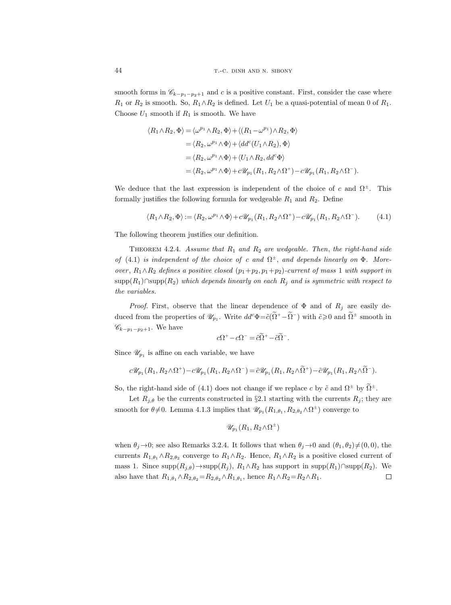smooth forms in  $\mathscr{C}_{k-p_1-p_2+1}$  and c is a positive constant. First, consider the case where  $R_1$  or  $R_2$  is smooth. So,  $R_1 \wedge R_2$  is defined. Let  $U_1$  be a quasi-potential of mean 0 of  $R_1$ . Choose  $U_1$  smooth if  $R_1$  is smooth. We have

$$
\langle R_1 \wedge R_2, \Phi \rangle = \langle \omega^{p_1} \wedge R_2, \Phi \rangle + \langle (R_1 - \omega^{p_1}) \wedge R_2, \Phi \rangle
$$
  
\n
$$
= \langle R_2, \omega^{p_1} \wedge \Phi \rangle + \langle dd^c(U_1 \wedge R_2), \Phi \rangle
$$
  
\n
$$
= \langle R_2, \omega^{p_1} \wedge \Phi \rangle + \langle U_1 \wedge R_2, dd^c \Phi \rangle
$$
  
\n
$$
= \langle R_2, \omega^{p_1} \wedge \Phi \rangle + c \mathscr{U}_{p_1}(R_1, R_2 \wedge \Omega^+) - c \mathscr{U}_{p_1}(R_1, R_2 \wedge \Omega^-).
$$

We deduce that the last expression is independent of the choice of c and  $\Omega^{\pm}$ . This formally justifies the following formula for wedgeable  $R_1$  and  $R_2$ . Define

$$
\langle R_1 \wedge R_2, \Phi \rangle := \langle R_2, \omega^{p_1} \wedge \Phi \rangle + c \mathscr{U}_{p_1}(R_1, R_2 \wedge \Omega^+) - c \mathscr{U}_{p_1}(R_1, R_2 \wedge \Omega^-). \tag{4.1}
$$

The following theorem justifies our definition.

THEOREM 4.2.4. Assume that  $R_1$  and  $R_2$  are wedgeable. Then, the right-hand side of (4.1) is independent of the choice of c and  $\Omega^{\pm}$ , and depends linearly on  $\Phi$ . Moreover,  $R_1 \wedge R_2$  defines a positive closed  $(p_1+p_2, p_1+p_2)$ -current of mass 1 with support in supp $(R_1)$ ∩supp $(R_2)$  which depends linearly on each  $R_j$  and is symmetric with respect to the variables.

*Proof.* First, observe that the linear dependence of  $\Phi$  and of  $R_j$  are easily deduced from the properties of  $\mathscr{U}_{p_1}$ . Write  $dd^c\Phi = \tilde{c}(\tilde{\Omega}^+ - \tilde{\Omega}^-)$  with  $\tilde{c} \geq 0$  and  $\tilde{\Omega}^{\pm}$  smooth in  $\mathscr{C}_{k-p_1-p_2+1}$ . We have

$$
c\Omega^+ - c\Omega^- = \tilde{c}\tilde{\Omega}^+ - \tilde{c}\tilde{\Omega}^-.
$$

Since  $\mathscr{U}_{p_1}$  is affine on each variable, we have

$$
c\mathscr{U}_{p_1}(R_1,R_2\wedge\Omega^+)-c\mathscr{U}_{p_1}(R_1,R_2\wedge\Omega^-)=\tilde{c}\mathscr{U}_{p_1}(R_1,R_2\wedge\Omega^+)-\tilde{c}\mathscr{U}_{p_1}(R_1,R_2\wedge\Omega^-).
$$

So, the right-hand side of (4.1) does not change if we replace c by  $\tilde{c}$  and  $\Omega^{\pm}$  by  $\Omega^{\pm}$ .

Let  $R_{j,\theta}$  be the currents constructed in §2.1 starting with the currents  $R_j$ ; they are smooth for  $\theta \neq 0$ . Lemma 4.1.3 implies that  $\mathscr{U}_{p_1}(R_{1,\theta_1}, R_{2,\theta_2} \wedge \Omega^{\pm})$  converge to

$$
\mathscr{U}_{p_1}(R_1,R_2\wedge\Omega^{\pm})
$$

when  $\theta_i \rightarrow 0$ ; see also Remarks 3.2.4. It follows that when  $\theta_i \rightarrow 0$  and  $(\theta_1, \theta_2) \neq (0, 0)$ , the currents  $R_{1,\theta_1} \wedge R_{2,\theta_2}$  converge to  $R_1 \wedge R_2$ . Hence,  $R_1 \wedge R_2$  is a positive closed current of mass 1. Since supp $(R_{i,\theta}) \rightarrow supp(R_i)$ ,  $R_1 \wedge R_2$  has support in supp $(R_1) \cap supp(R_2)$ . We also have that  $R_{1,\theta_1} \wedge R_{2,\theta_2} = R_{2,\theta_2} \wedge R_{1,\theta_1}$ , hence  $R_1 \wedge R_2 = R_2 \wedge R_1$ .  $\Box$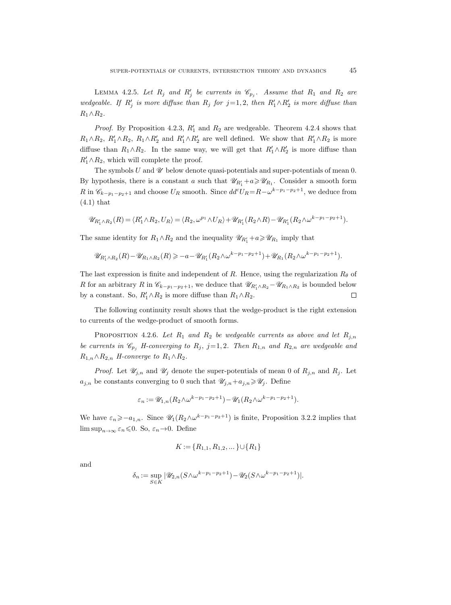LEMMA 4.2.5. Let  $R_j$  and  $R'_j$  be currents in  $\mathcal{C}_{p_j}$ . Assume that  $R_1$  and  $R_2$  are wedgeable. If  $R'_j$  is more diffuse than  $R_j$  for  $j=1, 2$ , then  $R'_1 \wedge R'_2$  is more diffuse than  $R_1 \wedge R_2$ .

*Proof.* By Proposition 4.2.3,  $R'_1$  and  $R_2$  are wedgeable. Theorem 4.2.4 shows that  $R_1 \wedge R_2$ ,  $R'_1 \wedge R_2$ ,  $R_1 \wedge R'_2$  and  $R'_1 \wedge R'_2$  are well defined. We show that  $R'_1 \wedge R_2$  is more diffuse than  $R_1 \wedge R_2$ . In the same way, we will get that  $R'_1 \wedge R'_2$  is more diffuse than  $R_1' \wedge R_2$ , which will complete the proof.

The symbols  $U$  and  $\mathscr U$  below denote quasi-potentials and super-potentials of mean 0. By hypothesis, there is a constant a such that  $\mathscr{U}_{R_1'}+a\geq \mathscr{U}_{R_1}$ . Consider a smooth form R in  $\mathscr{C}_{k-p_1-p_2+1}$  and choose  $U_R$  smooth. Since  $dd^c U_R = R - \omega^{k-p_1-p_2+1}$ , we deduce from (4.1) that

$$
\mathscr{U}_{R_1'\wedge R_2}(R)=\langle R_1'\wedge R_2,U_R\rangle=\langle R_2,\omega^{p_1}\wedge U_R\rangle+\mathscr{U}_{R_1'}(R_2\wedge R)-\mathscr{U}_{R_1'}(R_2\wedge \omega^{k-p_1-p_2+1}).
$$

The same identity for  $R_1 \wedge R_2$  and the inequality  $\mathscr{U}_{R'_1}+a \geq \mathscr{U}_{R_1}$  imply that

$$
\mathscr{U}_{R_1'\wedge R_2}(R) - \mathscr{U}_{R_1\wedge R_2}(R) \ge -a - \mathscr{U}_{R_1'}(R_2 \wedge \omega^{k-p_1-p_2+1}) + \mathscr{U}_{R_1}(R_2 \wedge \omega^{k-p_1-p_2+1}).
$$

The last expression is finite and independent of R. Hence, using the regularization  $R_{\theta}$  of R for an arbitrary R in  $\mathscr{C}_{k-p_1-p_2+1}$ , we deduce that  $\mathscr{U}_{R'_1\wedge R_2} - \mathscr{U}_{R_1\wedge R_2}$  is bounded below by a constant. So,  $R'_1 \wedge R_2$  is more diffuse than  $R_1 \wedge R_2$ .  $\Box$ 

The following continuity result shows that the wedge-product is the right extension to currents of the wedge-product of smooth forms.

PROPOSITION 4.2.6. Let  $R_1$  and  $R_2$  be wedgeable currents as above and let  $R_{j,n}$ be currents in  $\mathcal{C}_{p_j}$  H-converging to  $R_j$ , j=1,2. Then  $R_{1,n}$  and  $R_{2,n}$  are wedgeable and  $R_{1,n} \wedge R_{2,n}$  H-converge to  $R_1 \wedge R_2$ .

*Proof.* Let  $\mathscr{U}_{j,n}$  and  $\mathscr{U}_j$  denote the super-potentials of mean 0 of  $R_{j,n}$  and  $R_j$ . Let  $a_{j,n}$  be constants converging to 0 such that  $\mathscr{U}_{j,n}+a_{j,n}\geqslant \mathscr{U}_j$ . Define

$$
\varepsilon_n := \mathscr{U}_{1,n}(R_2 \wedge \omega^{k-p_1-p_2+1}) - \mathscr{U}_1(R_2 \wedge \omega^{k-p_1-p_2+1}).
$$

We have  $\varepsilon_n \geq -a_{1,n}$ . Since  $\mathscr{U}_1(R_2 \wedge \omega^{k-p_1-p_2+1})$  is finite, Proposition 3.2.2 implies that  $\limsup_{n\to\infty} \varepsilon_n \leq 0$ . So,  $\varepsilon_n \to 0$ . Define

$$
K\mathop{{:}{=}} \{R_{1,1},R_{1,2},\dots\}\cup\{R_1\}
$$

and

$$
\delta_n:=\sup_{S\in K}|\mathscr{U}_{2,n}(S\wedge\omega^{k-p_1-p_2+1})-\mathscr{U}_2(S\wedge\omega^{k-p_1-p_2+1})|.
$$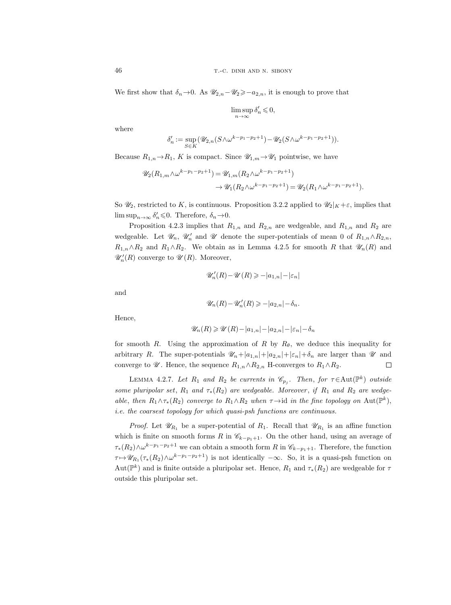We first show that  $\delta_n \to 0$ . As  $\mathscr{U}_{2,n}-\mathscr{U}_2 \geq -a_{2,n}$ , it is enough to prove that

$$
\limsup_{n\to\infty}\delta_n'\leqslant 0,
$$

where

$$
\delta_n':=\sup_{S\in K}(\mathscr{U}_{2,n}(S\wedge\omega^{k-p_1-p_2+1})-\mathscr{U}_2(S\wedge\omega^{k-p_1-p_2+1})).
$$

Because  $R_{1,n} \to R_1$ , K is compact. Since  $\mathscr{U}_{1,m} \to \mathscr{U}_1$  pointwise, we have

$$
\mathscr{U}_2(R_{1,m} \wedge \omega^{k-p_1-p_2+1}) = \mathscr{U}_{1,m}(R_2 \wedge \omega^{k-p_1-p_2+1}) \n\to \mathscr{U}_1(R_2 \wedge \omega^{k-p_1-p_2+1}) = \mathscr{U}_2(R_1 \wedge \omega^{k-p_1-p_2+1}).
$$

So  $\mathcal{U}_2$ , restricted to K, is continuous. Proposition 3.2.2 applied to  $\mathcal{U}_2|_K + \varepsilon$ , implies that  $\limsup_{n\to\infty} \delta'_n \leq 0$ . Therefore,  $\delta_n \to 0$ .

Proposition 4.2.3 implies that  $R_{1,n}$  and  $R_{2,n}$  are wedgeable, and  $R_{1,n}$  and  $R_2$  are wedgeable. Let  $\mathcal{U}_n$ ,  $\mathcal{U}'_n$  and  $\mathcal{U}$  denote the super-potentials of mean 0 of  $R_{1,n} \wedge R_{2,n}$ ,  $R_{1,n} \wedge R_2$  and  $R_1 \wedge R_2$ . We obtain as in Lemma 4.2.5 for smooth R that  $\mathscr{U}_n(R)$  and  $\mathscr{U}'_n(R)$  converge to  $\mathscr{U}(R)$ . Moreover,

$$
\mathscr{U}'_n(R)-\mathscr{U}(R)\geqslant -|a_{1,n}|-|\varepsilon_n|
$$

and

$$
\mathscr{U}_n(R)-\mathscr{U}'_n(R)\geqslant -|a_{2,n}|-\delta_n.
$$

Hence,

$$
\mathscr{U}_n(R) \geqslant \mathscr{U}(R) - |a_{1,n}| - |a_{2,n}| - |\varepsilon_n| - \delta_n
$$

for smooth R. Using the approximation of R by  $R_{\theta}$ , we deduce this inequality for arbitrary R. The super-potentials  $\mathcal{U}_n+|a_{1,n}|+|a_{2,n}|+|\varepsilon_n|+\delta_n$  are larger than  $\mathcal U$  and converge to  $\mathcal{U}$ . Hence, the sequence  $R_{1,n} \wedge R_{2,n}$  H-converges to  $R_1 \wedge R_2$ .  $\Box$ 

LEMMA 4.2.7. Let  $R_1$  and  $R_2$  be currents in  $\mathscr{C}_{p_j}$ . Then, for  $\tau \in \text{Aut}(\mathbb{P}^k)$  outside some pluripolar set,  $R_1$  and  $\tau_*(R_2)$  are wedgeable. Moreover, if  $R_1$  and  $R_2$  are wedgeable, then  $R_1 \wedge \tau_*(R_2)$  converge to  $R_1 \wedge R_2$  when  $\tau \rightarrow id$  in the fine topology on  $\text{Aut}(\mathbb{P}^k)$ , i.e. the coarsest topology for which quasi-psh functions are continuous.

*Proof.* Let  $\mathcal{U}_{R_1}$  be a super-potential of  $R_1$ . Recall that  $\mathcal{U}_{R_1}$  is an affine function which is finite on smooth forms R in  $\mathcal{C}_{k-p_1+1}$ . On the other hand, using an average of  $\tau_*(R_2) \wedge \omega^{k-p_1-p_2+1}$  we can obtain a smooth form R in  $\mathscr{C}_{k-p_1+1}$ . Therefore, the function  $\tau \mapsto \mathscr{U}_{R_1}(\tau_*(R_2) \wedge \omega^{k-p_1-p_2+1})$  is not identically  $-\infty$ . So, it is a quasi-psh function on  $\mathrm{Aut}(\mathbb{P}^k)$  and is finite outside a pluripolar set. Hence,  $R_1$  and  $\tau_*(R_2)$  are wedgeable for  $\tau$ outside this pluripolar set.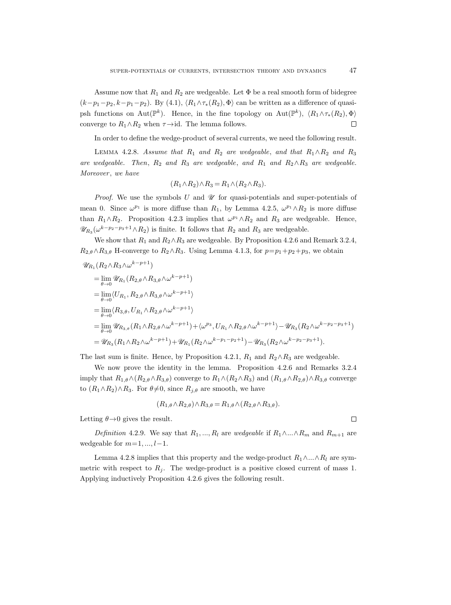Assume now that  $R_1$  and  $R_2$  are wedgeable. Let  $\Phi$  be a real smooth form of bidegree  $(k-p_1-p_2, k-p_1-p_2)$ . By  $(4.1), \langle R_1 \wedge \tau_*(R_2), \Phi \rangle$  can be written as a difference of quasipsh functions on Aut( $\mathbb{P}^k$ ). Hence, in the fine topology on Aut( $\mathbb{P}^k$ ),  $\langle R_1 \wedge \tau_*(R_2), \Phi \rangle$ converge to  $R_1 \wedge R_2$  when  $\tau \rightarrow id$ . The lemma follows.  $\Box$ 

In order to define the wedge-product of several currents, we need the following result.

LEMMA 4.2.8. Assume that  $R_1$  and  $R_2$  are wedgeable, and that  $R_1 \wedge R_2$  and  $R_3$ are wedgeable. Then,  $R_2$  and  $R_3$  are wedgeable, and  $R_1$  and  $R_2 \wedge R_3$  are wedgeable. Moreover, we have

$$
(R_1 \wedge R_2) \wedge R_3 = R_1 \wedge (R_2 \wedge R_3).
$$

*Proof.* We use the symbols U and  $\mathcal U$  for quasi-potentials and super-potentials of mean 0. Since  $\omega^{p_1}$  is more diffuse than  $R_1$ , by Lemma 4.2.5,  $\omega^{p_1} \wedge R_2$  is more diffuse than  $R_1 \wedge R_2$ . Proposition 4.2.3 implies that  $\omega^{p_1} \wedge R_2$  and  $R_3$  are wedgeable. Hence,  $\mathscr{U}_{R_3}(\omega^{k-p_2-p_3+1}\wedge R_2)$  is finite. It follows that  $R_2$  and  $R_3$  are wedgeable.

We show that  $R_1$  and  $R_2 \wedge R_3$  are wedgeable. By Proposition 4.2.6 and Remark 3.2.4,  $R_{2,\theta} \wedge R_{3,\theta}$  H-converge to  $R_2 \wedge R_3$ . Using Lemma 4.1.3, for  $p=p_1+p_2+p_3$ , we obtain

$$
\mathcal{U}_{R_{1}}(R_{2} \wedge R_{3} \wedge \omega^{k-p+1})
$$
\n
$$
= \lim_{\theta \to 0} \mathcal{U}_{R_{1}}(R_{2,\theta} \wedge R_{3,\theta} \wedge \omega^{k-p+1})
$$
\n
$$
= \lim_{\theta \to 0} \langle U_{R_{1}}, R_{2,\theta} \wedge R_{3,\theta} \wedge \omega^{k-p+1} \rangle
$$
\n
$$
= \lim_{\theta \to 0} \langle R_{3,\theta}, U_{R_{1}} \wedge R_{2,\theta} \wedge \omega^{k-p+1} \rangle
$$
\n
$$
= \lim_{\theta \to 0} \mathcal{U}_{R_{3,\theta}}(R_{1} \wedge R_{2,\theta} \wedge \omega^{k-p+1}) + \langle \omega^{p_{3}}, U_{R_{1}} \wedge R_{2,\theta} \wedge \omega^{k-p+1} \rangle - \mathcal{U}_{R_{3}}(R_{2} \wedge \omega^{k-p_{2}-p_{3}+1})
$$
\n
$$
= \mathcal{U}_{R_{3}}(R_{1} \wedge R_{2} \wedge \omega^{k-p+1}) + \mathcal{U}_{R_{1}}(R_{2} \wedge \omega^{k-p_{1}-p_{2}+1}) - \mathcal{U}_{R_{3}}(R_{2} \wedge \omega^{k-p_{2}-p_{3}+1}).
$$

The last sum is finite. Hence, by Proposition 4.2.1,  $R_1$  and  $R_2 \wedge R_3$  are wedgeable.

We now prove the identity in the lemma. Proposition 4.2.6 and Remarks 3.2.4 imply that  $R_{1,\theta} \wedge (R_{2,\theta} \wedge R_{3,\theta})$  converge to  $R_1 \wedge (R_2 \wedge R_3)$  and  $(R_{1,\theta} \wedge R_{2,\theta}) \wedge R_{3,\theta}$  converge to  $(R_1 \wedge R_2) \wedge R_3$ . For  $\theta \neq 0$ , since  $R_{j,\theta}$  are smooth, we have

$$
(R_{1,\theta} \wedge R_{2,\theta}) \wedge R_{3,\theta} = R_{1,\theta} \wedge (R_{2,\theta} \wedge R_{3,\theta}).
$$

Letting  $\theta \rightarrow 0$  gives the result.

Definition 4.2.9. We say that  $R_1, ..., R_l$  are wedgeable if  $R_1 \wedge ... \wedge R_m$  and  $R_{m+1}$  are wedgeable for  $m=1, ..., l-1$ .

Lemma 4.2.8 implies that this property and the wedge-product  $R_1 \wedge ... \wedge R_l$  are symmetric with respect to  $R_j$ . The wedge-product is a positive closed current of mass 1. Applying inductively Proposition 4.2.6 gives the following result.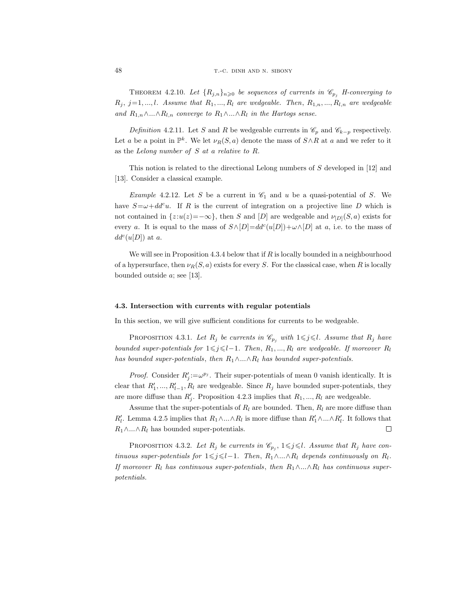THEOREM 4.2.10. Let  $\{R_{j,n}\}_{n\geqslant 0}$  be sequences of currents in  $\mathcal{C}_{p_j}$  H-converging to  $R_j$ ,  $j=1,...,l$ . Assume that  $R_1,..., R_l$  are wedgeable. Then,  $R_{1,n},..., R_{l,n}$  are wedgeable and  $R_{1,n} \wedge ... \wedge R_{l,n}$  converge to  $R_1 \wedge ... \wedge R_l$  in the Hartogs sense.

Definition 4.2.11. Let S and R be wedgeable currents in  $\mathcal{C}_p$  and  $\mathcal{C}_{k-p}$  respectively. Let a be a point in  $\mathbb{P}^k$ . We let  $\nu_R(S, a)$  denote the mass of  $S \wedge R$  at a and we refer to it as the Lelong number of S at a relative to R.

This notion is related to the directional Lelong numbers of  $S$  developed in [12] and [13]. Consider a classical example.

*Example 4.2.12.* Let S be a current in  $\mathcal{C}_1$  and u be a quasi-potential of S. We have  $S=\omega+dd^c u$ . If R is the current of integration on a projective line D which is not contained in  $\{z:u(z)=-\infty\}$ , then S and [D] are wedgeable and  $\nu_{[D]}(S,a)$  exists for every a. It is equal to the mass of  $S \wedge [D] = dd^c(u[D]) + \omega \wedge [D]$  at a, i.e. to the mass of  $dd^c(u[D])$  at a.

We will see in Proposition 4.3.4 below that if  $R$  is locally bounded in a neighbourhood of a hypersurface, then  $\nu_R(S, a)$  exists for every S. For the classical case, when R is locally bounded outside a; see [13].

## 4.3. Intersection with currents with regular potentials

In this section, we will give sufficient conditions for currents to be wedgeable.

PROPOSITION 4.3.1. Let  $R_j$  be currents in  $\mathcal{C}_{p_j}$  with  $1 \leq j \leq l$ . Assume that  $R_j$  have bounded super-potentials for  $1\leq j\leq l-1$ . Then,  $R_1, ..., R_l$  are wedgeable. If moreover  $R_l$ has bounded super-potentials, then  $R_1 \wedge ... \wedge R_l$  has bounded super-potentials.

*Proof.* Consider  $R'_j := \omega^{p_j}$ . Their super-potentials of mean 0 vanish identically. It is clear that  $R'_1, ..., R'_{l-1}, R_l$  are wedgeable. Since  $R_j$  have bounded super-potentials, they are more diffuse than  $R'_j$ . Proposition 4.2.3 implies that  $R_1, ..., R_l$  are wedgeable.

Assume that the super-potentials of  $R_l$  are bounded. Then,  $R_l$  are more diffuse than  $R'_l$ . Lemma 4.2.5 implies that  $R_1 \wedge ... \wedge R_l$  is more diffuse than  $R'_1 \wedge ... \wedge R'_l$ . It follows that  $R_1 \wedge ... \wedge R_l$  has bounded super-potentials.  $\Box$ 

PROPOSITION 4.3.2. Let  $R_j$  be currents in  $\mathcal{C}_{p_j}$ ,  $1 \leq j \leq l$ . Assume that  $R_j$  have continuous super-potentials for  $1\leq j\leq l-1$ . Then,  $R_1\wedge...\wedge R_l$  depends continuously on  $R_l$ . If moreover  $R_l$  has continuous super-potentials, then  $R_1 \wedge ... \wedge R_l$  has continuous superpotentials.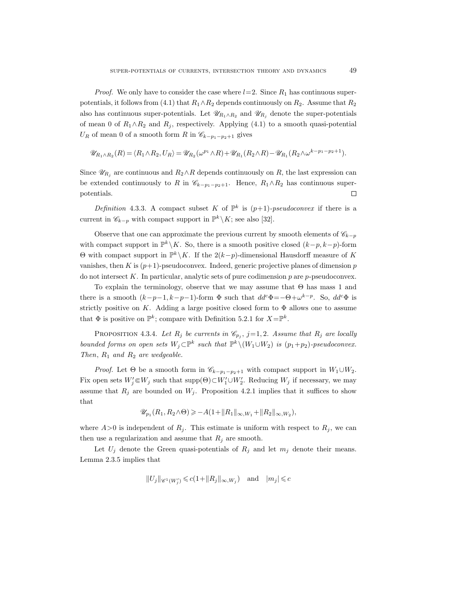*Proof.* We only have to consider the case where  $l=2$ . Since  $R_1$  has continuous superpotentials, it follows from (4.1) that  $R_1 \wedge R_2$  depends continuously on  $R_2$ . Assume that  $R_2$ also has continuous super-potentials. Let  $\mathscr{U}_{R_1\wedge R_2}$  and  $\mathscr{U}_{R_i}$  denote the super-potentials of mean 0 of  $R_1 \wedge R_2$  and  $R_j$ , respectively. Applying (4.1) to a smooth quasi-potential  $U_R$  of mean 0 of a smooth form R in  $\mathscr{C}_{k-p_1-p_2+1}$  gives

$$
\mathscr{U}_{R_1 \wedge R_2}(R) = \langle R_1 \wedge R_2, U_R \rangle = \mathscr{U}_{R_2}(\omega^{p_1} \wedge R) + \mathscr{U}_{R_1}(R_2 \wedge R) - \mathscr{U}_{R_1}(R_2 \wedge \omega^{k-p_1-p_2+1}).
$$

Since  $\mathscr{U}_{R_j}$  are continuous and  $R_2 \wedge R$  depends continuously on R, the last expression can be extended continuously to R in  $\mathscr{C}_{k-p_1-p_2+1}$ . Hence,  $R_1 \wedge R_2$  has continuous superpotentials.  $\Box$ 

Definition 4.3.3. A compact subset K of  $\mathbb{P}^k$  is  $(p+1)$ -pseudoconvex if there is a current in  $\mathscr{C}_{k-p}$  with compact support in  $\mathbb{P}^k \setminus K$ ; see also [32].

Observe that one can approximate the previous current by smooth elements of  $\mathscr{C}_{k-p}$ with compact support in  $\mathbb{P}^k \setminus K$ . So, there is a smooth positive closed  $(k-p, k-p)$ -form  $\Theta$  with compact support in  $\mathbb{P}^k \setminus K$ . If the 2(k-p)-dimensional Hausdorff measure of K vanishes, then K is  $(p+1)$ -pseudoconvex. Indeed, generic projective planes of dimension p do not intersect K. In particular, analytic sets of pure codimension  $p$  are  $p$ -pseudoconvex.

To explain the terminology, observe that we may assume that Θ has mass 1 and there is a smooth  $(k-p-1, k-p-1)$ -form  $\Phi$  such that  $dd^c \Phi = -\Theta + \omega^{k-p}$ . So,  $dd^c \Phi$  is strictly positive on K. Adding a large positive closed form to  $\Phi$  allows one to assume that  $\Phi$  is positive on  $\mathbb{P}^k$ ; compare with Definition 5.2.1 for  $X=\mathbb{P}^k$ .

PROPOSITION 4.3.4. Let  $R_j$  be currents in  $\mathcal{C}_{p_j}$ , j=1,2. Assume that  $R_j$  are locally bounded forms on open sets  $W_j \subset \mathbb{P}^k$  such that  $\mathbb{P}^k \setminus (W_1 \cup W_2)$  is  $(p_1+p_2)$ -pseudoconvex. Then,  $R_1$  and  $R_2$  are wedgeable.

*Proof.* Let  $\Theta$  be a smooth form in  $\mathscr{C}_{k-p_1-p_2+1}$  with compact support in  $W_1 \cup W_2$ . Fix open sets  $W'_j \in W_j$  such that  $\text{supp}(\Theta) \subset W'_1 \cup W'_2$ . Reducing  $W_j$  if necessary, we may assume that  $R_j$  are bounded on  $W_j$ . Proposition 4.2.1 implies that it suffices to show that

$$
\mathscr{U}_{p_1}(R_1, R_2 \wedge \Theta) \geq -A(1 + ||R_1||_{\infty, W_1} + ||R_2||_{\infty, W_2}),
$$

where  $A>0$  is independent of  $R_j$ . This estimate is uniform with respect to  $R_j$ , we can then use a regularization and assume that  $R_i$  are smooth.

Let  $U_j$  denote the Green quasi-potentials of  $R_j$  and let  $m_j$  denote their means. Lemma 2.3.5 implies that

$$
||U_j||_{\mathscr{C}^1(W'_j)} \leqslant c(1+||R_j||_{\infty, W_j}) \quad \text{and} \quad |m_j| \leqslant c
$$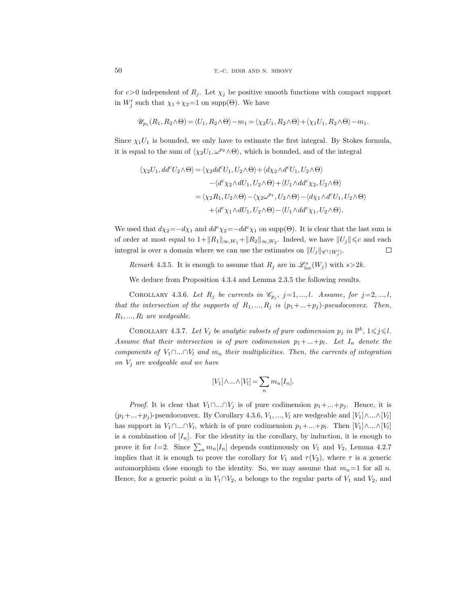for  $c>0$  independent of  $R_i$ . Let  $\chi_i$  be positive smooth functions with compact support in  $W'_j$  such that  $\chi_1 + \chi_2 = 1$  on supp( $\Theta$ ). We have

$$
\mathscr{U}_{p_1}(R_1,R_2\wedge\Theta)=\langle U_1,R_2\wedge\Theta\rangle-m_1=\langle \chi_2U_1,R_2\wedge\Theta\rangle+\langle \chi_1U_1,R_2\wedge\Theta\rangle-m_1.
$$

Since  $\chi_1 U_1$  is bounded, we only have to estimate the first integral. By Stokes formula, it is equal to the sum of  $\langle \chi_2 U_1, \omega^{p_2} \wedge \Theta \rangle$ , which is bounded, and of the integral

$$
\langle \chi_2 U_1, dd^c U_2 \wedge \Theta \rangle = \langle \chi_2 dd^c U_1, U_2 \wedge \Theta \rangle + \langle d\chi_2 \wedge d^c U_1, U_2 \wedge \Theta \rangle
$$
  

$$
- \langle d^c \chi_2 \wedge dU_1, U_2 \wedge \Theta \rangle + \langle U_1 \wedge dd^c \chi_2, U_2 \wedge \Theta \rangle
$$
  

$$
= \langle \chi_2 R_1, U_2 \wedge \Theta \rangle - \langle \chi_2 \omega^{p_1}, U_2 \wedge \Theta \rangle - \langle d\chi_1 \wedge d^c U_1, U_2 \wedge \Theta \rangle
$$
  

$$
+ \langle d^c \chi_1 \wedge dU_1, U_2 \wedge \Theta \rangle - \langle U_1 \wedge dd^c \chi_1, U_2 \wedge \Theta \rangle.
$$

We used that  $d\chi_2 = -d\chi_1$  and  $dd^c\chi_2 = -dd^c\chi_1$  on supp(Θ). It is clear that the last sum is of order at most equal to  $1+\|R_1\|_{\infty, W_1}+\|R_2\|_{\infty, W_2}$ . Indeed, we have  $||U_j|| \leq c$  and each integral is over a domain where we can use the estimates on  $||U_j||_{\mathscr{C}^1(W'_j)}$ .  $\Box$ 

Remark 4.3.5. It is enough to assume that  $R_j$  are in  $\mathcal{L}^s_{loc}(W_j)$  with  $s > 2k$ .

We deduce from Proposition 4.3.4 and Lemma 2.3.5 the following results.

COROLLARY 4.3.6. Let  $R_j$  be currents in  $\mathcal{C}_{p_j}$ , j=1,...,l. Assume, for j=2,...,l, that the intersection of the supports of  $R_1, ..., R_j$  is  $(p_1 + ... + p_j)$ -pseudoconvex. Then,  $R_1, ..., R_l$  are wedgeable.

COROLLARY 4.3.7. Let  $V_j$  be analytic subsets of pure codimension  $p_j$  in  $\mathbb{P}^k$ ,  $1 \leq j \leq l$ . Assume that their intersection is of pure codimension  $p_1 + ... + p_l$ . Let  $I_n$  denote the components of  $V_1 \cap ... \cap V_l$  and  $m_n$  their multiplicities. Then, the currents of integration on  $V_j$  are wedgeable and we have

$$
[V_1] \wedge \ldots \wedge [V_l] = \sum_n m_n [I_n].
$$

*Proof.* It is clear that  $V_1 \cap ... \cap V_j$  is of pure codimension  $p_1 + ... + p_j$ . Hence, it is  $(p_1 + ... + p_j)$ -pseudoconvex. By Corollary 4.3.6,  $V_1, ..., V_l$  are wedgeable and  $[V_1] \wedge ... \wedge [V_l]$ has support in  $V_1 \cap ... \cap V_l$ , which is of pure codimension  $p_1 + ... + p_l$ . Then  $[V_1] \wedge ... \wedge [V_l]$ is a combination of  $[I_n]$ . For the identity in the corollary, by induction, it is enough to prove it for  $l=2$ . Since  $\sum_n m_n[I_n]$  depends continuously on  $V_1$  and  $V_2$ , Lemma 4.2.7 implies that it is enough to prove the corollary for  $V_1$  and  $\tau(V_2)$ , where  $\tau$  is a generic automorphism close enough to the identity. So, we may assume that  $m_n=1$  for all n. Hence, for a generic point a in  $V_1 \cap V_2$ , a belongs to the regular parts of  $V_1$  and  $V_2$ , and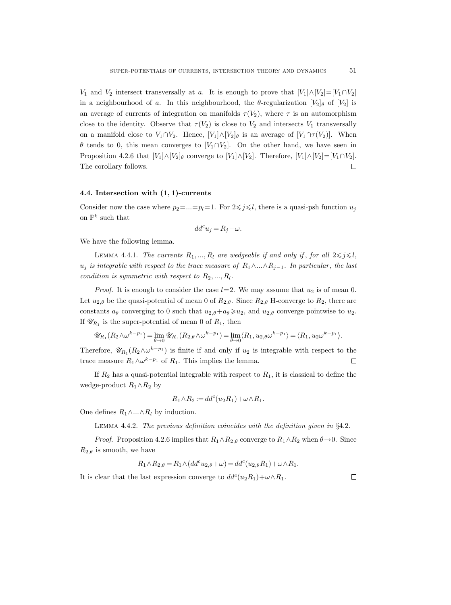$V_1$  and  $V_2$  intersect transversally at a. It is enough to prove that  $[V_1]\wedge[V_2]=[V_1\cap V_2]$ in a neighbourhood of a. In this neighbourhood, the  $\theta$ -regularization  $[V_2]_\theta$  of  $[V_2]$  is an average of currents of integration on manifolds  $\tau(V_2)$ , where  $\tau$  is an automorphism close to the identity. Observe that  $\tau(V_2)$  is close to  $V_2$  and intersects  $V_1$  transversally on a manifold close to  $V_1 \cap V_2$ . Hence,  $[V_1] \wedge [V_2]_{\theta}$  is an average of  $[V_1 \cap \tau(V_2)]$ . When  $\theta$  tends to 0, this mean converges to [V<sub>1</sub>∩V<sub>2</sub>]. On the other hand, we have seen in Proposition 4.2.6 that  $[V_1] \wedge [V_2]_\theta$  converge to  $[V_1] \wedge [V_2]$ . Therefore,  $[V_1] \wedge [V_2] = [V_1 \cap V_2]$ . The corollary follows.  $\Box$ 

### 4.4. Intersection with (1, 1)-currents

Consider now the case where  $p_2 = ... = p_l = 1$ . For  $2 \leq j \leq l$ , there is a quasi-psh function  $u_j$ on  $\mathbb{P}^k$  such that

$$
dd^c u_j = R_j - \omega.
$$

We have the following lemma.

LEMMA 4.4.1. The currents  $R_1, ..., R_l$  are wedgeable if and only if, for all  $2 \leq j \leq l$ ,  $u_j$  is integrable with respect to the trace measure of  $R_1 \wedge \ldots \wedge R_{j-1}$ . In particular, the last condition is symmetric with respect to  $R_2, ..., R_l$ .

*Proof.* It is enough to consider the case  $l=2$ . We may assume that  $u_2$  is of mean 0. Let  $u_{2,\theta}$  be the quasi-potential of mean 0 of  $R_{2,\theta}$ . Since  $R_{2,\theta}$  H-converge to  $R_2$ , there are constants  $a_{\theta}$  converging to 0 such that  $u_{2,\theta}+a_{\theta}\geq u_{2}$ , and  $u_{2,\theta}$  converge pointwise to  $u_{2}$ . If  $\mathcal{U}_{R_1}$  is the super-potential of mean 0 of  $R_1$ , then

$$
\mathscr{U}_{R_1}(R_2 \wedge \omega^{k-p_1}) = \lim_{\theta \to 0} \mathscr{U}_{R_1}(R_2 \otimes \omega^{k-p_1}) = \lim_{\theta \to 0} \langle R_1, u_{2,\theta} \omega^{k-p_1} \rangle = \langle R_1, u_{2} \omega^{k-p_1} \rangle.
$$

Therefore,  $\mathscr{U}_{R_1}(R_2 \wedge \omega^{k-p_1})$  is finite if and only if  $u_2$  is integrable with respect to the trace measure  $R_1 \wedge \omega^{k-p_1}$  of  $R_1$ . This implies the lemma.  $\Box$ 

If  $R_2$  has a quasi-potential integrable with respect to  $R_1$ , it is classical to define the wedge-product  $R_1 \wedge R_2$  by

$$
R_1\wedge R_2:=dd^c(u_2R_1)+\omega\wedge R_1.
$$

One defines  $R_1 \wedge ... \wedge R_l$  by induction.

LEMMA 4.4.2. The previous definition coincides with the definition given in  $\S 4.2$ .

*Proof.* Proposition 4.2.6 implies that  $R_1 \wedge R_2$  onverge to  $R_1 \wedge R_2$  when  $\theta \rightarrow 0$ . Since  $R_{2,\theta}$  is smooth, we have

$$
R_1 \wedge R_{2,\theta} = R_1 \wedge (dd^c u_{2,\theta} + \omega) = dd^c(u_{2,\theta} R_1) + \omega \wedge R_1.
$$

It is clear that the last expression converge to  $dd^c(u_2R_1)+\omega\wedge R_1$ .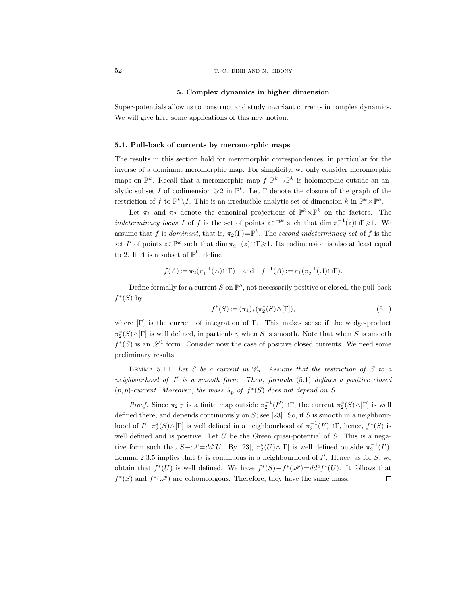#### 5. Complex dynamics in higher dimension

Super-potentials allow us to construct and study invariant currents in complex dynamics. We will give here some applications of this new notion.

## 5.1. Pull-back of currents by meromorphic maps

The results in this section hold for meromorphic correspondences, in particular for the inverse of a dominant meromorphic map. For simplicity, we only consider meromorphic maps on  $\mathbb{P}^k$ . Recall that a meromorphic map  $f: \mathbb{P}^k \to \mathbb{P}^k$  is holomorphic outside an analytic subset I of codimension  $\geq 2$  in  $\mathbb{P}^k$ . Let  $\Gamma$  denote the closure of the graph of the restriction of f to  $\mathbb{P}^k \setminus I$ . This is an irreducible analytic set of dimension k in  $\mathbb{P}^k \times \mathbb{P}^k$ .

Let  $\pi_1$  and  $\pi_2$  denote the canonical projections of  $\mathbb{P}^k \times \mathbb{P}^k$  on the factors. The indeterminacy locus I of f is the set of points  $z \in \mathbb{P}^k$  such that  $\dim \pi_1^{-1}(z) \cap \Gamma \geq 1$ . We assume that f is dominant, that is,  $\pi_2(\Gamma) = \mathbb{P}^k$ . The second indeterminacy set of f is the set I' of points  $z \in \mathbb{P}^k$  such that  $\dim \pi_2^{-1}(z) \cap \Gamma \geq 1$ . Its codimension is also at least equal to 2. If A is a subset of  $\mathbb{P}^k$ , define

$$
f(A) := \pi_2(\pi_1^{-1}(A) \cap \Gamma)
$$
 and  $f^{-1}(A) := \pi_1(\pi_2^{-1}(A) \cap \Gamma)$ .

Define formally for a current S on  $\mathbb{P}^k$ , not necessarily positive or closed, the pull-back  $f^*(S)$  by

$$
f^*(S) := (\pi_1)_*(\pi_2^*(S) \wedge [\Gamma]), \tag{5.1}
$$

where  $[\Gamma]$  is the current of integration of  $\Gamma$ . This makes sense if the wedge-product  $\pi_2^*(S) \wedge [\Gamma]$  is well defined, in particular, when S is smooth. Note that when S is smooth  $f^*(S)$  is an  $\mathscr{L}^1$  form. Consider now the case of positive closed currents. We need some preliminary results.

LEMMA 5.1.1. Let S be a current in  $\mathcal{C}_p$ . Assume that the restriction of S to a neighbourhood of I' is a smooth form. Then, formula (5.1) defines a positive closed  $(p, p)$ -current. Moreover, the mass  $\lambda_p$  of  $f^*(S)$  does not depend on S.

*Proof.* Since  $\pi_2|_{\Gamma}$  is a finite map outside  $\pi_2^{-1}(I') \cap \Gamma$ , the current  $\pi_2^*(S) \wedge [\Gamma]$  is well defined there, and depends continuously on  $S$ ; see [23]. So, if  $S$  is smooth in a neighbourhood of  $I'$ ,  $\pi_2^*(S) \wedge [\Gamma]$  is well defined in a neighbourhood of  $\pi_2^{-1}(I') \cap \Gamma$ , hence,  $f^*(S)$  is well defined and is positive. Let  $U$  be the Green quasi-potential of  $S$ . This is a negative form such that  $S - \omega^p = dd^c U$ . By [23],  $\pi_2^*(U) \wedge [\Gamma]$  is well defined outside  $\pi_2^{-1}(I')$ . Lemma 2.3.5 implies that U is continuous in a neighbourhood of  $I'$ . Hence, as for S, we obtain that  $f^*(U)$  is well defined. We have  $f^*(S) - f^*(\omega^p) = dd^c f^*(U)$ . It follows that  $f^*(S)$  and  $f^*(\omega^p)$  are cohomologous. Therefore, they have the same mass.  $\Box$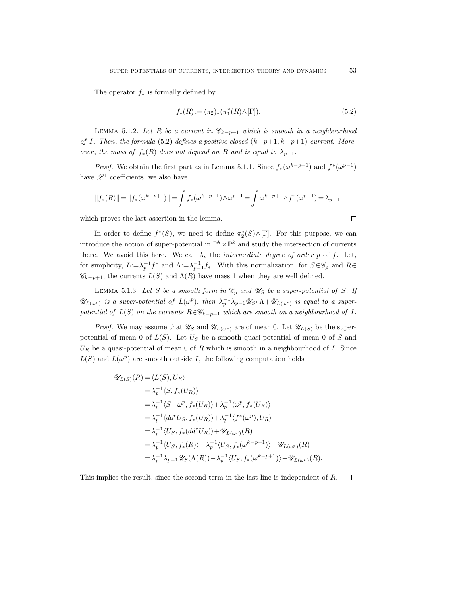The operator  $f_*$  is formally defined by

$$
f_*(R) := (\pi_2)_*(\pi_1^*(R) \wedge [\Gamma]).
$$
\n(5.2)

LEMMA 5.1.2. Let R be a current in  $\mathscr{C}_{k-p+1}$  which is smooth in a neighbourhood of I. Then, the formula (5.2) defines a positive closed  $(k-p+1, k-p+1)$ -current. Moreover, the mass of  $f_*(R)$  does not depend on R and is equal to  $\lambda_{p-1}$ .

*Proof.* We obtain the first part as in Lemma 5.1.1. Since  $f_*(\omega^{k-p+1})$  and  $f^*(\omega^{p-1})$ have  $\mathscr{L}^1$  coefficients, we also have

$$
||f_*(R)|| = ||f_*(\omega^{k-p+1})|| = \int f_*(\omega^{k-p+1}) \wedge \omega^{p-1} = \int \omega^{k-p+1} \wedge f^*(\omega^{p-1}) = \lambda_{p-1},
$$

which proves the last assertion in the lemma.

In order to define  $f^*(S)$ , we need to define  $\pi_2^*(S) \wedge [\Gamma]$ . For this purpose, we can introduce the notion of super-potential in  $\mathbb{P}^k \times \mathbb{P}^k$  and study the intersection of currents there. We avoid this here. We call  $\lambda_p$  the *intermediate degree of order p* of f. Let, for simplicity,  $L:=\lambda_p^{-1}f^*$  and  $\Lambda:=\lambda_{p-1}^{-1}f_*$ . With this normalization, for  $S\in\mathscr{C}_p$  and  $R\in$  $\mathscr{C}_{k-p+1}$ , the currents  $L(S)$  and  $\Lambda(R)$  have mass 1 when they are well defined.

LEMMA 5.1.3. Let S be a smooth form in  $\mathcal{C}_p$  and  $\mathcal{U}_S$  be a super-potential of S. If  $\mathscr{U}_{L(\omega^p)}$  is a super-potential of  $L(\omega^p)$ , then  $\lambda_p^{-1}\overline{\lambda}_{p-1}\mathscr{U}_S \circ \Lambda + \mathscr{U}_{L(\omega^p)}$  is equal to a superpotential of  $L(S)$  on the currents  $R \in \mathscr{C}_{k-p+1}$  which are smooth on a neighbourhood of I.

*Proof.* We may assume that  $\mathscr{U}_S$  and  $\mathscr{U}_{L(\omega^p)}$  are of mean 0. Let  $\mathscr{U}_{L(S)}$  be the superpotential of mean 0 of  $L(S)$ . Let  $U_S$  be a smooth quasi-potential of mean 0 of S and  $U_R$  be a quasi-potential of mean 0 of R which is smooth in a neighbourhood of I. Since  $L(S)$  and  $L(\omega^p)$  are smooth outside I, the following computation holds

$$
\mathscr{U}_{L(S)}(R) = \langle L(S), U_R \rangle
$$
  
\n
$$
= \lambda_p^{-1} \langle S, f_*(U_R) \rangle
$$
  
\n
$$
= \lambda_p^{-1} \langle S - \omega^p, f_*(U_R) \rangle + \lambda_p^{-1} \langle \omega^p, f_*(U_R) \rangle
$$
  
\n
$$
= \lambda_p^{-1} \langle dd^c U_S, f_*(U_R) \rangle + \lambda_p^{-1} \langle f^*(\omega^p), U_R \rangle
$$
  
\n
$$
= \lambda_p^{-1} \langle U_S, f_*(dd^c U_R) \rangle + \mathscr{U}_{L(\omega^p)}(R)
$$
  
\n
$$
= \lambda_p^{-1} \langle U_S, f_*(R) \rangle - \lambda_p^{-1} \langle U_S, f_*(\omega^{k-p+1}) \rangle + \mathscr{U}_{L(\omega^p)}(R)
$$
  
\n
$$
= \lambda_p^{-1} \lambda_{p-1} \mathscr{U}_S(\Lambda(R)) - \lambda_p^{-1} \langle U_S, f_*(\omega^{k-p+1}) \rangle + \mathscr{U}_{L(\omega^p)}(R).
$$

This implies the result, since the second term in the last line is independent of R. $\Box$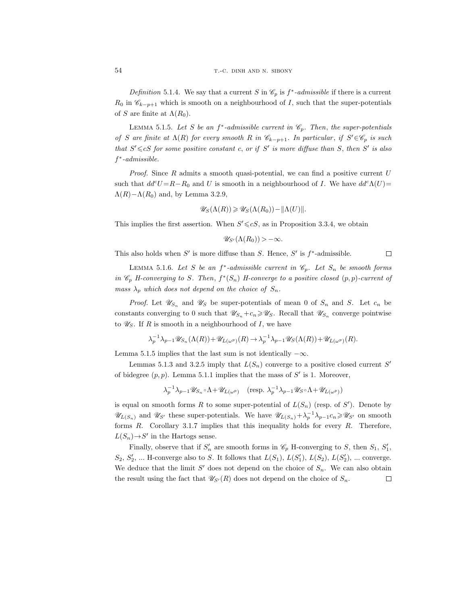Definition 5.1.4. We say that a current S in  $\mathcal{C}_p$  is  $f^*$ -admissible if there is a current  $R_0$  in  $\mathscr{C}_{k-p+1}$  which is smooth on a neighbourhood of I, such that the super-potentials of S are finite at  $\Lambda(R_0)$ .

LEMMA 5.1.5. Let S be an  $f^*$ -admissible current in  $\mathcal{C}_p$ . Then, the super-potentials of S are finite at  $\Lambda(R)$  for every smooth R in  $\mathscr{C}_{k-p+1}$ . In particular, if  $S' \in \mathscr{C}_p$  is such that  $S' \leq cS$  for some positive constant c, or if S' is more diffuse than S, then S' is also f ∗ -admissible.

*Proof.* Since  $R$  admits a smooth quasi-potential, we can find a positive current  $U$ such that  $dd^cU = R - R_0$  and U is smooth in a neighbourhood of I. We have  $dd^c\Lambda(U)$ =  $\Lambda(R) - \Lambda(R_0)$  and, by Lemma 3.2.9,

$$
\mathscr{U}_S(\Lambda(R)) \geq \mathscr{U}_S(\Lambda(R_0)) - ||\Lambda(U)||.
$$

This implies the first assertion. When  $S' \leq cS$ , as in Proposition 3.3.4, we obtain

$$
\mathscr{U}_{S'}(\Lambda(R_0)) > -\infty.
$$

This also holds when  $S'$  is more diffuse than S. Hence, S' is  $f^*$ -admissible.  $\Box$ 

LEMMA 5.1.6. Let S be an  $f^*$ -admissible current in  $\mathcal{C}_p$ . Let  $S_n$  be smooth forms in  $\mathscr{C}_p$  H-converging to S. Then,  $f^*(S_n)$  H-converge to a positive closed  $(p, p)$ -current of mass  $\lambda_p$  which does not depend on the choice of  $S_n$ .

*Proof.* Let  $\mathscr{U}_{S_n}$  and  $\mathscr{U}_{S}$  be super-potentials of mean 0 of  $S_n$  and S. Let  $c_n$  be constants converging to 0 such that  $\mathscr{U}_{S_n} + c_n \geq \mathscr{U}_S$ . Recall that  $\mathscr{U}_{S_n}$  converge pointwise to  $\mathscr{U}_S$ . If R is smooth in a neighbourhood of I, we have

$$
\lambda_p^{-1} \lambda_{p-1} \mathscr{U}_{S_n}(\Lambda(R)) + \mathscr{U}_{L(\omega^p)}(R) \to \lambda_p^{-1} \lambda_{p-1} \mathscr{U}_{S}(\Lambda(R)) + \mathscr{U}_{L(\omega^p)}(R).
$$

Lemma 5.1.5 implies that the last sum is not identically  $-\infty$ .

Lemmas 5.1.3 and 3.2.5 imply that  $L(S_n)$  converge to a positive closed current S' of bidegree  $(p, p)$ . Lemma 5.1.1 implies that the mass of  $S'$  is 1. Moreover,

$$
\lambda_p^{-1}\lambda_{p-1}\mathscr{U}_{S_n} \circ \Lambda + \mathscr{U}_{L(\omega^p)} \quad (\text{resp. } \lambda_p^{-1}\lambda_{p-1}\mathscr{U}_S \circ \Lambda + \mathscr{U}_{L(\omega^p)})
$$

is equal on smooth forms R to some super-potential of  $L(S_n)$  (resp. of S'). Denote by  $\mathscr{U}_{L(S_n)}$  and  $\mathscr{U}_{S'}$  these super-potentials. We have  $\mathscr{U}_{L(S_n)} + \lambda_p^{-1} \lambda_{p-1} c_n \geq \mathscr{U}_{S'}$  on smooth forms  $R$ . Corollary 3.1.7 implies that this inequality holds for every  $R$ . Therefore,  $L(S_n) \rightarrow S'$  in the Hartogs sense.

Finally, observe that if  $S'_n$  are smooth forms in  $\mathscr{C}_p$  H-converging to S, then  $S_1$ ,  $S'_1$ ,  $S_2, S'_2, \dots$  H-converge also to S. It follows that  $L(S_1), L(S'_1), L(S_2), L(S'_2), \dots$  converge. We deduce that the limit  $S'$  does not depend on the choice of  $S_n$ . We can also obtain the result using the fact that  $\mathscr{U}_{S'}(R)$  does not depend on the choice of  $S_n$ .  $\Box$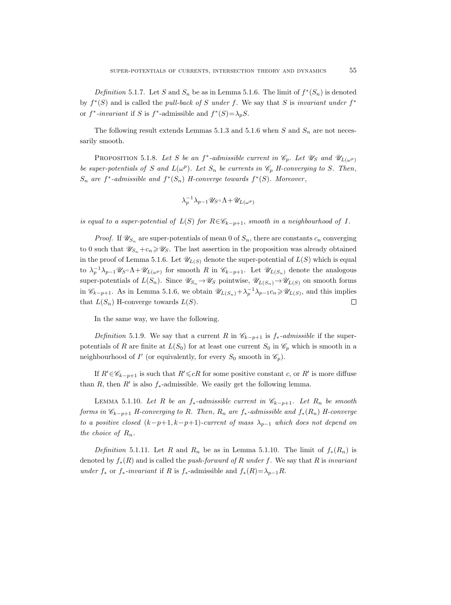*Definition* 5.1.7. Let S and  $S_n$  be as in Lemma 5.1.6. The limit of  $f^*(S_n)$  is denoted by  $f^*(S)$  and is called the *pull-back of* S under f. We say that S is invariant under  $f^*$ or  $f^*$ -invariant if S is  $f^*$ -admissible and  $f^*(S) = \lambda_p S$ .

The following result extends Lemmas 5.1.3 and 5.1.6 when S and  $S_n$  are not necessarily smooth.

PROPOSITION 5.1.8. Let S be an f<sup>\*</sup>-admissible current in  $\mathcal{C}_p$ . Let  $\mathcal{U}_S$  and  $\mathcal{U}_{L(\omega^p)}$ be super-potentials of S and  $L(\omega^p)$ . Let  $S_n$  be currents in  $\mathscr{C}_p$  H-converging to S. Then,  $S_n$  are  $f^*$ -admissible and  $f^*(S_n)$  H-converge towards  $f^*(S)$ . Moreover,

$$
\lambda_p^{-1}\lambda_{p-1}\mathscr{U}_S\circ\Lambda+\mathscr{U}_{L(\omega^p)}
$$

is equal to a super-potential of  $L(S)$  for  $R \in \mathscr{C}_{k-p+1}$ , smooth in a neighbourhood of I.

*Proof.* If  $\mathscr{U}_{S_n}$  are super-potentials of mean 0 of  $S_n$ , there are constants  $c_n$  converging to 0 such that  $\mathscr{U}_{S_n}+c_n\geqslant \mathscr{U}_S$ . The last assertion in the proposition was already obtained in the proof of Lemma 5.1.6. Let  $\mathscr{U}_{L(S)}$  denote the super-potential of  $L(S)$  which is equal to  $\lambda_p^{-1}\lambda_{p-1}\mathscr{U}_S \circ \Lambda + \mathscr{U}_{L(\omega^p)}$  for smooth R in  $\mathscr{C}_{k-p+1}$ . Let  $\mathscr{U}_{L(S_n)}$  denote the analogous super-potentials of  $L(S_n)$ . Since  $\mathscr{U}_{S_n} \to \mathscr{U}_S$  pointwise,  $\mathscr{U}_{L(S_n)} \to \mathscr{U}_{L(S)}$  on smooth forms in  $\mathscr{C}_{k-p+1}$ . As in Lemma 5.1.6, we obtain  $\mathscr{U}_{L(S_n)} + \lambda_p^{-1} \lambda_{p-1} c_n \geq \mathscr{U}_{L(S)}$ , and this implies that  $L(S_n)$  H-converge towards  $L(S)$ .  $\Box$ 

In the same way, we have the following.

Definition 5.1.9. We say that a current R in  $\mathcal{C}_{k-p+1}$  is  $f_*$ -admissible if the superpotentials of R are finite at  $L(S_0)$  for at least one current  $S_0$  in  $\mathscr{C}_p$  which is smooth in a neighbourhood of  $I'$  (or equivalently, for every  $S_0$  smooth in  $\mathscr{C}_p$ ).

If  $R' \in \mathscr{C}_{k-p+1}$  is such that  $R' \leq cR$  for some positive constant c, or  $R'$  is more diffuse than R, then R' is also  $f_*$ -admissible. We easily get the following lemma.

LEMMA 5.1.10. Let R be an  $f_*$ -admissible current in  $\mathcal{C}_{k-p+1}$ . Let  $R_n$  be smooth forms in  $\mathscr{C}_{k-p+1}$  H-converging to R. Then,  $R_n$  are  $f_*$ -admissible and  $f_*(R_n)$  H-converge to a positive closed  $(k-p+1, k-p+1)$ -current of mass  $\lambda_{p-1}$  which does not depend on the choice of  $R_n$ .

Definition 5.1.11. Let R and R<sub>n</sub> be as in Lemma 5.1.10. The limit of  $f_*(R_n)$  is denoted by  $f_*(R)$  and is called the *push-forward of R under f*. We say that R is *invariant* under  $f_*$  or  $f_*$ -invariant if R is  $f_*$ -admissible and  $f_*(R) = \lambda_{p-1}R$ .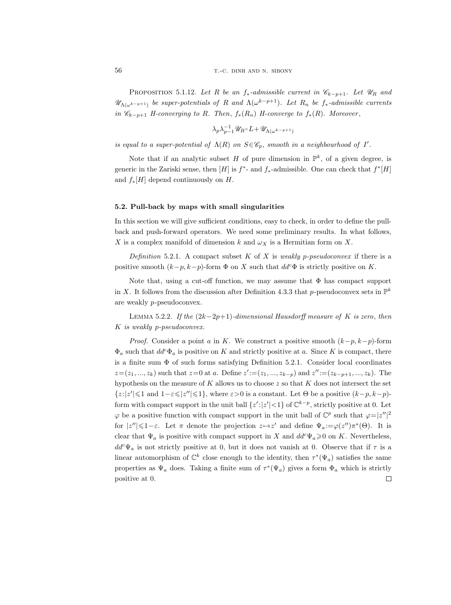PROPOSITION 5.1.12. Let R be an  $f_*$ -admissible current in  $\mathscr{C}_{k-p+1}$ . Let  $\mathscr{U}_R$  and  $\mathscr{U}_{\Lambda(\omega^{k-p+1})}$  be super-potentials of R and  $\Lambda(\omega^{k-p+1})$ . Let  $R_n$  be  $f_*$ -admissible currents in  $\mathscr{C}_{k-p+1}$  H-converging to R. Then,  $f_*(R_n)$  H-converge to  $f_*(R)$ . Moreover,

$$
\lambda_p\lambda_{p-1}^{-1}\mathscr{U}_R\circ L+\mathscr{U}_{\Lambda(\omega^{k-p+1})}
$$

is equal to a super-potential of  $\Lambda(R)$  on  $S \in \mathscr{C}_p$ , smooth in a neighbourhood of I'.

Note that if an analytic subset H of pure dimension in  $\mathbb{P}^k$ , of a given degree, is generic in the Zariski sense, then  $[H]$  is  $f^*$ - and  $f_*$ -admissible. One can check that  $f^*[H]$ and  $f_*[H]$  depend continuously on H.

#### 5.2. Pull-back by maps with small singularities

In this section we will give sufficient conditions, easy to check, in order to define the pullback and push-forward operators. We need some preliminary results. In what follows, X is a complex manifold of dimension k and  $\omega_X$  is a Hermitian form on X.

Definition 5.2.1. A compact subset K of X is weakly p-pseudoconvex if there is a positive smooth  $(k-p, k-p)$ -form  $\Phi$  on X such that  $dd^c\Phi$  is strictly positive on K.

Note that, using a cut-off function, we may assume that  $\Phi$  has compact support in X. It follows from the discussion after Definition 4.3.3 that p-pseudoconvex sets in  $\mathbb{P}^k$ are weakly p-pseudoconvex.

LEMMA 5.2.2. If the  $(2k-2p+1)$ -dimensional Hausdorff measure of K is zero, then K is weakly p-pseudoconvex.

*Proof.* Consider a point a in K. We construct a positive smooth  $(k-p, k-p)$ -form  $\Phi_a$  such that  $dd^c\Phi_a$  is positive on K and strictly positive at a. Since K is compact, there is a finite sum  $\Phi$  of such forms satisfying Definition 5.2.1. Consider local coordinates  $z = (z_1, ..., z_k)$  such that  $z = 0$  at a. Define  $z' := (z_1, ..., z_{k-p})$  and  $z'' := (z_{k-p+1}, ..., z_k)$ . The hypothesis on the measure of  $K$  allows us to choose  $z$  so that  $K$  does not intersect the set  $\{z:|z'| \leq 1 \text{ and } 1-\varepsilon \leq |z''| \leq 1\}$ , where  $\varepsilon > 0$  is a constant. Let  $\Theta$  be a positive  $(k-p, k-p)$ form with compact support in the unit ball  $\{z' : |z'| < 1\}$  of  $\mathbb{C}^{k-p}$ , strictly positive at 0. Let  $\varphi$  be a positive function with compact support in the unit ball of  $\mathbb{C}^p$  such that  $\varphi = |z''|^2$ for  $|z''| \leq 1 - \varepsilon$ . Let  $\pi$  denote the projection  $z \mapsto z'$  and define  $\Psi_a := \varphi(z'') \pi^*(\Theta)$ . It is clear that  $\Psi_a$  is positive with compact support in X and  $dd^c \Psi_a \geq 0$  on K. Nevertheless,  $dd^c\Psi_a$  is not strictly positive at 0, but it does not vanish at 0. Observe that if  $\tau$  is a linear automorphism of  $\mathbb{C}^k$  close enough to the identity, then  $\tau^*(\Psi_a)$  satisfies the same properties as  $\Psi_a$  does. Taking a finite sum of  $\tau^*(\Psi_a)$  gives a form  $\Phi_a$  which is strictly  $\Box$ positive at 0.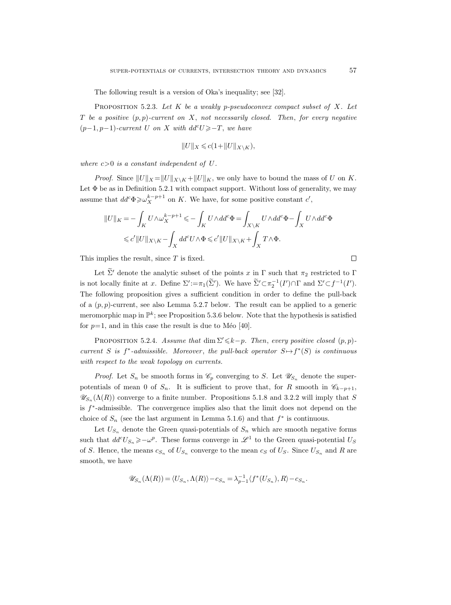The following result is a version of Oka's inequality; see [32].

PROPOSITION 5.2.3. Let  $K$  be a weakly p-pseudoconvex compact subset of  $X$ . Let T be a positive  $(p, p)$ -current on X, not necessarily closed. Then, for every negative  $(p-1, p-1)$ -current U on X with  $dd^cU \geq -T$ , we have

$$
||U||_X\leqslant c(1+||U||_{X\backslash K}),
$$

where  $c>0$  is a constant independent of U.

*Proof.* Since  $||U||_X = ||U||_{X\setminus K} + ||U||_K$ , we only have to bound the mass of U on K. Let  $\Phi$  be as in Definition 5.2.1 with compact support. Without loss of generality, we may assume that  $dd^c \Phi \geq \omega_X^{k-p+1}$  on K. We have, for some positive constant  $c'$ ,

$$
||U||_K = -\int_K U \wedge \omega_X^{k-p+1} \leqslant -\int_K U \wedge dd^c \Phi = \int_{X \backslash K} U \wedge dd^c \Phi - \int_X U \wedge dd^c \Phi
$$
  

$$
\leqslant c'||U||_{X \backslash K} - \int_X dd^c U \wedge \Phi \leqslant c'||U||_{X \backslash K} + \int_X T \wedge \Phi.
$$

This implies the result, since  $T$  is fixed.

Let  $\tilde{\Sigma}'$  denote the analytic subset of the points x in Γ such that  $\pi_2$  restricted to Γ is not locally finite at x. Define  $\Sigma' := \pi_1(\widetilde{\Sigma}')$ . We have  $\widetilde{\Sigma}' \subset \pi_2^{-1}(I') \cap \Gamma$  and  $\Sigma' \subset f^{-1}(I')$ . The following proposition gives a sufficient condition in order to define the pull-back of a  $(p, p)$ -current, see also Lemma 5.2.7 below. The result can be applied to a generic meromorphic map in  $\mathbb{P}^k$ ; see Proposition 5.3.6 below. Note that the hypothesis is satisfied for  $p=1$ , and in this case the result is due to Méo [40].

PROPOSITION 5.2.4. Assume that dim  $\Sigma'\leq k-p$ . Then, every positive closed  $(p, p)$ current S is  $f^*$ -admissible. Moreover, the pull-back operator  $S \rightarrow f^*(S)$  is continuous with respect to the weak topology on currents.

*Proof.* Let  $S_n$  be smooth forms in  $\mathcal{C}_p$  converging to S. Let  $\mathcal{U}_{S_n}$  denote the superpotentials of mean 0 of  $S_n$ . It is sufficient to prove that, for R smooth in  $\mathscr{C}_{k-p+1}$ ,  $\mathscr{U}_{S_n}(\Lambda(R))$  converge to a finite number. Propositions 5.1.8 and 3.2.2 will imply that S is  $f^*$ -admissible. The convergence implies also that the limit does not depend on the choice of  $S_n$  (see the last argument in Lemma 5.1.6) and that  $f^*$  is continuous.

Let  $U_{S_n}$  denote the Green quasi-potentials of  $S_n$  which are smooth negative forms such that  $dd^cU_{S_n} \geqslant -\omega^p$ . These forms converge in  $\mathscr{L}^1$  to the Green quasi-potential  $U_S$ of S. Hence, the means  $c_{S_n}$  of  $U_{S_n}$  converge to the mean  $c_S$  of  $U_S$ . Since  $U_{S_n}$  and R are smooth, we have

$$
\mathscr{U}_{S_n}(\Lambda(R)) = \langle U_{S_n}, \Lambda(R)\rangle - c_{S_n} = \lambda_{p-1}^{-1} \langle f^*(U_{S_n}), R\rangle - c_{S_n}.
$$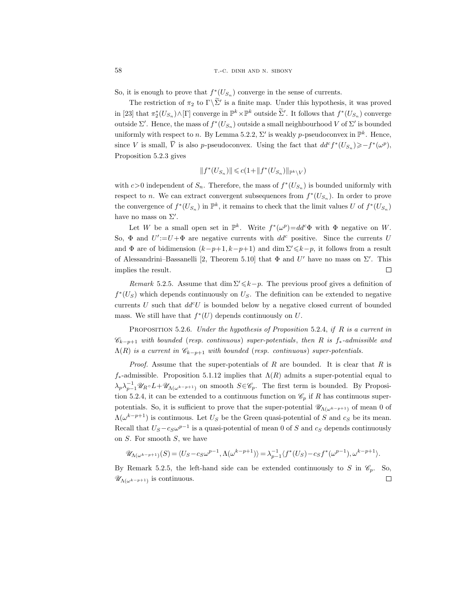So, it is enough to prove that  $f^*(U_{S_n})$  converge in the sense of currents.

The restriction of  $\pi_2$  to  $\Gamma\backslash\Sigma'$  is a finite map. Under this hypothesis, it was proved in [23] that  $\pi_2^*(U_{S_n}) \wedge [\Gamma]$  converge in  $\mathbb{P}^k \times \mathbb{P}^k$  outside  $\widetilde{\Sigma}'$ . It follows that  $f^*(U_{S_n})$  converge outside  $\Sigma'$ . Hence, the mass of  $f^*(U_{S_n})$  outside a small neighbourhood V of  $\Sigma'$  is bounded uniformly with respect to *n*. By Lemma 5.2.2,  $\Sigma'$  is weakly *p*-pseudoconvex in  $\mathbb{P}^k$ . Hence, since V is small,  $\overline{V}$  is also p-pseudoconvex. Using the fact that  $dd^c f^*(U_{S_n}) \geq -f^*(\omega^p)$ , Proposition 5.2.3 gives

$$
\|f^*(U_{S_n})\| \leqslant c(1+\|f^*(U_{S_n})\|_{\mathbb{P}^k \backslash V})
$$

with  $c>0$  independent of  $S_n$ . Therefore, the mass of  $f^*(U_{S_n})$  is bounded uniformly with respect to *n*. We can extract convergent subsequences from  $f^*(U_{S_n})$ . In order to prove the convergence of  $f^*(U_{S_n})$  in  $\mathbb{P}^k$ , it remains to check that the limit values U of  $f^*(U_{S_n})$ have no mass on  $\Sigma'$ .

Let W be a small open set in  $\mathbb{P}^k$ . Write  $f^*(\omega^p) = dd^c \Phi$  with  $\Phi$  negative on W. So,  $\Phi$  and  $U' := U + \Phi$  are negative currents with  $dd^c$  positive. Since the currents U and  $\Phi$  are of bidimension  $(k-p+1, k-p+1)$  and  $\dim \Sigma' \leq k-p$ , it follows from a result of Alessandrini–Bassanelli [2, Theorem 5.10] that  $\Phi$  and  $U'$  have no mass on  $\Sigma'$ . This implies the result.  $\Box$ 

Remark 5.2.5. Assume that dim  $\Sigma \leq k-p$ . The previous proof gives a definition of  $f^*(U<sub>S</sub>)$  which depends continuously on  $U<sub>S</sub>$ . The definition can be extended to negative currents U such that  $dd^cU$  is bounded below by a negative closed current of bounded mass. We still have that  $f^*(U)$  depends continuously on U.

PROPOSITION 5.2.6. Under the hypothesis of Proposition 5.2.4, if R is a current in  $\mathscr{C}_{k-p+1}$  with bounded (resp. continuous) super-potentials, then R is  $f_*$ -admissible and  $\Lambda(R)$  is a current in  $\mathscr{C}_{k-p+1}$  with bounded (resp. continuous) super-potentials.

*Proof.* Assume that the super-potentials of R are bounded. It is clear that R is  $f_*$ -admissible. Proposition 5.1.12 implies that  $\Lambda(R)$  admits a super-potential equal to  $\lambda_p \lambda_{p-1}^{-1} \mathscr{U}_R \circ L + \mathscr{U}_{\Lambda(\omega^{k-p+1})}$  on smooth  $S \in \mathscr{C}_p$ . The first term is bounded. By Proposition 5.2.4, it can be extended to a continuous function on  $\mathscr{C}_p$  if R has continuous superpotentials. So, it is sufficient to prove that the super-potential  $\mathscr{U}_{\Lambda(\omega^{k-p+1})}$  of mean 0 of  $\Lambda(\omega^{k-p+1})$  is continuous. Let  $U_S$  be the Green quasi-potential of S and  $c_S$  be its mean. Recall that  $U_S - c_S \omega^{p-1}$  is a quasi-potential of mean 0 of S and  $c_S$  depends continuously on  $S$ . For smooth  $S$ , we have

$$
\mathscr{U}_{\Lambda(\omega^{k-p+1})}(S)=\langle U_{S}-c_{S}\omega^{p-1}, \Lambda(\omega^{k-p+1})\rangle=\lambda_{p-1}^{-1}\langle f^{*}(U_{S})-c_{S}f^{*}(\omega^{p-1}), \omega^{k-p+1}\rangle.
$$

By Remark 5.2.5, the left-hand side can be extended continuously to S in  $\mathscr{C}_n$ . So,  $\mathscr{U}_{\Lambda(\omega^{k-p+1})}$  is continuous.  $\Box$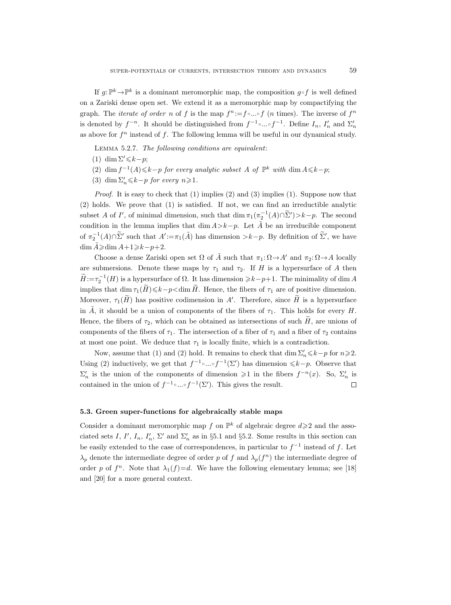If  $g: \mathbb{P}^k \to \mathbb{P}^k$  is a dominant meromorphic map, the composition  $g \circ f$  is well defined on a Zariski dense open set. We extend it as a meromorphic map by compactifying the graph. The *iterate of order* n of f is the map  $f^n := f \circ ... \circ f$  (*n* times). The inverse of  $f^n$ is denoted by  $f^{-n}$ . It should be distinguished from  $f^{-1} \circ ... \circ f^{-1}$ . Define  $I_n$ ,  $I'_n$  and  $\Sigma'_n$ as above for  $f^n$  instead of f. The following lemma will be useful in our dynamical study.

Lemma 5.2.7. The following conditions are equivalent:

- (1) dim  $\Sigma' \leq k-p$ ;
- (2) dim  $f^{-1}(A) \leq k-p$  for every analytic subset A of  $\mathbb{P}^k$  with dim  $A \leq k-p$ ;
- (3) dim  $\Sigma_n' \le k-p$  for every  $n \ge 1$ .

Proof. It is easy to check that (1) implies (2) and (3) implies (1). Suppose now that (2) holds. We prove that (1) is satisfied. If not, we can find an irreductible analytic subset A of I', of minimal dimension, such that  $\dim \pi_1(\pi_2^{-1}(A) \cap \tilde{\Sigma}') > k-p$ . The second condition in the lemma implies that dim  $A > k-p$ . Let  $\tilde{A}$  be an irreducible component of  $\pi_2^{-1}(A) \cap \widetilde{\Sigma}'$  such that  $A' := \pi_1(\widetilde{A})$  has dimension  $\gt k-p$ . By definition of  $\widetilde{\Sigma}'$ , we have dim  $\tilde{A}$ ≥dim  $A+1\geqslant k-p+2$ .

Choose a dense Zariski open set  $\Omega$  of  $\tilde{A}$  such that  $\pi_1: \Omega \to A'$  and  $\pi_2: \Omega \to A$  locally are submersions. Denote these maps by  $\tau_1$  and  $\tau_2$ . If H is a hypersurface of A then  $\widetilde{H} := \tau_2^{-1}(H)$  is a hypersurface of  $\Omega$ . It has dimension  $\geq k-p+1$ . The minimality of dim A implies that dim  $\tau_1(\widetilde{H})\leq k-p\leq \dim \widetilde{H}$ . Hence, the fibers of  $\tau_1$  are of positive dimension. Moreover,  $\tau_1(H)$  has positive codimension in A'. Therefore, since  $\tilde{H}$  is a hypersurface in  $\tilde{A}$ , it should be a union of components of the fibers of  $\tau_1$ . This holds for every H. Hence, the fibers of  $\tau_2$ , which can be obtained as intersections of such H, are unions of components of the fibers of  $\tau_1$ . The intersection of a fiber of  $\tau_1$  and a fiber of  $\tau_2$  contains at most one point. We deduce that  $\tau_1$  is locally finite, which is a contradiction.

Now, assume that (1) and (2) hold. It remains to check that  $\dim \Sigma_n' \leq k-p$  for  $n \geq 2$ . Using (2) inductively, we get that  $f^{-1} \circ ... \circ f^{-1}(\Sigma')$  has dimension  $\leq k-p$ . Observe that  $\Sigma_n'$  is the union of the components of dimension  $\geq 1$  in the fibers  $f^{-n}(x)$ . So,  $\Sigma_n'$  is contained in the union of  $f^{-1} \circ ... \circ f^{-1}(\Sigma')$ . This gives the result.  $\Box$ 

## 5.3. Green super-functions for algebraically stable maps

Consider a dominant meromorphic map f on  $\mathbb{P}^k$  of algebraic degree  $d \geq 2$  and the associated sets I, I',  $I_n$ ,  $I'_n$ ,  $\Sigma'$  and  $\Sigma'_n$  as in §5.1 and §5.2. Some results in this section can be easily extended to the case of correspondences, in particular to  $f^{-1}$  instead of f. Let  $\lambda_p$  denote the intermediate degree of order p of f and  $\lambda_p(f^n)$  the intermediate degree of order p of  $f^n$ . Note that  $\lambda_1(f)=d$ . We have the following elementary lemma; see [18] and [20] for a more general context.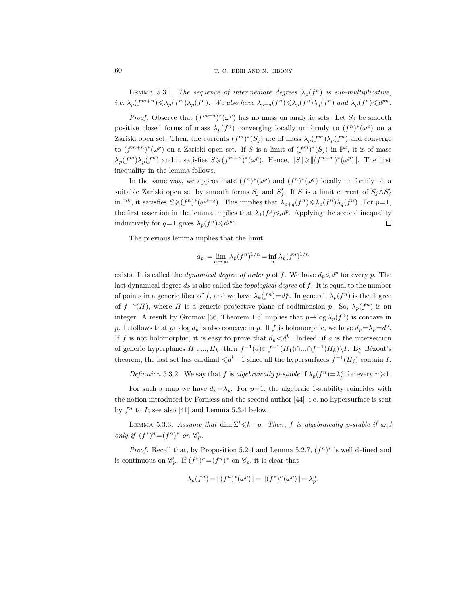LEMMA 5.3.1. The sequence of intermediate degrees  $\lambda_p(f^n)$  is sub-multiplicative, *i.e.*  $\lambda_p(f^{m+n}) \leq \lambda_p(f^m) \lambda_p(f^n)$ . We also have  $\lambda_{p+q}(f^n) \leq \lambda_p(f^n) \lambda_q(f^n)$  and  $\lambda_p(f^n) \leq d^{pn}$ .

*Proof.* Observe that  $(f^{m+n})^*(\omega^p)$  has no mass on analytic sets. Let  $S_j$  be smooth positive closed forms of mass  $\lambda_p(f^n)$  converging locally uniformly to  $(f^n)^*(\omega^p)$  on a Zariski open set. Then, the currents  $(f<sup>m</sup>)<sup>*</sup>(S<sub>j</sub>)$  are of mass  $\lambda_p(f<sup>m</sup>)\lambda_p(f<sup>n</sup>)$  and converge to  $(f^{m+n})^*(\omega^p)$  on a Zariski open set. If S is a limit of  $(f^m)^*(S_j)$  in  $\mathbb{P}^k$ , it is of mass  $\lambda_p(f^m)\lambda_p(f^n)$  and it satisfies  $S\geqslant (f^{m+n})^*(\omega^p)$ . Hence,  $||S|| \geqslant ||(f^{m+n})^*(\omega^p)||$ . The first inequality in the lemma follows.

In the same way, we approximate  $(f^n)^*(\omega^p)$  and  $(f^n)^*(\omega^q)$  locally uniformly on a suitable Zariski open set by smooth forms  $S_j$  and  $S'_j$ . If S is a limit current of  $S_j \wedge S'_j$ in  $\mathbb{P}^k$ , it satisfies  $S \geq (f^n)^*(\omega^{p+q})$ . This implies that  $\lambda_{p+q}(f^n) \leq \lambda_p(f^n)\lambda_q(f^n)$ . For  $p=1$ , the first assertion in the lemma implies that  $\lambda_1(f^p) \leq d^p$ . Applying the second inequality inductively for  $q=1$  gives  $\lambda_p(f^n) \leq d^{pn}$ .  $\Box$ 

The previous lemma implies that the limit

$$
d_p := \lim_{n \to \infty} \lambda_p(f^n)^{1/n} = \inf_n \lambda_p(f^n)^{1/n}
$$

exists. It is called the *dynamical degree of order p* of f. We have  $d_p \leq d^p$  for every p. The last dynamical degree  $d_k$  is also called the *topological degree* of f. It is equal to the number of points in a generic fiber of f, and we have  $\lambda_k(f^n) = d_k^n$ . In general,  $\lambda_p(f^n)$  is the degree of  $f^{-n}(H)$ , where H is a generic projective plane of codimension p. So,  $\lambda_p(f^n)$  is an integer. A result by Gromov [36, Theorem 1.6] implies that  $p \mapsto \log \lambda_p(f^n)$  is concave in p. It follows that  $p \mapsto \log d_p$  is also concave in p. If f is holomorphic, we have  $d_p = \lambda_p = d^p$ . If f is not holomorphic, it is easy to prove that  $d_k \langle d^k$ . Indeed, if a is the intersection of generic hyperplanes  $H_1, ..., H_k$ , then  $f^{-1}(a) \subset f^{-1}(H_1) \cap ... \cap f^{-1}(H_k) \setminus I$ . By Bézout's theorem, the last set has cardinal  $\leq d^k-1$  since all the hypersurfaces  $f^{-1}(H_j)$  contain I.

Definition 5.3.2. We say that f is algebraically p-stable if  $\lambda_p(f^n) = \lambda_p^n$  for every  $n \geq 1$ .

For such a map we have  $d_p = \lambda_p$ . For  $p=1$ , the algebraic 1-stability coincides with the notion introduced by Fornæss and the second author [44], i.e. no hypersurface is sent by  $f^n$  to I; see also [41] and Lemma 5.3.4 below.

LEMMA 5.3.3. Assume that dim  $\Sigma' \leq k-p$ . Then, f is algebraically p-stable if and only if  $(f^*)^n = (f^n)^*$  on  $\mathscr{C}_p$ .

*Proof.* Recall that, by Proposition 5.2.4 and Lemma 5.2.7,  $(f<sup>n</sup>)^*$  is well defined and is continuous on  $\mathscr{C}_p$ . If  $(f^*)^n = (f^n)^*$  on  $\mathscr{C}_p$ , it is clear that

$$
\lambda_p(f^n) = ||(f^n)^*(\omega^p)|| = ||(f^*)^n(\omega^p)|| = \lambda_p^n.
$$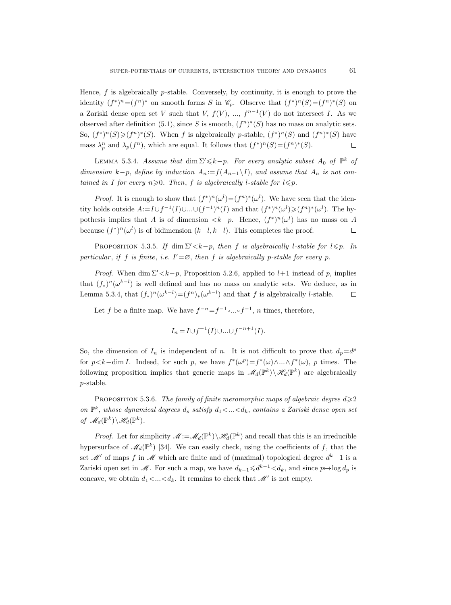Hence,  $f$  is algebraically  $p$ -stable. Conversely, by continuity, it is enough to prove the identity  $(f^*)^n = (f^n)^*$  on smooth forms S in  $\mathcal{C}_p$ . Observe that  $(f^*)^n(S) = (f^n)^*(S)$  on a Zariski dense open set V such that V,  $f(V)$ , ...,  $f^{n-1}(V)$  do not intersect I. As we observed after definition (5.1), since S is smooth,  $(f^n)^*(S)$  has no mass on analytic sets. So,  $(f^*)^n(S) \geq (f^n)^*(S)$ . When f is algebraically p-stable,  $(f^*)^n(S)$  and  $(f^n)^*(S)$  have mass  $\lambda_p^n$  and  $\lambda_p(f^n)$ , which are equal. It follows that  $(f^*)^n(S) = (f^n)^*(S)$ .  $\Box$ 

LEMMA 5.3.4. Assume that  $\dim \Sigma' \leq k-p$ . For every analytic subset  $A_0$  of  $\mathbb{P}^k$  of dimension k−p, define by induction  $A_n := f(A_{n-1} \setminus I)$ , and assume that  $A_n$  is not contained in I for every  $n \ge 0$ . Then, f is algebraically l-stable for  $l \le p$ .

*Proof.* It is enough to show that  $(f^*)^n(\omega^l) = (f^n)^*(\omega^l)$ . We have seen that the identity holds outside  $A:=I\cup f^{-1}(I)\cup...\cup (f^{-1})^n(I)$  and that  $(f^*)^n(\omega^l)\geq (f^n)^*(\omega^l)$ . The hypothesis implies that A is of dimension  $\langle k-p$ . Hence,  $(f^*)^n(\omega^l)$  has no mass on A because  $(f^*)^n(\omega^l)$  is of bidimension  $(k-l, k-l)$ . This completes the proof.  $\Box$ 

PROPOSITION 5.3.5. If dim  $\Sigma' < k-p$ , then f is algebraically l-stable for  $l \leq p$ . In particular, if f is finite, i.e.  $I' = \emptyset$ , then f is algebraically p-stable for every p.

*Proof.* When dim  $\Sigma' < k-p$ , Proposition 5.2.6, applied to l+1 instead of p, implies that  $(f_*)^n(\omega^{k-l})$  is well defined and has no mass on analytic sets. We deduce, as in Lemma 5.3.4, that  $(f_*)^n(\omega^{k-l}) = (f^n)_*(\omega^{k-l})$  and that f is algebraically l-stable.  $\Box$ 

Let f be a finite map. We have  $f^{-n} = f^{-1} \circ ... \circ f^{-1}$ , n times, therefore,

$$
I_n = I \cup f^{-1}(I) \cup \ldots \cup f^{-n+1}(I).
$$

So, the dimension of  $I_n$  is independent of n. It is not difficult to prove that  $d_p = d^p$ for  $p < k$ -dim I. Indeed, for such p, we have  $f^*(\omega^p) = f^*(\omega) \wedge ... \wedge f^*(\omega)$ , p times. The following proposition implies that generic maps in  $\mathscr{M}_d(\mathbb{P}^k)\setminus\mathscr{H}_d(\mathbb{P}^k)$  are algebraically p-stable.

PROPOSITION 5.3.6. The family of finite meromorphic maps of algebraic degree  $d \geqslant 2$ on  $\mathbb{P}^k$ , whose dynamical degrees  $d_s$  satisfy  $d_1 < ... < d_k$ , contains a Zariski dense open set of  $\mathscr{M}_d(\mathbb{P}^k)\backslash \mathscr{H}_d(\mathbb{P}^k)$ .

*Proof.* Let for simplicity  $\mathscr{M} := \mathscr{M}_d(\mathbb{P}^k) \setminus \mathscr{H}_d(\mathbb{P}^k)$  and recall that this is an irreducible hypersurface of  $\mathcal{M}_d(\mathbb{P}^k)$  [34]. We can easily check, using the coefficients of f, that the set  $\mathcal{M}'$  of maps f in  $\mathcal M$  which are finite and of (maximal) topological degree  $d^k-1$  is a Zariski open set in  $\mathcal M$ . For such a map, we have  $d_{k-1} \leq d^{k-1} \leq d_k$ , and since  $p \mapsto \log d_p$  is concave, we obtain  $d_1 < ... < d_k$ . It remains to check that  $\mathcal{M}'$  is not empty.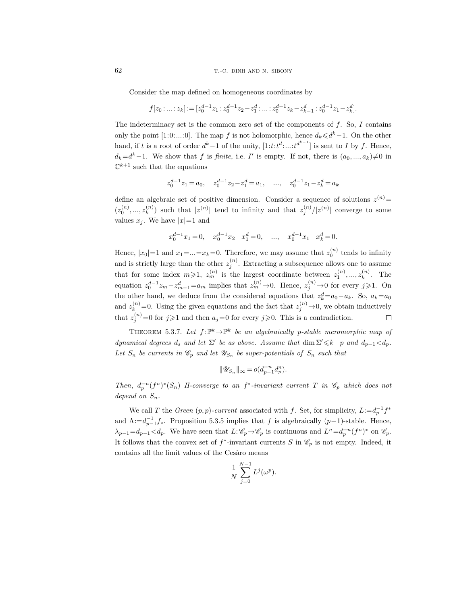Consider the map defined on homogeneous coordinates by

$$
f[z_0:\ldots:z_k]:=[z_0^{d-1}z_1:z_0^{d-1}z_2-z_1^d:\ldots:z_0^{d-1}z_k-z_{k-1}^d:z_0^{d-1}z_1-z_k^d].
$$

The indeterminacy set is the common zero set of the components of  $f$ . So,  $I$  contains only the point [1:0:...:0]. The map f is not holomorphic, hence  $d_k \leq d^k - 1$ . On the other hand, if t is a root of order  $d^k-1$  of the unity,  $[1:t:t^d; \dots:t^{d^{k-1}}]$  is sent to I by f. Hence,  $d_k = d^k - 1$ . We show that f is finite, i.e. I' is empty. If not, there is  $(a_0, ..., a_k) \neq 0$  in  $\mathbb{C}^{k+1}$  such that the equations

$$
z_0^{d-1}z_1 = a_0
$$
,  $z_0^{d-1}z_2 - z_1^d = a_1$ , ...,  $z_0^{d-1}z_1 - z_k^d = a_k$ 

define an algebraic set of positive dimension. Consider a sequence of solutions  $z^{(n)} =$  $(z_0^{(n)},...,z_k^{(n)})$  $\binom{n}{k}$  such that  $|z^{(n)}|$  tend to infinity and that  $z_j^{(n)}/|z^{(n)}|$  converge to some values  $x_j$ . We have  $|x|=1$  and

$$
x_0^{d-1}x_1 = 0
$$
,  $x_0^{d-1}x_2 - x_1^d = 0$ , ...,  $x_0^{d-1}x_1 - x_k^d = 0$ .

Hence,  $|x_0|=1$  and  $x_1=\ldots=x_k=0$ . Therefore, we may assume that  $z_0^{(n)}$  tends to infinity and is strictly large than the other  $z_j^{(n)}$ . Extracting a subsequence allows one to assume that for some index  $m \geq 1$ ,  $z_m^{(n)}$  is the largest coordinate between  $z_1^{(n)}$ , ...,  $z_k^{(n)}$  $\int_k^{(n)}$ . The equation  $z_0^{d-1}z_m-z_{m-1}^d=a_m$  implies that  $z_m^{(n)}\to 0$ . Hence,  $z_j^{(n)}\to 0$  for every  $j\geqslant 1$ . On the other hand, we deduce from the considered equations that  $z_k^d=a_0-a_k$ . So,  $a_k=a_0$ and  $z_k^{(n)}=0$ . Using the given equations and the fact that  $z_j^{(n)}\rightarrow 0$ , we obtain inductively that  $z_j^{(n)} = 0$  for  $j \geq 1$  and then  $a_j = 0$  for every  $j \geq 0$ . This is a contradiction.  $\Box$ 

THEOREM 5.3.7. Let  $f: \mathbb{P}^k \to \mathbb{P}^k$  be an algebraically p-stable meromorphic map of dynamical degrees  $d_s$  and let  $\Sigma'$  be as above. Assume that  $\dim \Sigma' \leq k-p$  and  $d_{p-1} < d_p$ . Let  $S_n$  be currents in  $\mathscr{C}_p$  and let  $\mathscr{U}_{S_n}$  be super-potentials of  $S_n$  such that

$$
\|\mathscr{U}_{S_n}\|_\infty = o\big(d_{p-1}^{-n}d_p^n\big).
$$

Then,  $d_p^{-n}(f^n)^*(S_n)$  H-converge to an  $f^*$ -invariant current T in  $\mathcal{C}_p$  which does not depend on  $S_n$ .

We call T the Green  $(p, p)$ -current associated with f. Set, for simplicity,  $L := d_p^{-1} f^*$ and  $\Lambda := d_{p-1}^{-1} f_*$ . Proposition 5.3.5 implies that f is algebraically  $(p-1)$ -stable. Hence,  $\lambda_{p-1} = d_{p-1} < d_p$ . We have seen that  $L: \mathscr{C}_p \to \mathscr{C}_p$  is continuous and  $L^n = d_p^{-n}(f^n)^*$  on  $\mathscr{C}_p$ . It follows that the convex set of  $f^*$ -invariant currents S in  $\mathscr{C}_p$  is not empty. Indeed, it contains all the limit values of the Cesàro means

$$
\frac{1}{N} \sum_{j=0}^{N-1} L^j(\omega^p).
$$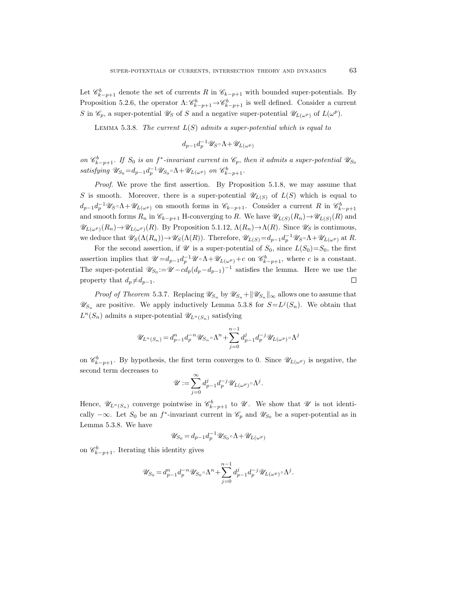Let  $\mathcal{C}_{k-p+1}^b$  denote the set of currents R in  $\mathcal{C}_{k-p+1}$  with bounded super-potentials. By Proposition 5.2.6, the operator  $\Lambda: \mathscr{C}_{k-p+1}^b \to \mathscr{C}_{k-p+1}^b$  is well defined. Consider a current S in  $\mathscr{C}_p$ , a super-potential  $\mathscr{U}_S$  of S and a negative super-potential  $\mathscr{U}_{L(\omega^p)}$  of  $L(\omega^p)$ .

LEMMA 5.3.8. The current  $L(S)$  admits a super-potential which is equal to

$$
d_{p-1}d_p^{-1}\mathscr{U}_S\!\circ\!\Lambda\!+\!\mathscr{U}_{L(\omega^p)}
$$

on  $\mathscr{C}^b_{k-p+1}$ . If  $S_0$  is an  $f^*$ -invariant current in  $\mathscr{C}_p$ , then it admits a super-potential  $\mathscr{U}_{S_0}$ satisfying  $\mathscr{U}_{S_0} = d_{p-1} d_p^{-1} \mathscr{U}_{S_0} \circ \Lambda + \mathscr{U}_{L(\omega^p)}$  on  $\mathscr{C}_{k-p+1}^b$ .

Proof. We prove the first assertion. By Proposition 5.1.8, we may assume that S is smooth. Moreover, there is a super-potential  $\mathscr{U}_{L(S)}$  of  $L(S)$  which is equal to  $d_{p-1}d_p^{-1}\mathscr{U}_S \circ \Lambda + \mathscr{U}_{L(\omega^p)}$  on smooth forms in  $\mathscr{C}_{k-p+1}$ . Consider a current R in  $\mathscr{C}_{k-p+1}^b$ and smooth forms  $R_n$  in  $\mathscr{C}_{k-p+1}$  H-converging to R. We have  $\mathscr{U}_{L(S)}(R_n) \to \mathscr{U}_{L(S)}(R)$  and  $\mathscr{U}_{L(\omega^p)}(R_n) \to \mathscr{U}_{L(\omega^p)}(R)$ . By Proposition 5.1.12,  $\Lambda(R_n) \to \Lambda(R)$ . Since  $\mathscr{U}_S$  is continuous, we deduce that  $\mathscr{U}_S(\Lambda(R_n)) \to \mathscr{U}_S(\Lambda(R))$ . Therefore,  $\mathscr{U}_{L(S)} = d_{p-1}d_p^{-1}\mathscr{U}_S \circ \Lambda + \mathscr{U}_{L(\omega^p)}$  at R.

For the second assertion, if  $\mathscr U$  is a super-potential of  $S_0$ , since  $L(S_0)=S_0$ , the first assertion implies that  $\mathscr{U}=d_{p-1}d_p^{-1}\mathscr{U}\circ\Lambda+\mathscr{U}_{L(\omega^p)}+c$  on  $\mathscr{C}_{k-p+1}^b$ , where c is a constant. The super-potential  $\mathscr{U}_{S_0} := \mathscr{U} - c d_p (d_p - d_{p-1})^{-1}$  satisfies the lemma. Here we use the property that  $d_p \neq d_{p-1}$ .  $\Box$ 

*Proof of Theorem* 5.3.7. Replacing  $\mathscr{U}_{S_n}$  by  $\mathscr{U}_{S_n} + ||\mathscr{U}_{S_n}||_{\infty}$  allows one to assume that  $\mathscr{U}_{S_n}$  are positive. We apply inductively Lemma 5.3.8 for  $S = L^{j}(S_n)$ . We obtain that  $L^{n}(S_n)$  admits a super-potential  $\mathscr{U}_{L^{n}(S_n)}$  satisfying

$$
\mathscr{U}_{L^n(S_n)} = d_{p-1}^n d_p^{-n} \mathscr{U}_{S_n} \circ \Lambda^n + \sum_{j=0}^{n-1} d_{p-1}^j d_p^{-j} \mathscr{U}_{L(\omega^p)} \circ \Lambda^j
$$

on  $\mathscr{C}_{k-p+1}^b$ . By hypothesis, the first term converges to 0. Since  $\mathscr{U}_{L(\omega^p)}$  is negative, the second term decreases to

$$
\mathscr{U}:=\sum_{j=0}^\infty d_{p-1}^j d_p^{-j}\mathscr{U}_{L(\omega^p)}\circ \Lambda^j.
$$

Hence,  $\mathscr{U}_{L^{n}(S_n)}$  converge pointwise in  $\mathscr{C}_{k-p+1}^b$  to  $\mathscr{U}$ . We show that  $\mathscr{U}$  is not identically  $-\infty$ . Let  $S_0$  be an f<sup>\*</sup>-invariant current in  $\mathscr{C}_p$  and  $\mathscr{U}_{S_0}$  be a super-potential as in Lemma 5.3.8. We have

$$
\mathscr{U}_{S_0} = d_{p-1} d_p^{-1} \mathscr{U}_{S_0} \circ \Lambda + \mathscr{U}_{L(\omega^p)}
$$

on  $\mathscr{C}_{k-p+1}^b$ . Iterating this identity gives

$$
\mathscr U_{S_0} = d_{p-1}^n d_p^{-n} \mathscr U_{S_0} \circ \Lambda^n + \sum_{j=0}^{n-1} d_{p-1}^j d_p^{-j} \mathscr U_{L(\omega^p)} \circ \Lambda^j.
$$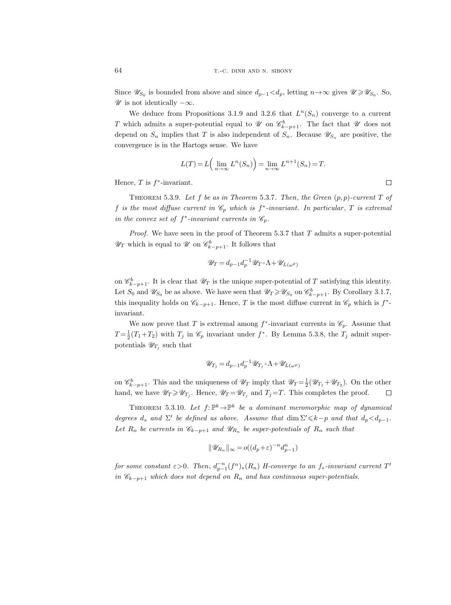Since  $\mathscr{U}_{S_0}$  is bounded from above and since  $d_{p-1} < d_p$ , letting  $n \to \infty$  gives  $\mathscr{U} \geq \mathscr{U}_{S_0}$ . So,  $\mathscr U$  is not identically  $-\infty$ .

We deduce from Propositions 3.1.9 and 3.2.6 that  $L^{n}(S_n)$  converge to a current T which admits a super-potential equal to  $\mathscr U$  on  $\mathscr C^b_{k-p+1}$ . The fact that  $\mathscr U$  does not depend on  $S_n$  implies that T is also independent of  $S_n$ . Because  $\mathscr{U}_{S_n}$  are positive, the convergence is in the Hartogs sense. We have

$$
L(T) = L\left(\lim_{n \to \infty} L^n(S_n)\right) = \lim_{n \to \infty} L^{n+1}(S_n) = T.
$$

Hence,  $T$  is  $f^*$ -invariant.

THEOREM 5.3.9. Let f be as in Theorem 5.3.7. Then, the Green  $(p, p)$ -current T of f is the most diffuse current in  $\mathscr{C}_p$  which is  $f^*$ -invariant. In particular, T is extremal in the convex set of  $f^*$ -invariant currents in  $\mathcal{C}_p$ .

*Proof.* We have seen in the proof of Theorem 5.3.7 that  $T$  admits a super-potential  $\mathscr{U}_T$  which is equal to  $\mathscr{U}$  on  $\mathscr{C}_{k-p+1}^b$ . It follows that

$$
\mathscr{U}_T = d_{p-1}d_p^{-1}\mathscr{U}_T \circ \Lambda + \mathscr{U}_{L(\omega^p)}
$$

on  $\mathscr{C}^b_{k-p+1}$ . It is clear that  $\mathscr{U}_T$  is the unique super-potential of T satisfying this identity. Let  $S_0$  and  $\mathscr{U}_{S_0}$  be as above. We have seen that  $\mathscr{U}_T \geq \mathscr{U}_{S_0}$  on  $\mathscr{C}_{k-p+1}^b$ . By Corollary 3.1.7, this inequality holds on  $\mathscr{C}_{k-p+1}$ . Hence, T is the most diffuse current in  $\mathscr{C}_p$  which is  $f^*$ invariant.

We now prove that T is extremal among  $f^*$ -invariant currents in  $\mathcal{C}_p$ . Assume that  $T = \frac{1}{2}(T_1 + T_2)$  with  $T_j$  in  $\mathscr{C}_p$  invariant under  $f^*$ . By Lemma 5.3.8, the  $T_j$  admit superpotentials  $\mathscr{U}_{T_j}$  such that

$$
\mathscr{U}_{T_j} = d_{p-1}d_p^{-1}\mathscr{U}_{T_j} \circ \Lambda + \mathscr{U}_{L(\omega^p)}
$$

on  $\mathscr{C}^b_{k-p+1}$ . This and the uniqueness of  $\mathscr{U}_T$  imply that  $\mathscr{U}_T = \frac{1}{2}(\mathscr{U}_{T_1} + \mathscr{U}_{T_2})$ . On the other hand, we have  $\mathscr{U}_T \geq \mathscr{U}_{T_j}$ . Hence,  $\mathscr{U}_T = \mathscr{U}_{T_j}$  and  $T_j = T$ . This completes the proof.  $\Box$ 

THEOREM 5.3.10. Let  $f: \mathbb{P}^k \to \mathbb{P}^k$  be a dominant meromorphic map of dynamical degrees  $d_s$  and  $\Sigma'$  be defined as above. Assume that dim  $\Sigma' \leq k-p$  and that  $d_p < d_{p-1}$ . Let  $R_n$  be currents in  $\mathscr{C}_{k-p+1}$  and  $\mathscr{U}_{R_n}$  be super-potentials of  $R_n$  such that

$$
\|\mathscr{U}_{R_n}\|_{\infty} = o((d_p + \varepsilon)^{-n} d_{p-1}^n)
$$

for some constant  $\varepsilon > 0$ . Then,  $d_{p-1}^{-n}(f^n)_*(R_n)$  H-converge to an  $f_*$ -invariant current  $T'$ in  $\mathscr{C}_{k-p+1}$  which does not depend on  $R_n$  and has continuous super-potentials.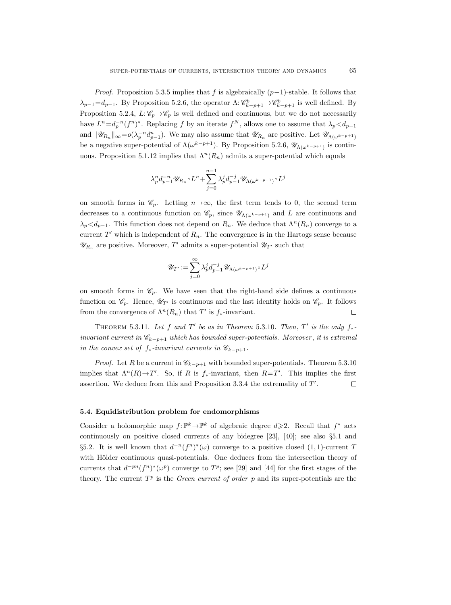*Proof.* Proposition 5.3.5 implies that f is algebraically  $(p-1)$ -stable. It follows that  $\lambda_{p-1} = d_{p-1}$ . By Proposition 5.2.6, the operator  $\Lambda: \mathscr{C}_{k-p+1}^b \to \mathscr{C}_{k-p+1}^b$  is well defined. By Proposition 5.2.4,  $L: \mathscr{C}_p \rightarrow \mathscr{C}_p$  is well defined and continuous, but we do not necessarily have  $L^n = d_p^{-n}(f^n)^*$ . Replacing f by an iterate  $f^N$ , allows one to assume that  $\lambda_p < d_{p-1}$ and  $\|\mathscr{U}_{R_n}\|_{\infty} = o(\lambda_p^{-n} d_{p-1}^n)$ . We may also assume that  $\mathscr{U}_{R_n}$  are positive. Let  $\mathscr{U}_{\Lambda(\omega^{k-p+1})}$ be a negative super-potential of  $\Lambda(\omega^{k-p+1})$ . By Proposition 5.2.6,  $\mathscr{U}_{\Lambda(\omega^{k-p+1})}$  is continuous. Proposition 5.1.12 implies that  $\Lambda^{n}(R_n)$  admits a super-potential which equals

$$
\lambda_p^n d_{p-1}^{-n} \mathscr{U}_{R_n} \circ L^n + \sum_{j=0}^{n-1} \lambda_p^j d_{p-1}^{-j} \mathscr{U}_{\Lambda(\omega^{k-p+1})} \circ L^j
$$

on smooth forms in  $\mathscr{C}_p$ . Letting  $n \to \infty$ , the first term tends to 0, the second term decreases to a continuous function on  $\mathscr{C}_p$ , since  $\mathscr{U}_{\Lambda(\omega^{k-p+1})}$  and L are continuous and  $\lambda_p < d_{p-1}$ . This function does not depend on  $R_n$ . We deduce that  $\Lambda^n(R_n)$  converge to a current  $T'$  which is independent of  $R_n$ . The convergence is in the Hartogs sense because  $\mathscr{U}_{R_n}$  are positive. Moreover, T' admits a super-potential  $\mathscr{U}_{T'}$  such that

$$
\mathscr{U}_{T'}:=\sum_{j=0}^\infty\lambda^j_p d_{p-1}^{-j}\mathscr{U}_{\Lambda(\omega^{k-p+1})}\!\circ\! L^j
$$

on smooth forms in  $\mathcal{C}_p$ . We have seen that the right-hand side defines a continuous function on  $\mathscr{C}_p$ . Hence,  $\mathscr{U}_{T'}$  is continuous and the last identity holds on  $\mathscr{C}_p$ . It follows from the convergence of  $\Lambda^{n}(R_{n})$  that  $T'$  is  $f_{*}$ -invariant.  $\Box$ 

THEOREM 5.3.11. Let f and T' be as in Theorem 5.3.10. Then, T' is the only  $f_*$ invariant current in  $\mathscr{C}_{k-p+1}$  which has bounded super-potentials. Moreover, it is extremal in the convex set of  $f_*$ -invariant currents in  $\mathscr{C}_{k-p+1}$ .

*Proof.* Let R be a current in  $\mathcal{C}_{k-p+1}$  with bounded super-potentials. Theorem 5.3.10 implies that  $\Lambda^n(R) \to T'$ . So, if R is  $f_*$ -invariant, then  $R=T'$ . This implies the first assertion. We deduce from this and Proposition  $3.3.4$  the extremality of  $T'$ .  $\Box$ 

# 5.4. Equidistribution problem for endomorphisms

Consider a holomorphic map  $f: \mathbb{P}^k \to \mathbb{P}^k$  of algebraic degree  $d \geq 2$ . Recall that  $f^*$  acts continuously on positive closed currents of any bidegree [23], [40]; see also §5.1 and §5.2. It is well known that  $d^{-n}(f^n)^*(\omega)$  converge to a positive closed  $(1,1)$ -current T with Hölder continuous quasi-potentials. One deduces from the intersection theory of currents that  $d^{-pn}(f^n)^*(\omega^p)$  converge to  $T^p$ ; see [29] and [44] for the first stages of the theory. The current  $T^p$  is the *Green current of order*  $p$  and its super-potentials are the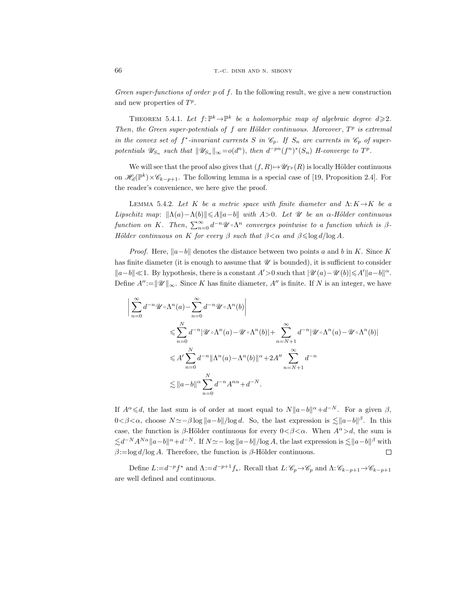Green super-functions of order p of f. In the following result, we give a new construction and new properties of  $T^p$ .

THEOREM 5.4.1. Let  $f: \mathbb{P}^k \to \mathbb{P}^k$  be a holomorphic map of algebraic degree  $d \geqslant 2$ . Then, the Green super-potentials of  $f$  are Hölder continuous. Moreover,  $T<sup>p</sup>$  is extremal in the convex set of  $f^*$ -invariant currents S in  $\mathcal{C}_p$ . If  $S_n$  are currents in  $\mathcal{C}_p$  of superpotentials  $\mathscr{U}_{S_n}$  such that  $\|\mathscr{U}_{S_n}\|_{\infty} = o(d^n)$ , then  $d^{-pn}(f^n)^*(S_n)$  H-converge to  $T^p$ .

We will see that the proof also gives that  $(f, R) \rightarrow \mathscr{U}_{T^p}(R)$  is locally Hölder continuous on  $\mathscr{H}_d(\mathbb{P}^k)\times\mathscr{C}_{k-p+1}$ . The following lemma is a special case of [19, Proposition 2.4]. For the reader's convenience, we here give the proof.

LEMMA 5.4.2. Let K be a metric space with finite diameter and  $\Lambda: K \rightarrow K$  be a Lipschitz map:  $\|\Lambda(a)-\Lambda(b)\|\leqslant A\|a-b\|$  with A>0. Let  $\mathcal U$  be an  $\alpha$ -Hölder continuous function on K. Then,  $\sum_{n=0}^{\infty} d^{-n} \mathscr{U} \circ \Lambda^n$  converges pointwise to a function which is  $\beta$ -Hölder continuous on K for every  $\beta$  such that  $\beta < \alpha$  and  $\beta \leq \log d/\log A$ .

*Proof.* Here,  $||a-b||$  denotes the distance between two points a and b in K. Since K has finite diameter (it is enough to assume that  $\mathscr U$  is bounded), it is sufficient to consider  $||a-b|| \ll 1$ . By hypothesis, there is a constant  $A' > 0$  such that  $|\mathcal{U}(a) - \mathcal{U}(b)| \leq A' ||a-b||^{\alpha}$ . Define  $A'' := ||\mathscr{U}||_{\infty}$ . Since K has finite diameter, A'' is finite. If N is an integer, we have

$$
\left| \sum_{n=0}^{\infty} d^{-n} \mathcal{U} \circ \Lambda^n(a) - \sum_{n=0}^{\infty} d^{-n} \mathcal{U} \circ \Lambda^n(b) \right|
$$
  
\n
$$
\leqslant \sum_{n=0}^{N} d^{-n} |\mathcal{U} \circ \Lambda^n(a) - \mathcal{U} \circ \Lambda^n(b)| + \sum_{n=N+1}^{\infty} d^{-n} |\mathcal{U} \circ \Lambda^n(a) - \mathcal{U} \circ \Lambda^n(b)|
$$
  
\n
$$
\leqslant A' \sum_{n=0}^{N} d^{-n} \|\Lambda^n(a) - \Lambda^n(b)\|^{\alpha} + 2A'' \sum_{n=N+1}^{\infty} d^{-n}
$$
  
\n
$$
\lesssim \|a - b\|^{\alpha} \sum_{n=0}^{N} d^{-n} A^{n\alpha} + d^{-N}.
$$

If  $A^{\alpha} \leq d$ , the last sum is of order at most equal to  $N||a-b||^{\alpha}+d^{-N}$ . For a given  $\beta$ ,  $0 < \beta < \alpha$ , choose  $N \simeq -\beta \log ||a - b|| / \log d$ . So, the last expression is  $\lesssim ||a - b||^{\beta}$ . In this case, the function is β-Hölder continuous for every  $0 < \beta < \alpha$ . When  $A^{\alpha} > d$ , the sum is  $\lesssim d^{-N} A^{N\alpha} \|a-b\|^{\alpha}+d^{-N}$ . If  $N \simeq -\log \|a-b\|/\log A$ , the last expression is  $\lesssim \|a-b\|^{\beta}$  with  $\beta := \log d / \log A$ . Therefore, the function is  $\beta$ -Hölder continuous.  $\Box$ 

Define  $L:=d^{-p}f^*$  and  $\Lambda:=d^{-p+1}f_*$ . Recall that  $L:\mathscr{C}_p\to\mathscr{C}_p$  and  $\Lambda:\mathscr{C}_{k-p+1}\to\mathscr{C}_{k-p+1}$ are well defined and continuous.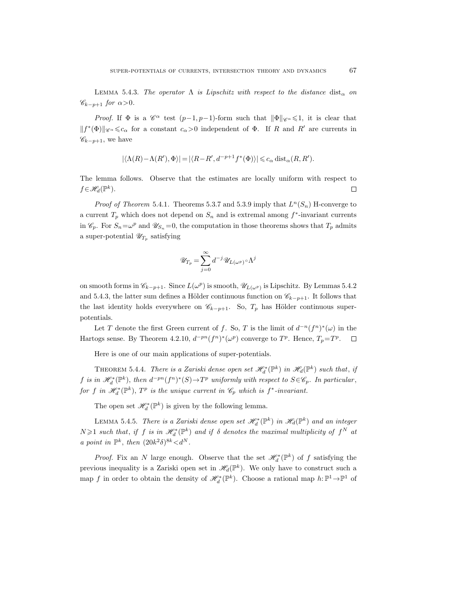LEMMA 5.4.3. The operator  $\Lambda$  is Lipschitz with respect to the distance  $dist_{\alpha}$  on  $\mathscr{C}_{k-p+1}$  for  $\alpha > 0$ .

*Proof.* If  $\Phi$  is a  $\mathscr{C}^{\alpha}$  test  $(p-1, p-1)$ -form such that  $\|\Phi\|_{\mathscr{C}^{\alpha}} \leq 1$ , it is clear that  $||f^*(\Phi)||_{\mathscr{C}^{\alpha}} \leq c_{\alpha}$  for a constant  $c_{\alpha} > 0$  independent of  $\Phi$ . If R and R' are currents in  $\mathscr{C}_{k-p+1}$ , we have

$$
|\langle \Lambda(R)-\Lambda(R'),\Phi\rangle|=|\langle R-R',d^{-p+1}f^*(\Phi)\rangle|\leqslant c_{\alpha}\operatorname{dist}_{\alpha}(R,R').
$$

The lemma follows. Observe that the estimates are locally uniform with respect to  $f \in \mathcal{H}_d(\mathbb{P}^k)$ .  $\Box$ 

*Proof of Theorem* 5.4.1. Theorems 5.3.7 and 5.3.9 imply that  $L^n(S_n)$  H-converge to a current  $T_p$  which does not depend on  $S_n$  and is extremal among  $f^*$ -invariant currents in  $\mathcal{C}_p$ . For  $S_n = \omega^p$  and  $\mathcal{U}_{S_n} = 0$ , the computation in those theorems shows that  $T_p$  admits a super-potential  $\mathscr{U}_{T_p}$  satisfying

$$
\mathscr U_{T_p}=\sum_{j=0}^\infty d^{-j}\mathscr U_{L(\omega^p)}\!\circ\!\Lambda^j
$$

on smooth forms in  $\mathscr{C}_{k-p+1}$ . Since  $L(\omega^p)$  is smooth,  $\mathscr{U}_{L(\omega^p)}$  is Lipschitz. By Lemmas 5.4.2 and 5.4.3, the latter sum defines a Hölder continuous function on  $\mathscr{C}_{k-p+1}$ . It follows that the last identity holds everywhere on  $\mathscr{C}_{k-p+1}$ . So,  $T_p$  has Hölder continuous superpotentials.

Let T denote the first Green current of f. So, T is the limit of  $d^{-n}(f^n)^*(\omega)$  in the Hartogs sense. By Theorem 4.2.10,  $d^{-pn}(f^n)^*(\omega^p)$  converge to  $T^p$ . Hence,  $T_p = T^p$ .

Here is one of our main applications of super-potentials.

THEOREM 5.4.4. There is a Zariski dense open set  $\mathscr{H}_d^*(\mathbb{P}^k)$  in  $\mathscr{H}_d(\mathbb{P}^k)$  such that, if f is in  $\mathscr{H}_d^*(\mathbb{P}^k)$ , then  $d^{-pn}(f^n)^*(S) \to T^p$  uniformly with respect to  $S \in \mathscr{C}_p$ . In particular, for f in  $\mathscr{H}_d^*(\mathbb{P}^k)$ ,  $T^p$  is the unique current in  $\mathscr{C}_p$  which is  $f^*$ -invariant.

The open set  $\mathscr{H}_d^*(\mathbb{P}^k)$  is given by the following lemma.

LEMMA 5.4.5. There is a Zariski dense open set  $\mathscr{H}_d^*(\mathbb{P}^k)$  in  $\mathscr{H}_d(\mathbb{P}^k)$  and an integer  $N \geqslant 1$  such that, if f is in  $\mathscr{H}_d^*(\mathbb{P}^k)$  and if  $\delta$  denotes the maximal multiplicity of  $f^N$  at a point in  $\mathbb{P}^k$ , then  $(20k^2\delta)^{8k} < d^N$ .

*Proof.* Fix an N large enough. Observe that the set  $\mathcal{H}_d^*(\mathbb{P}^k)$  of f satisfying the previous inequality is a Zariski open set in  $\mathscr{H}_d(\mathbb{P}^k)$ . We only have to construct such a map f in order to obtain the density of  $\mathscr{H}_d^*(\mathbb{P}^k)$ . Choose a rational map  $h: \mathbb{P}^1 \to \mathbb{P}^1$  of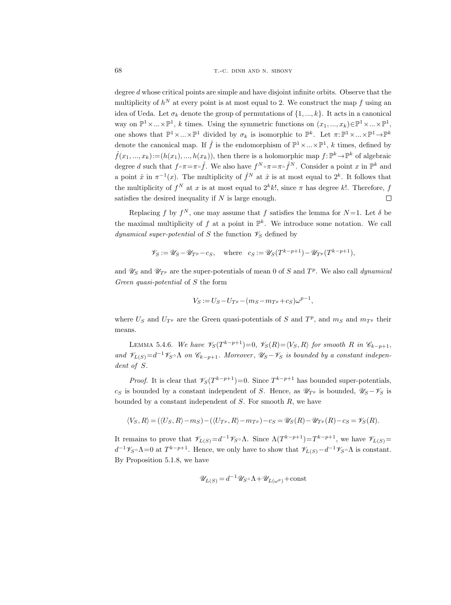degree  $d$  whose critical points are simple and have disjoint infinite orbits. Observe that the multiplicity of  $h^N$  at every point is at most equal to 2. We construct the map f using an idea of Ueda. Let  $\sigma_k$  denote the group of permutations of  $\{1, ..., k\}$ . It acts in a canonical way on  $\mathbb{P}^1 \times ... \times \mathbb{P}^1$ , k times. Using the symmetric functions on  $(x_1, ..., x_k) \in \mathbb{P}^1 \times ... \times \mathbb{P}^1$ , one shows that  $\mathbb{P}^1 \times ... \times \mathbb{P}^1$  divided by  $\sigma_k$  is isomorphic to  $\mathbb{P}^k$ . Let  $\pi: \mathbb{P}^1 \times ... \times \mathbb{P}^1 \to \mathbb{P}^k$ denote the canonical map. If  $\hat{f}$  is the endomorphism of  $\mathbb{P}^1 \times ... \times \mathbb{P}^1$ , k times, defined by  $\hat{f}(x_1, ..., x_k) := (h(x_1), ..., h(x_k)),$  then there is a holomorphic map  $f: \mathbb{P}^k \to \mathbb{P}^k$  of algebraic degree d such that  $f \circ \pi = \pi \circ \hat{f}$ . We also have  $f^N \circ \pi = \pi \circ \hat{f}^N$ . Consider a point x in  $\mathbb{P}^k$  and a point  $\hat{x}$  in  $\pi^{-1}(x)$ . The multiplicity of  $\hat{f}^N$  at  $\hat{x}$  is at most equal to  $2^k$ . It follows that the multiplicity of  $f^N$  at x is at most equal to  $2^k k!$ , since  $\pi$  has degree k!. Therefore,  $f$ satisfies the desired inequality if  $N$  is large enough.  $\Box$ 

Replacing f by  $f^N$ , one may assume that f satisfies the lemma for  $N=1$ . Let  $\delta$  be the maximal multiplicity of f at a point in  $\mathbb{P}^k$ . We introduce some notation. We call dynamical super-potential of S the function  $\mathscr{V}_S$  defined by

$$
\mathscr{V}_S := \mathscr{U}_S - \mathscr{U}_{T^p} - c_S, \quad \text{where} \quad c_S := \mathscr{U}_S(T^{k-p+1}) - \mathscr{U}_{T^p}(T^{k-p+1}),
$$

and  $\mathscr{U}_S$  and  $\mathscr{U}_{T^p}$  are the super-potentials of mean 0 of S and  $T^p$ . We also call dynamical Green quasi-potential of S the form

$$
V_S := U_S - U_{T^p} - (m_S - m_{T^p} + c_S)\omega^{p-1},
$$

where  $U_S$  and  $U_{T^p}$  are the Green quasi-potentials of S and  $T^p$ , and  $m_S$  and  $m_{T^p}$  their means.

LEMMA 5.4.6. We have  $\mathscr{V}_S(T^{k-p+1})=0$ ,  $\mathscr{V}_S(R)=\langle V_S, R \rangle$  for smooth R in  $\mathscr{C}_{k-p+1}$ , and  $\mathscr{V}_{L(S)}=d^{-1}\mathscr{V}_{S}\circ \Lambda$  on  $\mathscr{C}_{k-p+1}$ . Moreover,  $\mathscr{U}_{S}-\mathscr{V}_{S}$  is bounded by a constant independent of S.

*Proof.* It is clear that  $\mathscr{V}_S(T^{k-p+1})=0$ . Since  $T^{k-p+1}$  has bounded super-potentials, c<sub>S</sub> is bounded by a constant independent of S. Hence, as  $\mathscr{U}_{T}$ <sup>p</sup> is bounded,  $\mathscr{U}_{S}$  +  $\mathscr{V}_{S}$  is bounded by a constant independent of  $S$ . For smooth  $R$ , we have

$$
\langle V_S, R \rangle = (\langle U_S, R \rangle - m_S) - (\langle U_{T^p}, R \rangle - m_{T^p}) - c_S = \mathscr{U}_S(R) - \mathscr{U}_{T^p}(R) - c_S = \mathscr{V}_S(R).
$$

It remains to prove that  $\mathscr{V}_{L(S)} = d^{-1}\mathscr{V}_{S} \circ \Lambda$ . Since  $\Lambda(T^{k-p+1}) = T^{k-p+1}$ , we have  $\mathscr{V}_{L(S)} =$  $d^{-1}\mathscr{V}_{S}\circ \Lambda=0$  at  $T^{k-p+1}$ . Hence, we only have to show that  $\mathscr{V}_{L(S)}-d^{-1}\mathscr{V}_{S}\circ \Lambda$  is constant. By Proposition 5.1.8, we have

$$
\mathscr{U}_{L(S)} = d^{-1} \mathscr{U}_{S} \circ \Lambda + \mathscr{U}_{L(\omega^p)} + \text{const}
$$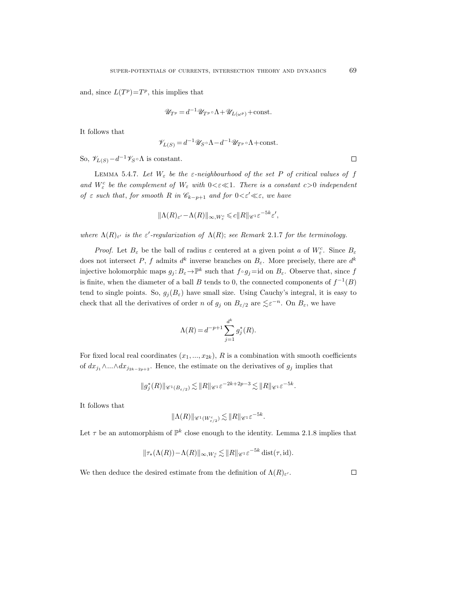and, since  $L(T^p) = T^p$ , this implies that

$$
\mathscr{U}_{T^p} = d^{-1} \mathscr{U}_{T^p} \circ \Lambda + \mathscr{U}_{L(\omega^p)} + \text{const.}
$$

It follows that

$$
\mathscr{V}_{L(S)} = d^{-1}\mathscr{U}_{S} \circ \Lambda - d^{-1}\mathscr{U}_{T^p} \circ \Lambda + \text{const.}
$$

So,  $\mathscr{V}_{L(S)}-d^{-1}\mathscr{V}_{S}\circ\Lambda$  is constant.

LEMMA 5.4.7. Let  $W_{\varepsilon}$  be the  $\varepsilon$ -neighbourhood of the set P of critical values of f and  $W_{\varepsilon}^{c}$  be the complement of  $W_{\varepsilon}$  with  $0<\varepsilon\ll1$ . There is a constant  $c>0$  independent of  $\varepsilon$  such that, for smooth R in  $\mathscr{C}_{k-p+1}$  and for  $0<\varepsilon' \ll \varepsilon$ , we have

$$
\|\Lambda(R)_{\varepsilon'} - \Lambda(R)\|_{\infty, W_{\varepsilon}^c} \leqslant c \|R\|_{\mathscr{C}^1} \varepsilon^{-5k} \varepsilon',
$$

where  $\Lambda(R)_{\varepsilon}$  is the  $\varepsilon'$ -regularization of  $\Lambda(R)$ ; see Remark 2.1.7 for the terminology.

*Proof.* Let  $B_{\varepsilon}$  be the ball of radius  $\varepsilon$  centered at a given point a of  $W_{\varepsilon}^{c}$ . Since  $B_{\varepsilon}$ does not intersect P, f admits  $d^k$  inverse branches on  $B_\varepsilon$ . More precisely, there are  $d^k$ injective holomorphic maps  $g_j: B_\varepsilon \to \mathbb{P}^k$  such that  $f \circ g_j = \text{id}$  on  $B_\varepsilon$ . Observe that, since f is finite, when the diameter of a ball B tends to 0, the connected components of  $f^{-1}(B)$ tend to single points. So,  $g_j(B_\varepsilon)$  have small size. Using Cauchy's integral, it is easy to check that all the derivatives of order n of  $g_j$  on  $B_{\varepsilon/2}$  are  $\lesssim \varepsilon^{-n}$ . On  $B_{\varepsilon}$ , we have

$$
\Lambda(R) = d^{-p+1} \sum_{j=1}^{d^k} g_j^*(R).
$$

For fixed local real coordinates  $(x_1, ..., x_{2k})$ , R is a combination with smooth coefficients of  $dx_{j_1} \wedge ... \wedge dx_{j_{2k-2p+2}}$ . Hence, the estimate on the derivatives of  $g_j$  implies that

$$
\|g_j^*(R)\|_{\mathscr{C}^1(B_{\varepsilon/2})} \lesssim \|R\|_{\mathscr{C}^1} \varepsilon^{-2k+2p-3} \lesssim \|R\|_{\mathscr{C}^1} \varepsilon^{-5k}.
$$

It follows that

$$
\|\Lambda(R)\|_{\mathscr{C}^1(W^c_{\varepsilon/2})} \lesssim \|R\|_{\mathscr{C}^1} \varepsilon^{-5k}.
$$

Let  $\tau$  be an automorphism of  $\mathbb{P}^k$  close enough to the identity. Lemma 2.1.8 implies that

$$
\|\tau_*(\Lambda(R)) - \Lambda(R)\|_{\infty, W^c_{\varepsilon}} \lesssim \|R\|_{\mathscr{C}^1} \varepsilon^{-5k} \text{ dist}(\tau, \text{id}).
$$

We then deduce the desired estimate from the definition of  $\Lambda(R)_{\varepsilon}$ .

 $\Box$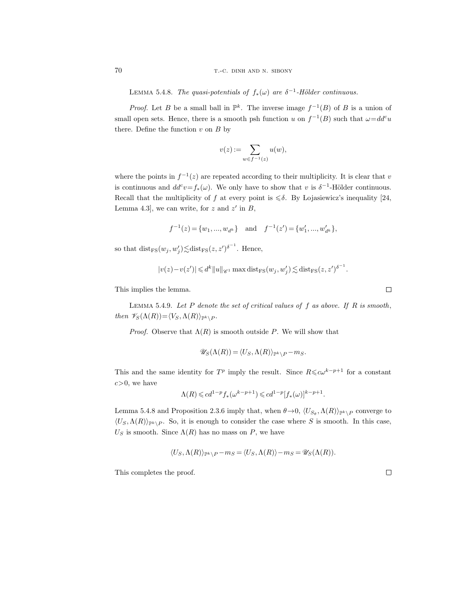LEMMA 5.4.8. The quasi-potentials of  $f_*(\omega)$  are  $\delta^{-1}$ -Hölder continuous.

*Proof.* Let B be a small ball in  $\mathbb{P}^k$ . The inverse image  $f^{-1}(B)$  of B is a union of small open sets. Hence, there is a smooth psh function u on  $f^{-1}(B)$  such that  $\omega = dd^c u$ there. Define the function  $v$  on  $B$  by

$$
v(z) := \sum_{w \in f^{-1}(z)} u(w),
$$

where the points in  $f^{-1}(z)$  are repeated according to their multiplicity. It is clear that v is continuous and  $dd^c v = f_*(\omega)$ . We only have to show that v is  $\delta^{-1}$ -Hölder continuous. Recall that the multiplicity of f at every point is  $\leq \delta$ . By Lojasiewicz's inequality [24, Lemma 4.3, we can write, for z and  $z'$  in B,

$$
f^{-1}(z) = \{w_1, ..., w_{d^k}\}\
$$
 and  $f^{-1}(z') = \{w'_1, ..., w'_{d^k}\},\$ 

so that  $dist_{\text{FS}}(w_j, w'_j) \lesssim \text{dist}_{\text{FS}}(z, z')^{\delta^{-1}}$ . Hence,

$$
|v(z)-v(z')|\leq d^k||u||_{\mathscr{C}^1}\max{\rm dist}_{\rm FS}(w_j,w_j')\lesssim {\rm dist}_{\rm FS}(z,z')^{\delta^{-1}}.
$$

This implies the lemma.

LEMMA 5.4.9. Let  $P$  denote the set of critical values of  $f$  as above. If  $R$  is smooth, then  $\mathscr{V}_S(\Lambda(R)) = \langle V_S, \Lambda(R) \rangle_{\mathbb{P}^k \setminus P}$ .

*Proof.* Observe that  $\Lambda(R)$  is smooth outside P. We will show that

$$
\mathscr{U}_S(\Lambda(R)) = \langle U_S, \Lambda(R) \rangle_{\mathbb{P}^k \setminus P} - m_S.
$$

This and the same identity for  $T^p$  imply the result. Since  $R \leq c\omega^{k-p+1}$  for a constant  $c>0$ , we have

$$
\Lambda(R)\leqslant cd^{1-p}f_*(\omega^{k-p+1})\leqslant cd^{1-p}[f_*(\omega)]^{k-p+1}.
$$

Lemma 5.4.8 and Proposition 2.3.6 imply that, when  $\theta \rightarrow 0$ ,  $\langle U_{S_{\theta}}, \Lambda(R) \rangle_{\mathbb{P}^k \setminus P}$  converge to  $\langle U_s, \Lambda(R) \rangle_{\mathbb{P}^k \setminus P}$ . So, it is enough to consider the case where S is smooth. In this case,  $U<sub>S</sub>$  is smooth. Since  $\Lambda(R)$  has no mass on P, we have

$$
\langle U_S, \Lambda(R) \rangle_{\mathbb{P}^k \setminus P} - m_S = \langle U_S, \Lambda(R) \rangle - m_S = \mathscr{U}_S(\Lambda(R)).
$$

This completes the proof.

 $\Box$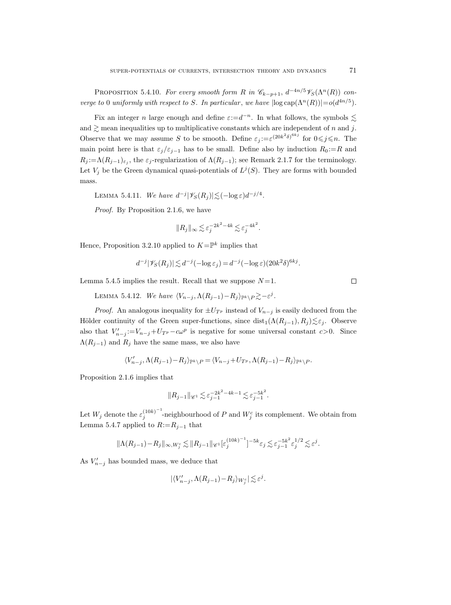PROPOSITION 5.4.10. For every smooth form R in  $\mathcal{C}_{k-p+1}$ ,  $d^{-4n/5}\mathcal{V}_{S}(\Lambda^{n}(R))$  converge to 0 uniformly with respect to S. In particular, we have  $|\log cap(\Lambda^n(R))| = o(d^{4n/5})$ .

Fix an integer n large enough and define  $\varepsilon:=d^{-n}$ . In what follows, the symbols  $\lesssim$ and  $\geq$  mean inequalities up to multiplicative constants which are independent of n and j. Observe that we may assume S to be smooth. Define  $\varepsilon_j := \varepsilon^{(20k^2\delta)^{6kj}}$  for  $0 \leq j \leq n$ . The main point here is that  $\varepsilon_j/\varepsilon_{j-1}$  has to be small. Define also by induction  $R_0 := R$  and  $R_j := \Lambda(R_{j-1})_{\varepsilon_j}$ , the  $\varepsilon_j$ -regularization of  $\Lambda(R_{j-1})$ ; see Remark 2.1.7 for the terminology. Let  $V_j$  be the Green dynamical quasi-potentials of  $L^j(S)$ . They are forms with bounded mass.

LEMMA 5.4.11. We have  $d^{-j}|\mathscr{V}_S(R_j)| \lesssim (-\log \varepsilon)d^{-j/4}$ .

Proof. By Proposition 2.1.6, we have

$$
||R_j||_\infty \lesssim \varepsilon_j^{-2k^2-4k} \lesssim \varepsilon_j^{-4k^2}.
$$

Hence, Proposition 3.2.10 applied to  $K = \mathbb{P}^k$  implies that

$$
d^{-j}|\mathscr{V}_S(R_j)| \lesssim d^{-j}(-\log \varepsilon_j) = d^{-j}(-\log \varepsilon)(20k^2\delta)^{6kj}.
$$

Lemma 5.4.5 implies the result. Recall that we suppose  $N=1$ .

LEMMA 5.4.12. We have  $\langle V_{n-j}, \Lambda(R_{j-1}) - R_j \rangle_{\mathbb{P}^k \setminus P} \gtrsim -\varepsilon^j$ .

*Proof.* An analogous inequality for  $\pm U_{T_p}$  instead of  $V_{n-j}$  is easily deduced from the Hölder continuity of the Green super-functions, since  $dist_1(\Lambda(R_{j-1}), R_j) \lesssim \varepsilon_j$ . Observe also that  $V'_{n-j} := V_{n-j} + U_{T^p} - c\omega^p$  is negative for some universal constant  $c > 0$ . Since  $\Lambda(R_{j-1})$  and  $R_j$  have the same mass, we also have

$$
\langle V'_{n-j}, \Lambda(R_{j-1})-R_j\rangle_{\mathbb{P}^k\backslash P}=\langle V_{n-j}+U_{T^p}, \Lambda(R_{j-1})-R_j\rangle_{\mathbb{P}^k\backslash P}.
$$

Proposition 2.1.6 implies that

$$
||R_{j-1}||_{\mathscr{C}^1} \lesssim \varepsilon_{j-1}^{-2k^2 - 4k - 1} \lesssim \varepsilon_{j-1}^{-5k^2}.
$$

Let  $W_j$  denote the  $\varepsilon_j^{(10k)^{-1}}$  $j^{(10k)^{-1}}$ -neighbourhood of P and  $W_j^c$  its complement. We obtain from Lemma 5.4.7 applied to  $R:=R_{j-1}$  that

$$
\|\Lambda(R_{j-1})-R_j\|_{\infty, W_j^c} \lesssim \|R_{j-1}\|_{\mathscr{C}^1} \big[\varepsilon_j^{(10k)^{-1}}\big]^{-5k} \varepsilon_j \lesssim \varepsilon_{j-1}^{-5k^2} \varepsilon_j^{1/2} \lesssim \varepsilon^j.
$$

As  $V'_{n-j}$  has bounded mass, we deduce that

$$
|\langle V'_{n-j},\Lambda(R_{j-1})-R_j\rangle_{W_j^c}|\lesssim \varepsilon^j.
$$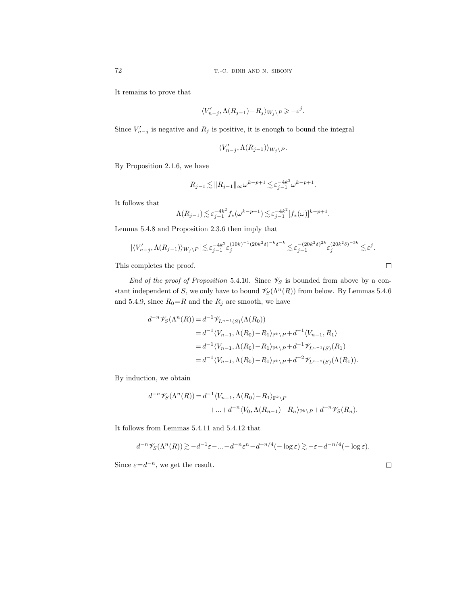It remains to prove that

$$
\langle V'_{n-j}, \Lambda(R_{j-1}) - R_j \rangle_{W_j \setminus P} \geqslant -\varepsilon^j.
$$

Since  $V'_{n-j}$  is negative and  $R_j$  is positive, it is enough to bound the integral

$$
\langle V'_{n-j}, \Lambda(R_{j-1}) \rangle_{W_j \setminus P}.
$$

By Proposition 2.1.6, we have

$$
R_{j-1} \lesssim \|R_{j-1}\|_{\infty} \omega^{k-p+1} \lesssim \varepsilon_{j-1}^{-4k^2} \omega^{k-p+1}.
$$

It follows that

$$
\Lambda(R_{j-1}) \lesssim \varepsilon_{j-1}^{-4k^2} f_*(\omega^{k-p+1}) \lesssim \varepsilon_{j-1}^{-4k^2} [f_*(\omega)]^{k-p+1}.
$$

Lemma 5.4.8 and Proposition 2.3.6 then imply that

$$
|\langle V'_{n-j}, \Lambda(R_{j-1})\rangle_{W_j\setminus P}|\lesssim \varepsilon_{j-1}^{-4k^2} \varepsilon_j^{(10k)^{-1}(20k^2\delta)^{-k}\delta^{-k}}\lesssim \varepsilon_{j-1}^{-(20k^2\delta)^{2k}} \varepsilon_j^{(20k^2\delta)^{-3k}}\lesssim \varepsilon^j.
$$

This completes the proof.

End of the proof of Proposition 5.4.10. Since  $\mathscr{V}_S$  is bounded from above by a constant independent of S, we only have to bound  $\mathscr{V}_{S}(\Lambda^{n}(R))$  from below. By Lemmas 5.4.6 and 5.4.9, since  $R_0=R$  and the  $R_j$  are smooth, we have

$$
d^{-n}\mathscr{V}_{S}(\Lambda^{n}(R)) = d^{-1}\mathscr{V}_{L^{n-1}(S)}(\Lambda(R_{0}))
$$
  
\n
$$
= d^{-1}\langle V_{n-1}, \Lambda(R_{0}) - R_{1} \rangle_{\mathbb{P}^{k} \setminus P} + d^{-1}\langle V_{n-1}, R_{1} \rangle
$$
  
\n
$$
= d^{-1}\langle V_{n-1}, \Lambda(R_{0}) - R_{1} \rangle_{\mathbb{P}^{k} \setminus P} + d^{-1}\mathscr{V}_{L^{n-1}(S)}(R_{1})
$$
  
\n
$$
= d^{-1}\langle V_{n-1}, \Lambda(R_{0}) - R_{1} \rangle_{\mathbb{P}^{k} \setminus P} + d^{-2}\mathscr{V}_{L^{n-2}(S)}(\Lambda(R_{1})).
$$

By induction, we obtain

$$
d^{-n}\mathscr{V}_S(\Lambda^n(R)) = d^{-1}\langle V_{n-1}, \Lambda(R_0) - R_1 \rangle_{\mathbb{P}^k \setminus P}
$$
  
+...+ $d^{-n}\langle V_0, \Lambda(R_{n-1}) - R_n \rangle_{\mathbb{P}^k \setminus P} + d^{-n}\mathscr{V}_S(R_n).$ 

It follows from Lemmas 5.4.11 and 5.4.12 that

$$
d^{-n}\mathscr{V}_S(\Lambda^n(R)) \gtrsim -d^{-1}\varepsilon - \dots - d^{-n}\varepsilon^n - d^{-n/4}(-\log \varepsilon) \gtrsim -\varepsilon - d^{-n/4}(-\log \varepsilon).
$$

Since  $\varepsilon = d^{-n}$ , we get the result.

$$
^{72}
$$

$$
\Box
$$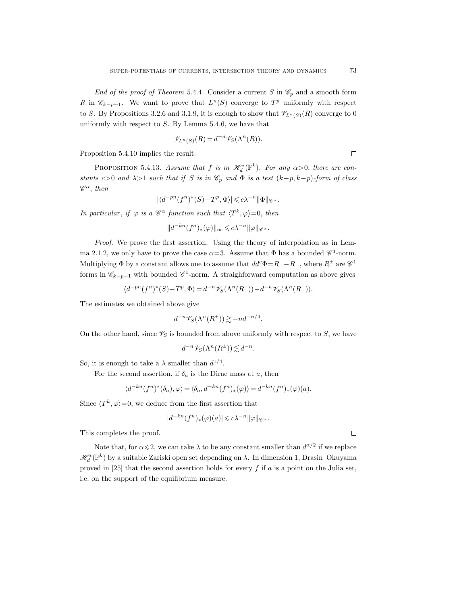End of the proof of Theorem 5.4.4. Consider a current S in  $\mathcal{C}_p$  and a smooth form R in  $\mathscr{C}_{k-p+1}$ . We want to prove that  $L^{n}(S)$  converge to  $T^{p}$  uniformly with respect to S. By Propositions 3.2.6 and 3.1.9, it is enough to show that  $\mathscr{V}_{L^{n}(S)}(R)$  converge to 0 uniformly with respect to  $S$ . By Lemma 5.4.6, we have that

$$
\mathscr{V}_{L^n(S)}(R) = d^{-n} \mathscr{V}_S(\Lambda^n(R)).
$$

Proposition 5.4.10 implies the result.

PROPOSITION 5.4.13. Assume that f is in  $\mathscr{H}_d^*(\mathbb{P}^k)$ . For any  $\alpha > 0$ , there are constants c>0 and  $\lambda$ >1 such that if S is in  $\mathcal{C}_p$  and  $\Phi$  is a test  $(k-p, k-p)$ -form of class  $\mathscr{C}^{\alpha}$ , then

$$
|\langle d^{-pn}(f^n)^*(S)-T^p,\Phi\rangle|\leqslant c\lambda^{-n}\|\Phi\|_{\mathscr{C}^\alpha}.
$$

In particular, if  $\varphi$  is a  $\mathscr{C}^{\alpha}$  function such that  $\langle T^k, \varphi \rangle = 0$ , then

 $||d^{-kn}(f^n)_*(\varphi)||_{\infty} \leqslant c\lambda^{-n} ||\varphi||_{\mathscr{C}^{\alpha}}.$ 

Proof. We prove the first assertion. Using the theory of interpolation as in Lemma 2.1.2, we only have to prove the case  $\alpha=3$ . Assume that  $\Phi$  has a bounded  $\mathscr{C}^3$ -norm. Multiplying  $\Phi$  by a constant allows one to assume that  $dd^c \Phi = R^+ - R^-$ , where  $R^{\pm}$  are  $\mathscr{C}^1$ forms in  $\mathscr{C}_{k-p+1}$  with bounded  $\mathscr{C}^1$ -norm. A straighforward computation as above gives

$$
\langle d^{-pn}(f^n)^*(S)-T^p, \Phi\rangle = d^{-n}\mathscr{V}_S(\Lambda^n(R^+))-d^{-n}\mathscr{V}_S(\Lambda^n(R^-)).
$$

The estimates we obtained above give

$$
d^{-n}\mathscr{V}_S(\Lambda^n(R^{\pm})) \gtrsim -nd^{-n/4}.
$$

On the other hand, since  $\mathscr{V}_S$  is bounded from above uniformly with respect to S, we have

$$
d^{-n}\mathscr{V}_S(\Lambda^n(R^{\pm})) \lesssim d^{-n}.
$$

So, it is enough to take a  $\lambda$  smaller than  $d^{1/4}$ .

For the second assertion, if  $\delta_a$  is the Dirac mass at a, then

$$
\langle d^{-kn}(f^n)^*(\delta_a), \varphi \rangle = \langle \delta_a, d^{-kn}(f^n)_*(\varphi) \rangle = d^{-kn}(f^n)_*(\varphi)(a).
$$

Since  $\langle T^k, \varphi \rangle = 0$ , we deduce from the first assertion that

$$
|d^{-kn}(f^n)_*(\varphi)(a)|\leqslant c\lambda^{-n}\|\varphi\|_{\mathscr{C}^\alpha}.
$$

This completes the proof.

Note that, for  $\alpha \leq 2$ , we can take  $\lambda$  to be any constant smaller than  $d^{\alpha/2}$  if we replace  $\mathscr{H}_{d}^{\ast}(\mathbb{P}^k)$  by a suitable Zariski open set depending on  $\lambda.$  In dimension 1, Drasin–Okuyama proved in [25] that the second assertion holds for every  $f$  if  $a$  is a point on the Julia set, i.e. on the support of the equilibrium measure.

 $\Box$ 

 $\Box$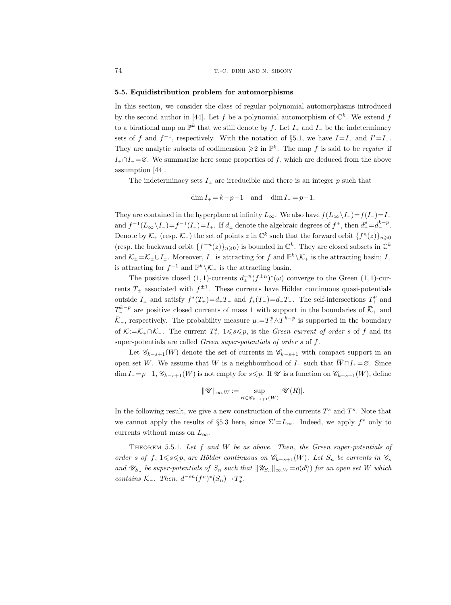## 5.5. Equidistribution problem for automorphisms

In this section, we consider the class of regular polynomial automorphisms introduced by the second author in [44]. Let f be a polynomial automorphism of  $\mathbb{C}^k$ . We extend f to a birational map on  $\mathbb{P}^k$  that we still denote by f. Let  $I_+$  and  $I_-$  be the indeterminacy sets of f and  $f^{-1}$ , respectively. With the notation of §5.1, we have  $I=I_+$  and  $I'=I_-$ . They are analytic subsets of codimension  $\geq 2$  in  $\mathbb{P}^k$ . The map f is said to be regular if  $I_+\cap I_-=\varnothing$ . We summarize here some properties of f, which are deduced from the above assumption [44].

The indeterminacy sets  $I_{\pm}$  are irreducible and there is an integer p such that

$$
\dim I_+ = k - p - 1 \quad \text{and} \quad \dim I_- = p - 1.
$$

They are contained in the hyperplane at infinity  $L_{\infty}$ . We also have  $f(L_{\infty}\setminus I_{+})=f(I_{-})=I_{-}$ and  $f^{-1}(L_{\infty}\backslash I_{-})=f^{-1}(I_{+})=I_{+}$ . If  $d_{\pm}$  denote the algebraic degrees of  $f^{\pm}$ , then  $d_{+}^{p}=d_{-}^{k-p}$ . Denote by  $\mathcal{K}_+$  (resp.  $\mathcal{K}_-$ ) the set of points z in  $\mathbb{C}^k$  such that the forward orbit  $\{f^n(z)\}_{n\geqslant 0}$ (resp. the backward orbit  $\{f^{-n}(z)\}_{n\geq 0}$ ) is bounded in  $\mathbb{C}^k$ . They are closed subsets in  $\mathbb{C}^k$ and  $\overline{\mathcal{K}}_{\pm} = \mathcal{K}_{\pm} \cup I_{\pm}$ . Moreover,  $I_{-}$  is attracting for f and  $\mathbb{P}^{k} \setminus \overline{\mathcal{K}}_{+}$  is the attracting basin;  $I_{+}$ is attracting for  $f^{-1}$  and  $\mathbb{P}^k \setminus \overline{\mathcal{K}}$  is the attracting basin.

The positive closed (1, 1)-currents  $d_{\pm}^{-n}(f^{\pm n})^*(\omega)$  converge to the Green (1, 1)-currents  $T_{\pm}$  associated with  $f^{\pm 1}$ . These currents have Hölder continuous quasi-potentials outside  $I_{\pm}$  and satisfy  $f^*(T_+) = d_+T_+$  and  $f_*(T_-) = d_-T_-$ . The self-intersections  $T_+^p$  and  $T_{-}^{k-p}$  are positive closed currents of mass 1 with support in the boundaries of  $\overline{K}_{+}$  and  $\overline{\mathcal{K}}$ , respectively. The probability measure  $\mu := T^p_+\wedge T^{k-p}_-$  is supported in the boundary of  $\mathcal{K}:=\mathcal{K}_+\cap\mathcal{K}_-$ . The current  $T^s_+$ ,  $1\leqslant s\leqslant p$ , is the *Green current of order s* of f and its super-potentials are called Green super-potentials of order s of f.

Let  $\mathscr{C}_{k-s+1}(W)$  denote the set of currents in  $\mathscr{C}_{k-s+1}$  with compact support in an open set W. We assume that W is a neighbourhood of  $I_-\,$  such that  $\overline{W} \cap I_+ = \emptyset$ . Since  $\dim I_0 = p-1, \mathscr{C}_{k-s+1}(W)$  is not empty for  $s \leq p$ . If  $\mathscr U$  is a function on  $\mathscr{C}_{k-s+1}(W)$ , define

$$
\|\mathscr{U}\|_{\infty,W}:=\sup_{R\in\mathscr{C}_{k-s+1}(W)}|\mathscr{U}(R)|.
$$

In the following result, we give a new construction of the currents  $T^s_+$  and  $T^s_-$ . Note that we cannot apply the results of §5.3 here, since  $\Sigma'=L_{\infty}$ . Indeed, we apply  $f^*$  only to currents without mass on  $L_{\infty}$ .

THEOREM 5.5.1. Let  $f$  and  $W$  be as above. Then, the Green super-potentials of order s of f,  $1 \le s \le p$ , are Hölder continuous on  $\mathscr{C}_{k-s+1}(W)$ . Let  $S_n$  be currents in  $\mathscr{C}_s$ and  $\mathscr{U}_{S_n}$  be super-potentials of  $S_n$  such that  $\|\mathscr{U}_{S_n}\|_{\infty, W} = o(d_n^m)$  for an open set W which contains  $\overline{\mathcal{K}}_-\colon$  Then,  $d_+^{-sn}(f^n)^*(S_n) \to T^s_+$ .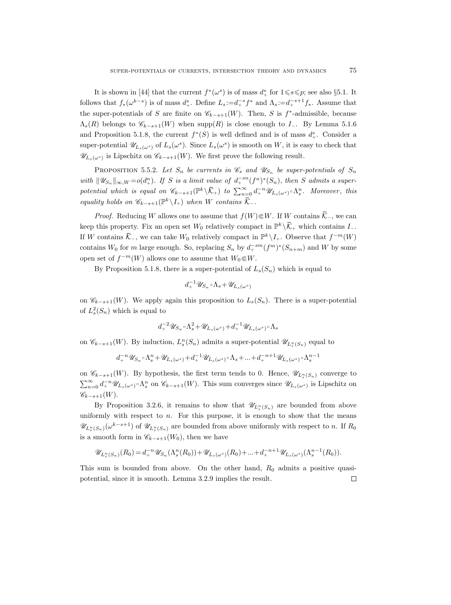It is shown in [44] that the current  $f^*(\omega^s)$  is of mass  $d^s_+$  for  $1 \leq s \leq p$ ; see also §5.1. It follows that  $f_*(\omega^{k-s})$  is of mass  $d_+^s$ . Define  $L_s := d_+^{-s} f^*$  and  $\Lambda_s := d_+^{-s+1} f_*$ . Assume that the super-potentials of S are finite on  $\mathscr{C}_{k-s+1}(W)$ . Then, S is f<sup>\*</sup>-admissible, because  $\Lambda_s(R)$  belongs to  $\mathscr{C}_{k-s+1}(W)$  when supp $(R)$  is close enough to I\_. By Lemma 5.1.6 and Proposition 5.1.8, the current  $f^*(S)$  is well defined and is of mass  $d^s_+$ . Consider a super-potential  $\mathscr{U}_{L_s(\omega^s)}$  of  $L_s(\omega^s)$ . Since  $L_s(\omega^s)$  is smooth on W, it is easy to check that  $\mathscr{U}_{L_s(\omega^s)}$  is Lipschitz on  $\mathscr{C}_{k-s+1}(W)$ . We first prove the following result.

PROPOSITION 5.5.2. Let  $S_n$  be currents in  $\mathscr{C}_s$  and  $\mathscr{U}_{S_n}$  be super-potentials of  $S_n$ with  $\|\mathscr{U}_{S_n}\|_{\infty, W} = o(d_+^n)$ . If S is a limit value of  $d_+^{-sn}(f^n)^*(S_n)$ , then S admits a superpotential which is equal on  $\mathscr{C}_{k-s+1}(\mathbb{P}^k \setminus \overline{\mathcal{K}}_+)$  to  $\sum_{n=0}^{\infty} d_{+}^{-n} \mathscr{U}_{L_s(\omega^s)} \circ \Lambda_s^n$ . Moreover, this equality holds on  $\mathscr{C}_{k-s+1}(\mathbb{P}^k \setminus I_+)$  when W contains  $\overline{\mathcal{K}}_-\$ .

*Proof.* Reducing W allows one to assume that  $f(W)\in W$ . If W contains  $\overline{\mathcal{K}}$ , we can keep this property. Fix an open set  $W_0$  relatively compact in  $\mathbb{P}^k \setminus \overline{\mathcal{K}}_+$  which contains  $I_-$ . If W contains  $\overline{\mathcal{K}}$ , we can take  $W_0$  relatively compact in  $\mathbb{P}^k \setminus I_+$ . Observe that  $f^{-m}(W)$ contains  $W_0$  for m large enough. So, replacing  $S_n$  by  $d_+^{-sm}(f^m)^*(S_{n+m})$  and W by some open set of  $f^{-m}(W)$  allows one to assume that  $W_0\mathfrak{g}W$ .

By Proposition 5.1.8, there is a super-potential of  $L_s(S_n)$  which is equal to

$$
d_+^{-1} \mathscr{U}_{S_n} \circ \Lambda_s + \mathscr{U}_{L_s(\omega^s)}
$$

on  $\mathscr{C}_{k-s+1}(W)$ . We apply again this proposition to  $L_s(S_n)$ . There is a super-potential of  $L_s^2(S_n)$  which is equal to

$$
d_+^{-2}\mathscr{U}_{S_n} \circ \Lambda_s^2 + \mathscr{U}_{L_s(\omega^s)} + d_+^{-1}\mathscr{U}_{L_s(\omega^s)} \circ \Lambda_s
$$

on  $\mathscr{C}_{k-s+1}(W)$ . By induction,  $L_s^n(S_n)$  admits a super-potential  $\mathscr{U}_{L_s^n(S_n)}$  equal to

$$
d_+^{-n}\mathscr{U}_{S_n}\circ \Lambda^n_s+\mathscr{U}_{L_s(\omega^s)}+d_+^{-1}\mathscr{U}_{L_s(\omega^s)}\circ \Lambda_s+\ldots+d_+^{-n+1}\mathscr{U}_{L_s(\omega^s)}\circ \Lambda^{n-1}_s
$$

on  $\mathscr{C}_{k-s+1}(W)$ . By hypothesis, the first term tends to 0. Hence,  $\mathscr{U}_{L_{s}^{n}(S_{n})}$  converge to  $\sum_{n=0}^{\infty} d_{+}^{-n} \mathscr{U}_{L_{s}(\omega^{s})} \circ \Lambda_{s}^{n}$  on  $\mathscr{C}_{k-s+1}(W)$ . This sum converges since  $\mathscr{U}_{L_{s}(\omega^{s})}$  is Lipschitz on  $\mathscr{C}_{k-s+1}(W)$ .

By Proposition 3.2.6, it remains to show that  $\mathscr{U}_{L_{s}^{n}(S_{n})}$  are bounded from above uniformly with respect to  $n$ . For this purpose, it is enough to show that the means  $\mathscr{U}_{L_{s}^{n}(S_{n})}(\omega^{k-s+1})$  of  $\mathscr{U}_{L_{s}^{n}(S_{n})}$  are bounded from above uniformly with respect to n. If  $R_{0}$ is a smooth form in  $\mathscr{C}_{k-s+1}(W_0)$ , then we have

$$
\mathscr{U}_{L_{s}^{n}(S_{n})}(R_{0}) = d_{+}^{-n} \mathscr{U}_{S_{n}}(\Lambda_{s}^{n}(R_{0})) + \mathscr{U}_{L_{s}(\omega^{s})}(R_{0}) + \ldots + d_{+}^{-n+1} \mathscr{U}_{L_{s}(\omega^{s})}(\Lambda_{s}^{n-1}(R_{0})).
$$

This sum is bounded from above. On the other hand,  $R_0$  admits a positive quasipotential, since it is smooth. Lemma 3.2.9 implies the result. $\Box$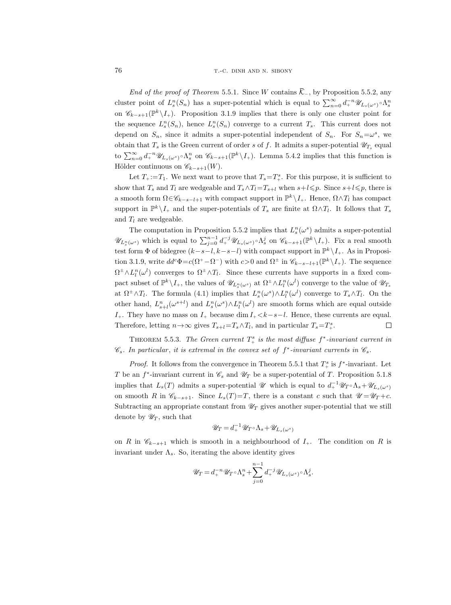End of the proof of Theorem 5.5.1. Since W contains  $\overline{\mathcal{K}}$ , by Proposition 5.5.2, any cluster point of  $L_s^n(S_n)$  has a super-potential which is equal to  $\sum_{n=0}^{\infty} d_+^{-n} \mathscr{U}_{L_s(\omega^s)} \circ \Lambda_s^n$ on  $\mathscr{C}_{k-s+1}(\mathbb{P}^k \setminus I_+)$ . Proposition 3.1.9 implies that there is only one cluster point for the sequence  $L_s^n(S_n)$ , hence  $L_s^n(S_n)$  converge to a current  $T_s$ . This current does not depend on  $S_n$ , since it admits a super-potential independent of  $S_n$ . For  $S_n = \omega^s$ , we obtain that  $T_s$  is the Green current of order s of f. It admits a super-potential  $\mathscr{U}_{T_s}$  equal to  $\sum_{n=0}^{\infty} d_+^{-n} \mathscr{U}_{L_s(\omega^s)} \circ \Lambda_s^n$  on  $\mathscr{C}_{k-s+1}(\mathbb{P}^k \setminus I_+)$ . Lemma 5.4.2 implies that this function is Hölder continuous on  $\mathscr{C}_{k-s+1}(W)$ .

Let  $T_+:=T_1$ . We next want to prove that  $T_s=T^s_+$ . For this purpose, it is sufficient to show that  $T_s$  and  $T_l$  are wedgeable and  $T_s \wedge T_l = T_{s+l}$  when  $s+l \leq p$ . Since  $s+l \leq p$ , there is a smooth form  $\Omega \in \mathscr{C}_{k-s-l+1}$  with compact support in  $\mathbb{P}^k \setminus I_+$ . Hence,  $\Omega \wedge T_l$  has compact support in  $\mathbb{P}^k \setminus I_+$  and the super-potentials of  $T_s$  are finite at  $\Omega \wedge T_l$ . It follows that  $T_s$ and  $T_l$  are wedgeable.

The computation in Proposition 5.5.2 implies that  $L_s^n(\omega^s)$  admits a super-potential  $\mathscr{U}_{L_{s}^{n}(\omega^{s})}$  which is equal to  $\sum_{j=0}^{n-1} d_{+}^{-j} \mathscr{U}_{L_{s}(\omega^{s})} \circ \Lambda_{s}^{j}$  on  $\mathscr{C}_{k-s+1}(\mathbb{P}^{k}\setminus I_{+})$ . Fix a real smooth test form  $\Phi$  of bidegree  $(k-s-l, k-s-l)$  with compact support in  $\mathbb{P}^k \setminus I_+$ . As in Proposition 3.1.9, write  $dd^c \Phi = c(\Omega^+ - \Omega^-)$  with  $c > 0$  and  $\Omega^{\pm}$  in  $\mathscr{C}_{k-s-l+1}(\mathbb{P}^k \setminus I_+)$ . The sequence  $\Omega^{\pm} \wedge L_l^n(\omega^l)$  converges to  $\Omega^{\pm} \wedge T_l$ . Since these currents have supports in a fixed compact subset of  $\mathbb{P}^k \setminus I_+$ , the values of  $\mathscr{U}_{L_s^n(\omega^s)}$  at  $\Omega^{\pm} \wedge L_l^n(\omega^l)$  converge to the value of  $\mathscr{U}_{T_s}$ at  $\Omega^{\pm} \wedge T_l$ . The formula (4.1) implies that  $L_s^n(\omega^s) \wedge L_l^n(\omega^l)$  converge to  $T_s \wedge T_l$ . On the other hand,  $L_{s+l}^n(\omega^{s+l})$  and  $L_s^n(\omega^s) \wedge L_l^n(\omega^l)$  are smooth forms which are equal outside  $I_+$ . They have no mass on  $I_+$  because  $\dim I_+ < k-s-l$ . Hence, these currents are equal. Therefore, letting  $n \rightarrow \infty$  gives  $T_{s+l} = T_s \wedge T_l$ , and in particular  $T_s = T^s_+$ .  $\Box$ 

THEOREM 5.5.3. The Green current  $T^s_+$  is the most diffuse  $f^*$ -invariant current in  $\mathscr{C}_s$ . In particular, it is extremal in the convex set of  $f^*$ -invariant currents in  $\mathscr{C}_s$ .

*Proof.* It follows from the convergence in Theorem 5.5.1 that  $T^s_+$  is  $f^*$ -invariant. Let T be an  $f^*$ -invariant current in  $\mathscr{C}_s$  and  $\mathscr{U}_T$  be a super-potential of T. Proposition 5.1.8 implies that  $L_s(T)$  admits a super-potential  $\mathscr U$  which is equal to  $d_+^{-1}\mathscr U_T \circ \Lambda_s + \mathscr U_{L_s(\omega^s)}$ on smooth R in  $\mathscr{C}_{k-s+1}$ . Since  $L_s(T)=T$ , there is a constant c such that  $\mathscr{U} = \mathscr{U}_T + c$ . Subtracting an appropriate constant from  $\mathcal{U}_T$  gives another super-potential that we still denote by  $\mathscr{U}_T$ , such that

$$
\mathscr{U}_T = d_+^{-1} \mathscr{U}_T \circ \Lambda_s + \mathscr{U}_{L_s(\omega^s)}
$$

on R in  $\mathscr{C}_{k-s+1}$  which is smooth in a neighbourhood of  $I_+$ . The condition on R is invariant under  $\Lambda_s$ . So, iterating the above identity gives

$$
\mathscr U_T = d_+^{-n} \mathscr U_T \circ \Lambda_s^n + \sum_{j=0}^{n-1} d_+^{-j} \mathscr U_{L_s(\omega^s)} \circ \Lambda_s^j.
$$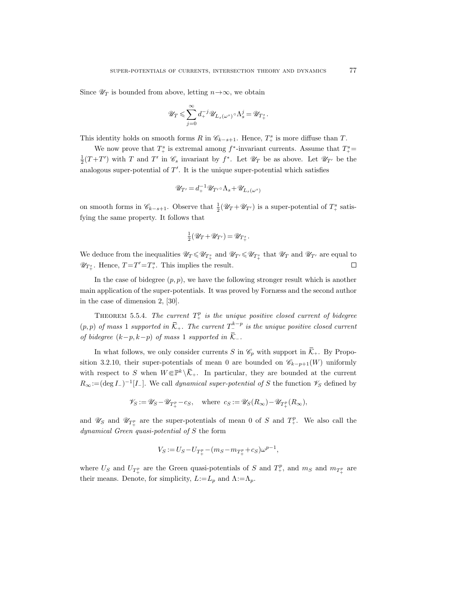Since  $\mathscr{U}_T$  is bounded from above, letting  $n \rightarrow \infty$ , we obtain

$$
\mathscr{U}_T\leqslant \sum_{j=0}^\infty d_+^{-j}\mathscr{U}_{L_s(\omega^s)}\!\circ\!\Lambda_s^j=\mathscr{U}_{T_+^s}.
$$

This identity holds on smooth forms R in  $\mathcal{C}_{k-s+1}$ . Hence,  $T^s$  is more diffuse than T.

We now prove that  $T^s_+$  is extremal among  $f^*$ -invariant currents. Assume that  $T^s_+$  $\frac{1}{2}(T+T')$  with T and T' in  $\mathscr{C}_s$  invariant by  $f^*$ . Let  $\mathscr{U}_T$  be as above. Let  $\mathscr{U}_{T'}$  be the analogous super-potential of  $T'$ . It is the unique super-potential which satisfies

$$
\mathscr{U}_{T'} = d_+^{-1} \mathscr{U}_{T'} \circ \Lambda_s + \mathscr{U}_{L_s(\omega^s)}
$$

on smooth forms in  $\mathscr{C}_{k-s+1}$ . Observe that  $\frac{1}{2}(\mathscr{U}_T + \mathscr{U}_{T'})$  is a super-potential of  $T^s_+$  satisfying the same property. It follows that

$$
\frac{1}{2}(\mathscr{U}_T + \mathscr{U}_{T'}) = \mathscr{U}_{T_+^s}.
$$

We deduce from the inequalities  $\mathscr{U}_T \leq \mathscr{U}_{T^s_+}$  and  $\mathscr{U}_{T'} \leq \mathscr{U}_{T^s_+}$  that  $\mathscr{U}_T$  and  $\mathscr{U}_{T'}$  are equal to  $\mathscr{U}_{T^s_+}$ . Hence,  $T = T' = T^s_+$ . This implies the result.  $\Box$ 

In the case of bidegree  $(p, p)$ , we have the following stronger result which is another main application of the super-potentials. It was proved by Fornæss and the second author in the case of dimension 2, [30].

THEOREM 5.5.4. The current  $T^p_+$  is the unique positive closed current of bidegree  $(p, p)$  of mass 1 supported in  $\overline{K}_+$ . The current  $T_-^{k-p}$  is the unique positive closed current of bidegree  $(k-p, k-p)$  of mass 1 supported in  $\overline{\mathcal{K}}$ .

In what follows, we only consider currents S in  $\mathcal{C}_p$  with support in  $\overline{\mathcal{K}}_+$ . By Proposition 3.2.10, their super-potentials of mean 0 are bounded on  $\mathscr{C}_{k-p+1}(W)$  uniformly with respect to S when  $W \in \mathbb{P}^k \setminus \overline{\mathcal{K}}_+$ . In particular, they are bounded at the current  $R_{\infty}$ :=(deg I-)<sup>-1</sup>[I-]. We call *dynamical super-potential of* S the function  $\mathscr{V}_S$  defined by

$$
\mathscr{V}_S := \mathscr{U}_S - \mathscr{U}_{T_+^p} - c_S, \quad \text{where } c_S := \mathscr{U}_S(R_\infty) - \mathscr{U}_{T_+^p}(R_\infty),
$$

and  $\mathscr{U}_S$  and  $\mathscr{U}_{T^p_+}$  are the super-potentials of mean 0 of S and  $T^p_+$ . We also call the dynamical Green quasi-potential of S the form

$$
V_S := U_S - U_{T_+^p} - (m_S - m_{T_+^p} + c_S)\omega^{p-1},
$$

where  $U_S$  and  $U_{T^p_+}$  are the Green quasi-potentials of S and  $T^p_+$ , and  $m_S$  and  $m_{T^p_+}$  are their means. Denote, for simplicity,  $L:=L_p$  and  $\Lambda:=\Lambda_p$ .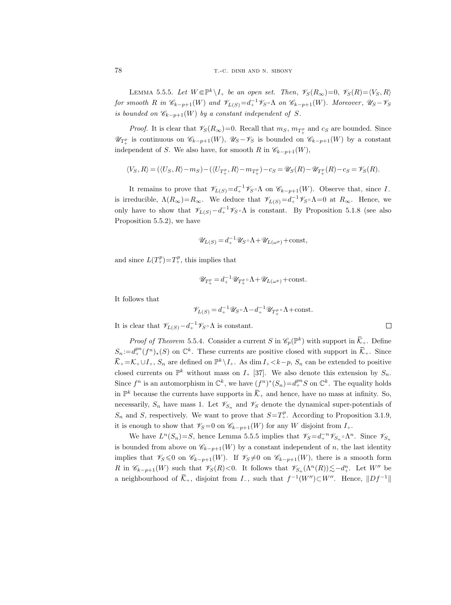LEMMA 5.5.5. Let  $W \in \mathbb{P}^k \setminus I_+$  be an open set. Then,  $\mathscr{V}_S(R_\infty)=0$ ,  $\mathscr{V}_S(R)=\langle V_S, R \rangle$ for smooth R in  $\mathscr{C}_{k-p+1}(W)$  and  $\mathscr{V}_{L(S)} = d_+^{-1} \mathscr{V}_{S} \circ \Lambda$  on  $\mathscr{C}_{k-p+1}(W)$ . Moreover,  $\mathscr{U}_{S} - \mathscr{V}_{S}$ is bounded on  $\mathscr{C}_{k-p+1}(W)$  by a constant independent of S.

*Proof.* It is clear that  $\mathscr{V}_S(R_\infty)=0$ . Recall that  $m_S$ ,  $m_{T_+^p}$  and  $c_S$  are bounded. Since  $\mathscr{U}_{T^p_+}$  is continuous on  $\mathscr{C}_{k-p+1}(W)$ ,  $\mathscr{U}_S-\mathscr{V}_S$  is bounded on  $\mathscr{C}_{k-p+1}(W)$  by a constant independent of S. We also have, for smooth R in  $\mathscr{C}_{k-p+1}(W)$ ,

$$
\langle V_S, R \rangle = (\langle U_S, R \rangle - m_S) - (\langle U_{T_+^p}, R \rangle - m_{T_+^p}) - c_S = \mathscr{U}_S(R) - \mathscr{U}_{T_+^p}(R) - c_S = \mathscr{V}_S(R).
$$

It remains to prove that  $\mathscr{V}_{L(S)} = d_+^{-1} \mathscr{V}_{S} \circ \Lambda$  on  $\mathscr{C}_{k-p+1}(W)$ . Observe that, since  $I_$ is irreducible,  $\Lambda(R_{\infty})=R_{\infty}$ . We deduce that  $\mathscr{V}_{L(S)}=d_{+}^{-1}\mathscr{V}_{S}\circ\Lambda=0$  at  $R_{\infty}$ . Hence, we only have to show that  $\mathscr{V}_{L(S)} - d_+^{-1} \mathscr{V}_{S} \circ \Lambda$  is constant. By Proposition 5.1.8 (see also Proposition 5.5.2), we have

$$
\mathscr{U}_{L(S)} = d_{+}^{-1} \mathscr{U}_{S} \circ \Lambda + \mathscr{U}_{L(\omega^{p})} + \text{const},
$$

and since  $L(T_+^p) = T_+^p$ , this implies that

$$
\mathscr{U}_{T^p_+} = d_+^{-1} \mathscr{U}_{T^p_+} \circ \Lambda + \mathscr{U}_{L(\omega^p)} + \text{const.}
$$

It follows that

$$
\mathscr{V}_{L(S)}=d_+^{-1}\mathscr{U}_S\!\circ\!\Lambda-d_+^{-1}\mathscr{U}_{T_+^p}\!\circ\!\Lambda\!+\!\mathrm{const.}
$$

It is clear that  $\mathscr{V}_{L(S)} - d_+^{-1} \mathscr{V}_{S} \circ \Lambda$  is constant.

*Proof of Theorem* 5.5.4. Consider a current S in  $\mathscr{C}_p(\mathbb{P}^k)$  with support in  $\overline{\mathcal{K}}_+$ . Define  $S_n := d_+^{pn}(f^n)_*(S)$  on  $\mathbb{C}^k$ . These currents are positive closed with support in  $\overline{\mathcal{K}}_+$ . Since  $\overline{K}_+ = K_+ \cup I_+, S_n$  are defined on  $\mathbb{P}^k \setminus I_+$ . As dim  $I_+ < k-p$ ,  $S_n$  can be extended to positive closed currents on  $\mathbb{P}^k$  without mass on  $I_+$  [37]. We also denote this extension by  $S_n$ . Since  $f^n$  is an automorphism in  $\mathbb{C}^k$ , we have  $(f^n)^*(S_n) = d_+^{pn} S$  on  $\mathbb{C}^k$ . The equality holds in  $\mathbb{P}^k$  because the currents have supports in  $\overline{\mathcal{K}}_+$  and hence, have no mass at infinity. So, necessarily,  $S_n$  have mass 1. Let  $\mathscr{V}_{S_n}$  and  $\mathscr{V}_{S}$  denote the dynamical super-potentials of  $S_n$  and S, respectively. We want to prove that  $S=T_+^p$ . According to Proposition 3.1.9, it is enough to show that  $\mathscr{V}_S=0$  on  $\mathscr{C}_{k-p+1}(W)$  for any W disjoint from  $I_+$ .

We have  $L^n(S_n)=S$ , hence Lemma 5.5.5 implies that  $\mathscr{V}_S=d_+^{-n}\mathscr{V}_{S_n} \circ \Lambda^n$ . Since  $\mathscr{V}_{S_n}$ is bounded from above on  $\mathscr{C}_{k-p+1}(W)$  by a constant independent of n, the last identity implies that  $\mathscr{V}_S\leq 0$  on  $\mathscr{C}_{k-p+1}(W)$ . If  $\mathscr{V}_S\neq 0$  on  $\mathscr{C}_{k-p+1}(W)$ , there is a smooth form R in  $\mathscr{C}_{k-p+1}(W)$  such that  $\mathscr{V}_S(R) < 0$ . It follows that  $\mathscr{V}_{S_n}(\Lambda^n(R)) \lesssim -d_+^n$ . Let  $W''$  be a neighbourhood of  $\overline{\mathcal{K}}_+$ , disjoint from  $I_-$ , such that  $f^{-1}(W'') \subset W''$ . Hence,  $||Df^{-1}||$ 

 $\Box$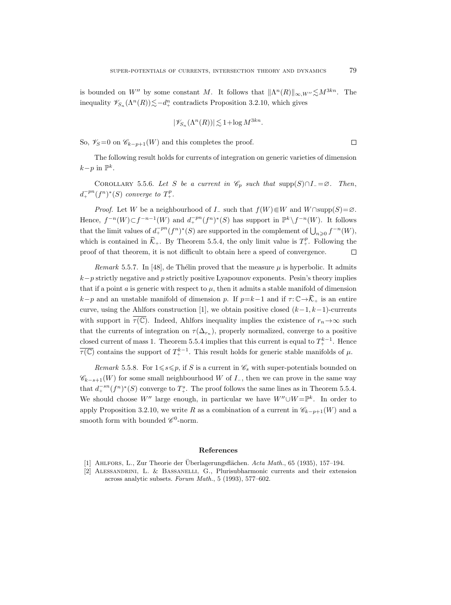is bounded on W'' by some constant M. It follows that  $\|\Lambda^n(R)\|_{\infty,W''} \lesssim M^{3kn}$ . The inequality  $\mathscr{V}_{S_n}(\Lambda^n(R)) \lesssim -d_+^n$  contradicts Proposition 3.2.10, which gives

$$
|\mathscr{V}_{S_n}(\Lambda^n(R))| \lesssim 1 + \log M^{3kn}.
$$

 $\Box$ 

So,  $\mathscr{V}_S=0$  on  $\mathscr{C}_{k-p+1}(W)$  and this completes the proof.

The following result holds for currents of integration on generic varieties of dimension  $k-p$  in  $\mathbb{P}^k$ .

COROLLARY 5.5.6. Let S be a current in  $\mathcal{C}_p$  such that supp(S)∩I\_= $\varnothing$ . Then,  $d_+^{-pn}(f^n)^*(S)$  converge to  $T_+^p$ .

*Proof.* Let W be a neighbourhood of  $I_$  such that  $f(W)\in W$  and  $W \cap \text{supp}(S) = \emptyset$ . Hence,  $f^{-n}(W) \subset f^{-n-1}(W)$  and  $d_+^{-pn}(f^n)^*(S)$  has support in  $\mathbb{P}^k \setminus f^{-n}(W)$ . It follows that the limit values of  $d_+^{-pn}(f^n)^*(S)$  are supported in the complement of  $\bigcup_{n\geqslant 0} f^{-n}(W)$ , which is contained in  $\overline{\mathcal{K}}_+$ . By Theorem 5.5.4, the only limit value is  $T_+^p$ . Following the proof of that theorem, it is not difficult to obtain here a speed of convergence.  $\Box$ 

*Remark* 5.5.7. In [48], de Thélin proved that the measure  $\mu$  is hyperbolic. It admits  $k-p$  strictly negative and p strictly positive Lyapounov exponents. Pesin's theory implies that if a point a is generic with respect to  $\mu$ , then it admits a stable manifold of dimension k−p and an unstable manifold of dimension p. If  $p=k-1$  and if  $\tau: \mathbb{C} \to \overline{\mathcal{K}}_+$  is an entire curve, using the Ahlfors construction [1], we obtain positive closed  $(k-1, k-1)$ -currents with support in  $\tau(\mathbb{C})$ . Indeed, Ahlfors inequality implies the existence of  $r_n \to \infty$  such that the currents of integration on  $\tau(\Delta_{r_n})$ , properly normalized, converge to a positive closed current of mass 1. Theorem 5.5.4 implies that this current is equal to  $T^{k-1}_{+}$ . Hence  $\overline{\tau(\mathbb{C})}$  contains the support of  $T^{k-1}_+$ . This result holds for generic stable manifolds of  $\mu$ .

Remark 5.5.8. For  $1 \le s \le p$ , if S is a current in  $\mathscr{C}_s$  with super-potentials bounded on  $\mathscr{C}_{k-s+1}(W)$  for some small neighbourhood W of  $I_-,$  then we can prove in the same way that  $d_+^{-sn}(f^n)^*(S)$  converge to  $T^s_+$ . The proof follows the same lines as in Theorem 5.5.4. We should choose W<sup>"</sup> large enough, in particular we have  $W'' \cup W = \mathbb{P}^k$ . In order to apply Proposition 3.2.10, we write R as a combination of a current in  $\mathscr{C}_{k-p+1}(W)$  and a smooth form with bounded  $\mathscr{C}^0$ -norm.

## References

<sup>[1]</sup> AHLFORS, L., Zur Theorie der Überlagerungsflächen.  $Acta Math., 65 (1935), 157–194.$ 

<sup>[2]</sup> Alessandrini, L. & Bassanelli, G., Plurisubharmonic currents and their extension across analytic subsets. Forum Math., 5 (1993), 577–602.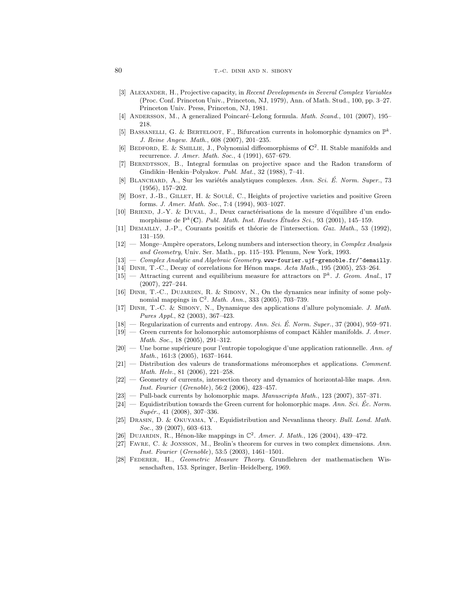- [3] ALEXANDER, H., Projective capacity, in Recent Developments in Several Complex Variables (Proc. Conf. Princeton Univ., Princeton, NJ, 1979), Ann. of Math. Stud., 100, pp. 3–27. Princeton Univ. Press, Princeton, NJ, 1981.
- [4] ANDERSSON, M., A generalized Poincaré–Lelong formula. Math. Scand., 101 (2007), 195– 218.
- [5] BASSANELLI, G. & BERTELOOT, F., Bifurcation currents in holomorphic dynamics on  $\mathbb{P}^k$ . J. Reine Angew. Math., 608 (2007), 201–235.
- [6] BEDFORD, E. & SMILLIE, J., Polynomial diffeomorphisms of  $\mathbb{C}^2$ . II. Stable manifolds and recurrence. J. Amer. Math. Soc., 4 (1991), 657–679.
- [7] BERNDTSSON, B., Integral formulas on projective space and the Radon transform of Gindikin–Henkin–Polyakov. Publ. Mat., 32 (1988), 7–41.
- [8] BLANCHARD, A., Sur les variétés analytiques complexes. Ann. Sci. É. Norm. Super., 73 (1956), 157–202.
- [9] Bost, J.-B., GILLET, H. & SOULÉ, C., Heights of projective varieties and positive Green forms. J. Amer. Math. Soc., 7:4 (1994), 903–1027.
- [10] BRIEND, J.-Y. & DUVAL, J., Deux caractérisations de la mesure d'équilibre d'un endomorphisme de  $P^k(\mathbf{C})$ . Publ. Math. Inst. Hautes Études Sci., 93 (2001), 145-159.
- [11] DEMAILLY, J.-P., Courants positifs et théorie de l'intersection. Gaz. Math., 53 (1992), 131–159.
- $[12]$  Monge–Ampère operators, Lelong numbers and intersection theory, in *Complex Analysis* and Geometry, Univ. Ser. Math., pp. 115–193. Plenum, New York, 1993.
- $[13]$  Complex Analytic and Algebraic Geometry. www-fourier.ujf-grenoble.fr/~demailly.
- [14] DINH, T.-C., Decay of correlations for Hénon maps. Acta Math., 195 (2005), 253–264.
- [15] Attracting current and equilibrium measure for attractors on  $\mathbb{P}^k$ . J. Geom. Anal., 17 (2007), 227–244.
- [16] Dinh, T.-C., Dujardin, R. & Sibony, N., On the dynamics near infinity of some polynomial mappings in  $\mathbb{C}^2$ . *Math. Ann.*, 333 (2005), 703-739.
- [17] Dinh, T.-C. & Sibony, N., Dynamique des applications d'allure polynomiale. J. Math. Pures Appl., 82 (2003), 367–423.
- $[18]$  Regularization of currents and entropy. Ann. Sci. É. Norm. Super., 37 (2004), 959–971.
- $[19]$  Green currents for holomorphic automorphisms of compact Kähler manifolds. J. Amer. Math. Soc., 18 (2005), 291–312.
- $[20]$  Une borne supérieure pour l'entropie topologique d'une application rationnelle. Ann. of Math., 161:3 (2005), 1637–1644.
- $[21]$  Distribution des valeurs de transformations méromorphes et applications. Comment. Math. Helv., 81 (2006), 221–258.
- [22] Geometry of currents, intersection theory and dynamics of horizontal-like maps. Ann. Inst. Fourier (Grenoble), 56:2 (2006), 423–457.
- [23] Pull-back currents by holomorphic maps. Manuscripta Math., 123 (2007), 357–371.
- $[24]$  Equidistribution towards the Green current for holomorphic maps. Ann. Sci. Ec. Norm.  $Supér., 41 (2008), 307-336.$
- [25] Drasin, D. & Okuyama, Y., Equidistribution and Nevanlinna theory. Bull. Lond. Math. Soc., 39 (2007), 603-613.
- [26] DUJARDIN, R., Hénon-like mappings in  $\mathbb{C}^2$ . Amer. J. Math., 126 (2004), 439-472.
- [27] Favre, C. & Jonsson, M., Brolin's theorem for curves in two complex dimensions. Ann. Inst. Fourier (Grenoble), 53:5 (2003), 1461–1501.
- [28] Federer, H., Geometric Measure Theory. Grundlehren der mathematischen Wissenschaften, 153. Springer, Berlin–Heidelberg, 1969.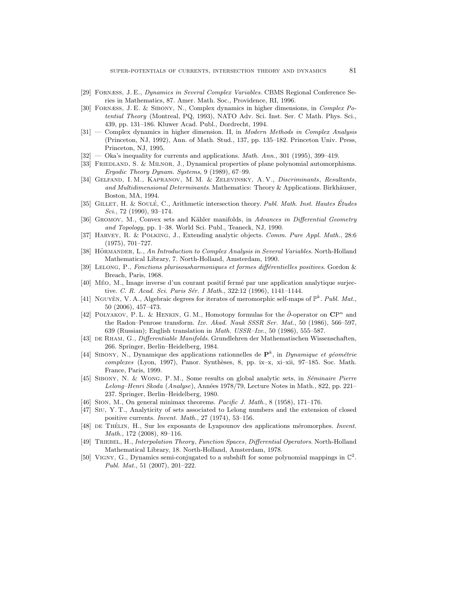- [29] Fornæss, J. E., Dynamics in Several Complex Variables. CBMS Regional Conference Series in Mathematics, 87. Amer. Math. Soc., Providence, RI, 1996.
- [30] Fornæss, J. E. & Sibony, N., Complex dynamics in higher dimensions, in Complex Potential Theory (Montreal, PQ, 1993), NATO Adv. Sci. Inst. Ser. C Math. Phys. Sci., 439, pp. 131–186. Kluwer Acad. Publ., Dordrecht, 1994.
- [31] Complex dynamics in higher dimension. II, in Modern Methods in Complex Analysis (Princeton, NJ, 1992), Ann. of Math. Stud., 137, pp. 135–182. Princeton Univ. Press, Princeton, NJ, 1995.
- $[32]$  Oka's inequality for currents and applications. *Math. Ann.*, 301 (1995), 399-419.
- [33] Friedland, S. & Milnor, J., Dynamical properties of plane polynomial automorphisms. Ergodic Theory Dynam. Systems, 9 (1989), 67–99.
- [34] Gelfand, I. M., Kapranov, M. M. & Zelevinsky, A. V., Discriminants, Resultants, and Multidimensional Determinants. Mathematics: Theory & Applications. Birkhäuser, Boston, MA, 1994.
- [35] GILLET, H. & SOULÉ, C., Arithmetic intersection theory. Publ. Math. Inst. Hautes Études Sci., 72 (1990), 93–174.
- [36] GROMOV, M., Convex sets and Kähler manifolds, in Advances in Differential Geometry and Topology, pp. 1–38. World Sci. Publ., Teaneck, NJ, 1990.
- [37] HARVEY, R. & POLKING, J., Extending analytic objects. Comm. Pure Appl. Math., 28:6 (1975), 701–727.
- [38] HÖRMANDER, L., An Introduction to Complex Analysis in Several Variables. North-Holland Mathematical Library, 7. North-Holland, Amsterdam, 1990.
- [39] LELONG, P., Fonctions plurisousharmoniques et formes différentielles positives. Gordon & Breach, Paris, 1968.
- [40] MÉO, M., Image inverse d'un courant positif fermé par une application analytique surjective. C. R. Acad. Sci. Paris Sér. I Math., 322:12 (1996), 1141-1144.
- [41] NGUYÊN, V. A., Algebraic degrees for iterates of meromorphic self-maps of  $\mathbb{P}^k$ . Publ. Mat., 50 (2006), 457–473.
- [42] POLYAKOV, P. L. & HENKIN, G. M., Homotopy formulas for the  $\bar{\partial}$ -operator on  $\mathbb{CP}^n$  and the Radon–Penrose transform. Izv. Akad. Nauk SSSR Ser. Mat., 50 (1986), 566–597, 639 (Russian); English translation in Math. USSR–Izv., 50 (1986), 555–587.
- [43] DE RHAM, G., Differentiable Manifolds. Grundlehren der Mathematischen Wissenschaften, 266. Springer, Berlin–Heidelberg, 1984.
- [44] SIBONY, N., Dynamique des applications rationnelles de  $\mathbf{P}^k$ , in Dynamique et géométrie  $complexes$  (Lyon, 1997), Panor. Synthèses, 8, pp. ix–x, xi–xii, 97–185. Soc. Math. France, Paris, 1999.
- [45] SIBONY, N. & WONG, P. M., Some results on global analytic sets, in *Séminaire Pierre* Lelong–Henri Skoda (Analyse), Années 1978/79, Lecture Notes in Math., 822, pp. 221– 237. Springer, Berlin–Heidelberg, 1980.
- [46] Sion, M., On general minimax theorems. Pacific J. Math., 8 (1958), 171–176.
- [47] Siu, Y. T., Analyticity of sets associated to Lelong numbers and the extension of closed positive currents. Invent. Math., 27 (1974), 53–156.
- [48] DE THÉLIN, H., Sur les exposants de Lyapounov des applications méromorphes. Invent. Math., 172 (2008), 89–116.
- [49] Triebel, H., Interpolation Theory, Function Spaces, Differential Operators. North-Holland Mathematical Library, 18. North-Holland, Amsterdam, 1978.
- [50] VIGNY, G., Dynamics semi-conjugated to a subshift for some polynomial mappings in  $\mathbb{C}^2$ . Publ. Mat., 51 (2007), 201–222.